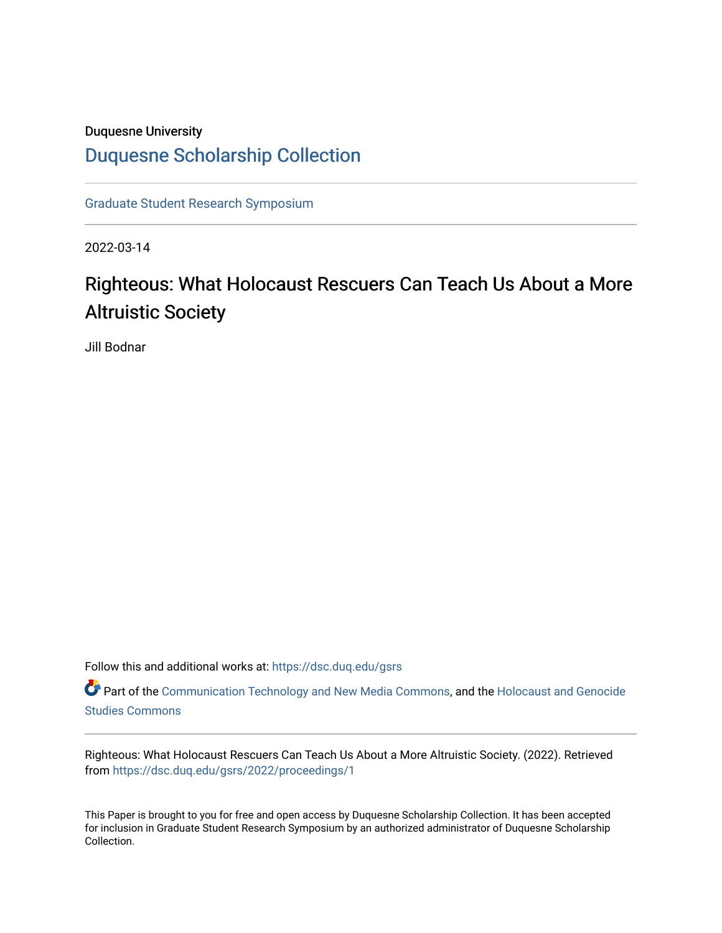# Duquesne University [Duquesne Scholarship Collection](https://dsc.duq.edu/)

[Graduate Student Research Symposium](https://dsc.duq.edu/gsrs)

2022-03-14

# Righteous: What Holocaust Rescuers Can Teach Us About a More Altruistic Society

Jill Bodnar

Follow this and additional works at: [https://dsc.duq.edu/gsrs](https://dsc.duq.edu/gsrs?utm_source=dsc.duq.edu%2Fgsrs%2F2022%2Fproceedings%2F1&utm_medium=PDF&utm_campaign=PDFCoverPages)

Part of the [Communication Technology and New Media Commons,](https://network.bepress.com/hgg/discipline/327?utm_source=dsc.duq.edu%2Fgsrs%2F2022%2Fproceedings%2F1&utm_medium=PDF&utm_campaign=PDFCoverPages) and the [Holocaust and Genocide](https://network.bepress.com/hgg/discipline/1413?utm_source=dsc.duq.edu%2Fgsrs%2F2022%2Fproceedings%2F1&utm_medium=PDF&utm_campaign=PDFCoverPages)  [Studies Commons](https://network.bepress.com/hgg/discipline/1413?utm_source=dsc.duq.edu%2Fgsrs%2F2022%2Fproceedings%2F1&utm_medium=PDF&utm_campaign=PDFCoverPages) 

Righteous: What Holocaust Rescuers Can Teach Us About a More Altruistic Society. (2022). Retrieved from [https://dsc.duq.edu/gsrs/2022/proceedings/1](https://dsc.duq.edu/gsrs/2022/proceedings/1?utm_source=dsc.duq.edu%2Fgsrs%2F2022%2Fproceedings%2F1&utm_medium=PDF&utm_campaign=PDFCoverPages)

This Paper is brought to you for free and open access by Duquesne Scholarship Collection. It has been accepted for inclusion in Graduate Student Research Symposium by an authorized administrator of Duquesne Scholarship Collection.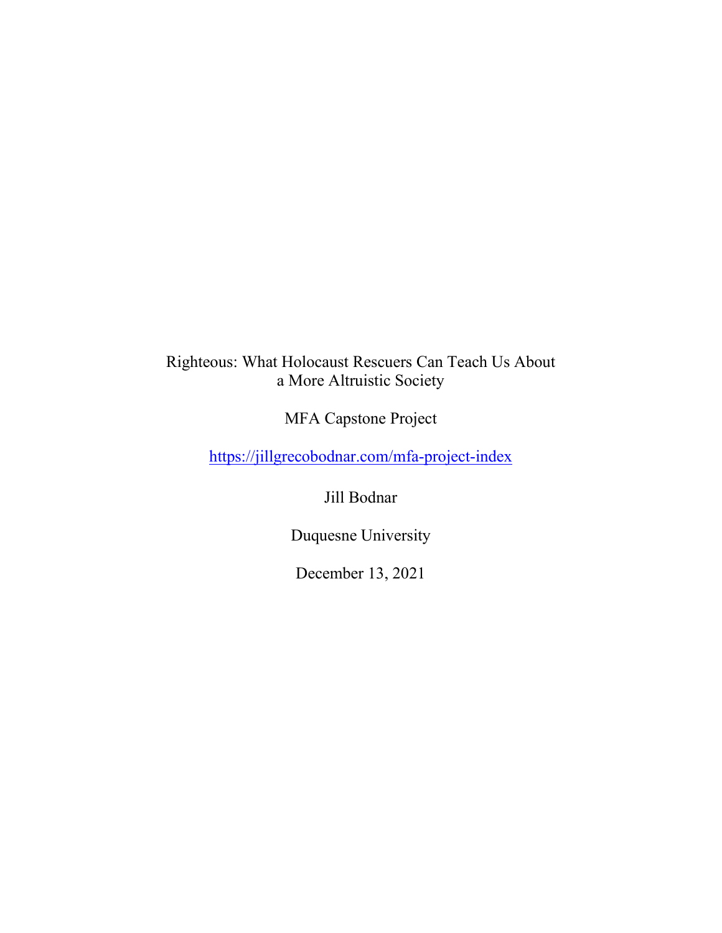# Righteous: What Holocaust Rescuers Can Teach Us About a More Altruistic Society

MFA Capstone Project

<https://jillgrecobodnar.com/mfa-project-index>

Jill Bodnar

Duquesne University

December 13, 2021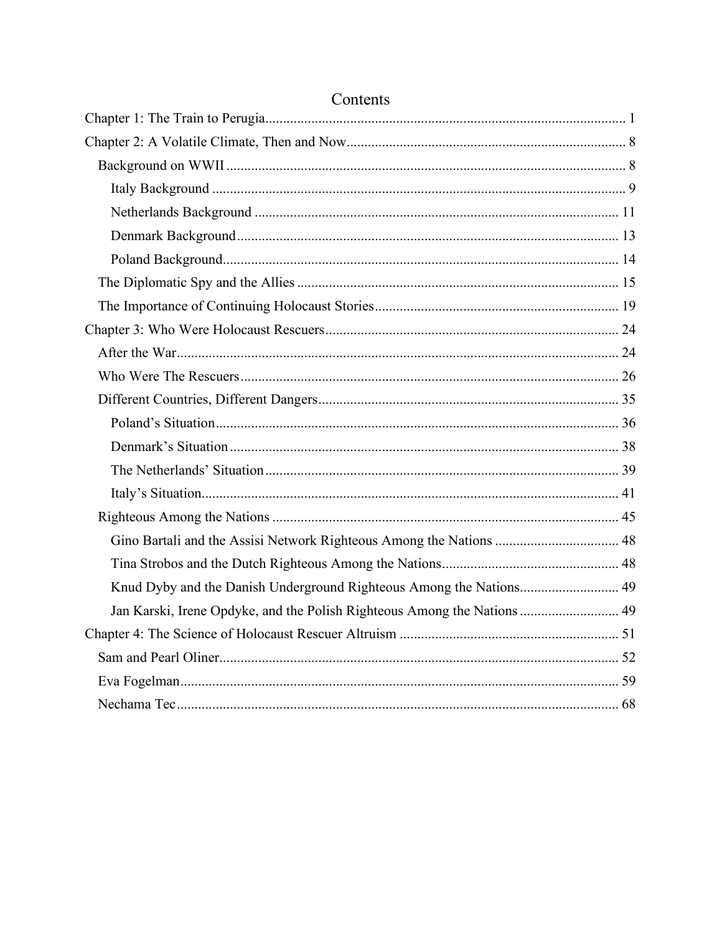| Gino Bartali and the Assisi Network Righteous Among the Nations  48      |  |
|--------------------------------------------------------------------------|--|
|                                                                          |  |
| Knud Dyby and the Danish Underground Righteous Among the Nations 49      |  |
| Jan Karski, Irene Opdyke, and the Polish Righteous Among the Nations  49 |  |
|                                                                          |  |
|                                                                          |  |
|                                                                          |  |
|                                                                          |  |

# Contents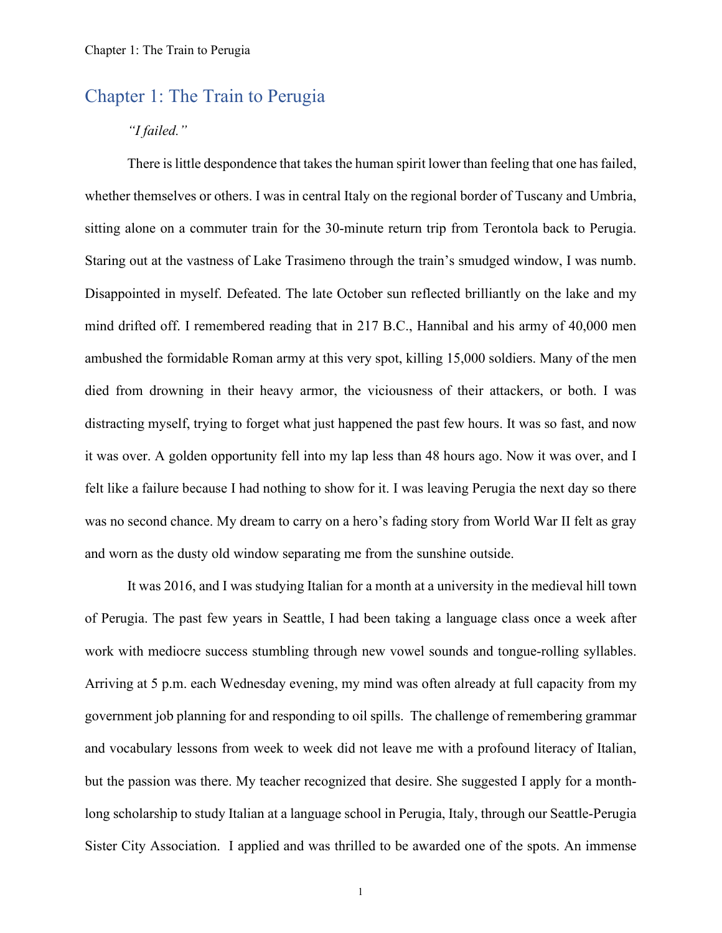# <span id="page-4-0"></span>Chapter 1: The Train to Perugia

### *"I failed."*

There is little despondence that takes the human spirit lower than feeling that one has failed, whether themselves or others. I was in central Italy on the regional border of Tuscany and Umbria, sitting alone on a commuter train for the 30-minute return trip from Terontola back to Perugia. Staring out at the vastness of Lake Trasimeno through the train's smudged window, I was numb. Disappointed in myself. Defeated. The late October sun reflected brilliantly on the lake and my mind drifted off. I remembered reading that in 217 B.C., Hannibal and his army of 40,000 men ambushed the formidable Roman army at this very spot, killing 15,000 soldiers. Many of the men died from drowning in their heavy armor, the viciousness of their attackers, or both. I was distracting myself, trying to forget what just happened the past few hours. It was so fast, and now it was over. A golden opportunity fell into my lap less than 48 hours ago. Now it was over, and I felt like a failure because I had nothing to show for it. I was leaving Perugia the next day so there was no second chance. My dream to carry on a hero's fading story from World War II felt as gray and worn as the dusty old window separating me from the sunshine outside.

It was 2016, and I was studying Italian for a month at a university in the medieval hill town of Perugia. The past few years in Seattle, I had been taking a language class once a week after work with mediocre success stumbling through new vowel sounds and tongue-rolling syllables. Arriving at 5 p.m. each Wednesday evening, my mind was often already at full capacity from my government job planning for and responding to oil spills. The challenge of remembering grammar and vocabulary lessons from week to week did not leave me with a profound literacy of Italian, but the passion was there. My teacher recognized that desire. She suggested I apply for a monthlong scholarship to study Italian at a language school in Perugia, Italy, through our Seattle-Perugia Sister City Association. I applied and was thrilled to be awarded one of the spots. An immense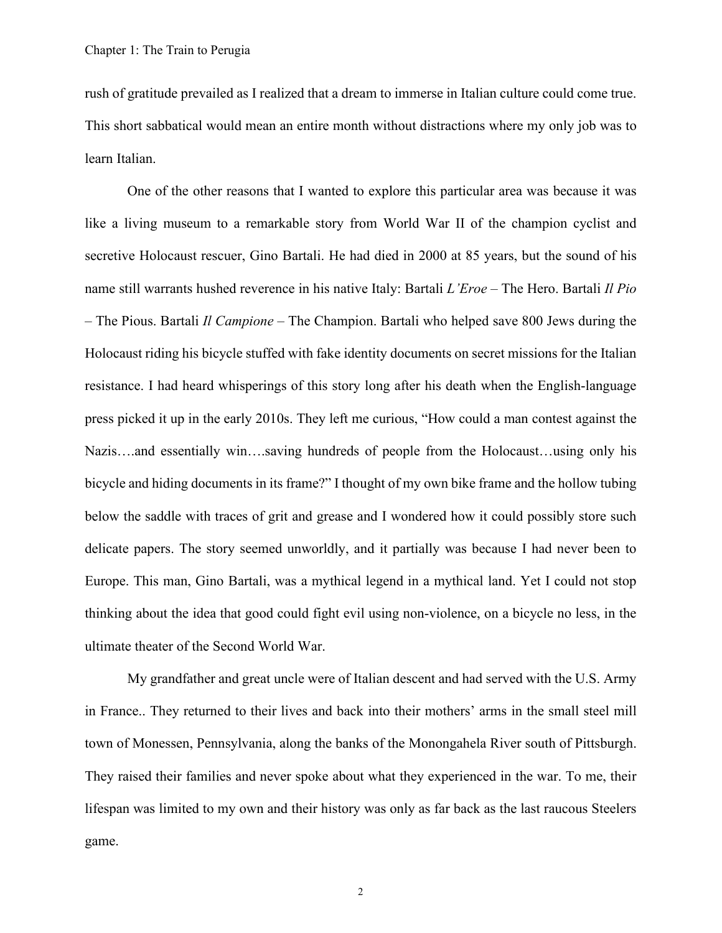rush of gratitude prevailed as I realized that a dream to immerse in Italian culture could come true. This short sabbatical would mean an entire month without distractions where my only job was to learn Italian.

One of the other reasons that I wanted to explore this particular area was because it was like a living museum to a remarkable story from World War II of the champion cyclist and secretive Holocaust rescuer, Gino Bartali. He had died in 2000 at 85 years, but the sound of his name still warrants hushed reverence in his native Italy: Bartali *L'Eroe* – The Hero. Bartali *Il Pio* – The Pious. Bartali *Il Campione* – The Champion. Bartali who helped save 800 Jews during the Holocaust riding his bicycle stuffed with fake identity documents on secret missions for the Italian resistance. I had heard whisperings of this story long after his death when the English-language press picked it up in the early 2010s. They left me curious, "How could a man contest against the Nazis….and essentially win….saving hundreds of people from the Holocaust…using only his bicycle and hiding documents in its frame?" I thought of my own bike frame and the hollow tubing below the saddle with traces of grit and grease and I wondered how it could possibly store such delicate papers. The story seemed unworldly, and it partially was because I had never been to Europe. This man, Gino Bartali, was a mythical legend in a mythical land. Yet I could not stop thinking about the idea that good could fight evil using non-violence, on a bicycle no less, in the ultimate theater of the Second World War.

My grandfather and great uncle were of Italian descent and had served with the U.S. Army in France.. They returned to their lives and back into their mothers' arms in the small steel mill town of Monessen, Pennsylvania, along the banks of the Monongahela River south of Pittsburgh. They raised their families and never spoke about what they experienced in the war. To me, their lifespan was limited to my own and their history was only as far back as the last raucous Steelers game.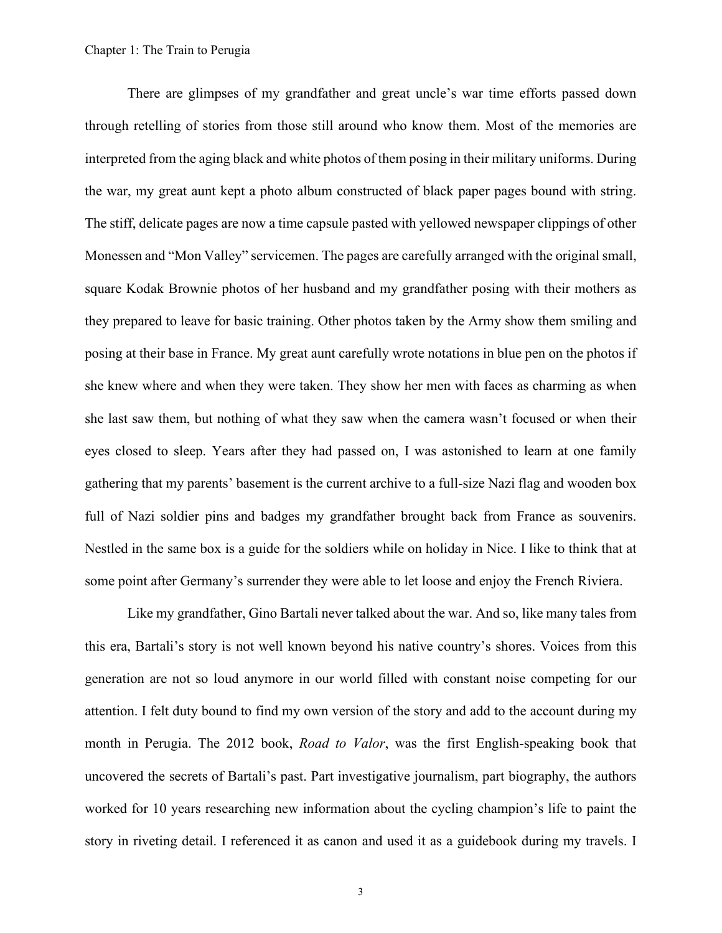There are glimpses of my grandfather and great uncle's war time efforts passed down through retelling of stories from those still around who know them. Most of the memories are interpreted from the aging black and white photos of them posing in their military uniforms. During the war, my great aunt kept a photo album constructed of black paper pages bound with string. The stiff, delicate pages are now a time capsule pasted with yellowed newspaper clippings of other Monessen and "Mon Valley" servicemen. The pages are carefully arranged with the original small, square Kodak Brownie photos of her husband and my grandfather posing with their mothers as they prepared to leave for basic training. Other photos taken by the Army show them smiling and posing at their base in France. My great aunt carefully wrote notations in blue pen on the photos if she knew where and when they were taken. They show her men with faces as charming as when she last saw them, but nothing of what they saw when the camera wasn't focused or when their eyes closed to sleep. Years after they had passed on, I was astonished to learn at one family gathering that my parents' basement is the current archive to a full-size Nazi flag and wooden box full of Nazi soldier pins and badges my grandfather brought back from France as souvenirs. Nestled in the same box is a guide for the soldiers while on holiday in Nice. I like to think that at some point after Germany's surrender they were able to let loose and enjoy the French Riviera.

Like my grandfather, Gino Bartali never talked about the war. And so, like many tales from this era, Bartali's story is not well known beyond his native country's shores. Voices from this generation are not so loud anymore in our world filled with constant noise competing for our attention. I felt duty bound to find my own version of the story and add to the account during my month in Perugia. The 2012 book, *Road to Valor*, was the first English-speaking book that uncovered the secrets of Bartali's past. Part investigative journalism, part biography, the authors worked for 10 years researching new information about the cycling champion's life to paint the story in riveting detail. I referenced it as canon and used it as a guidebook during my travels. I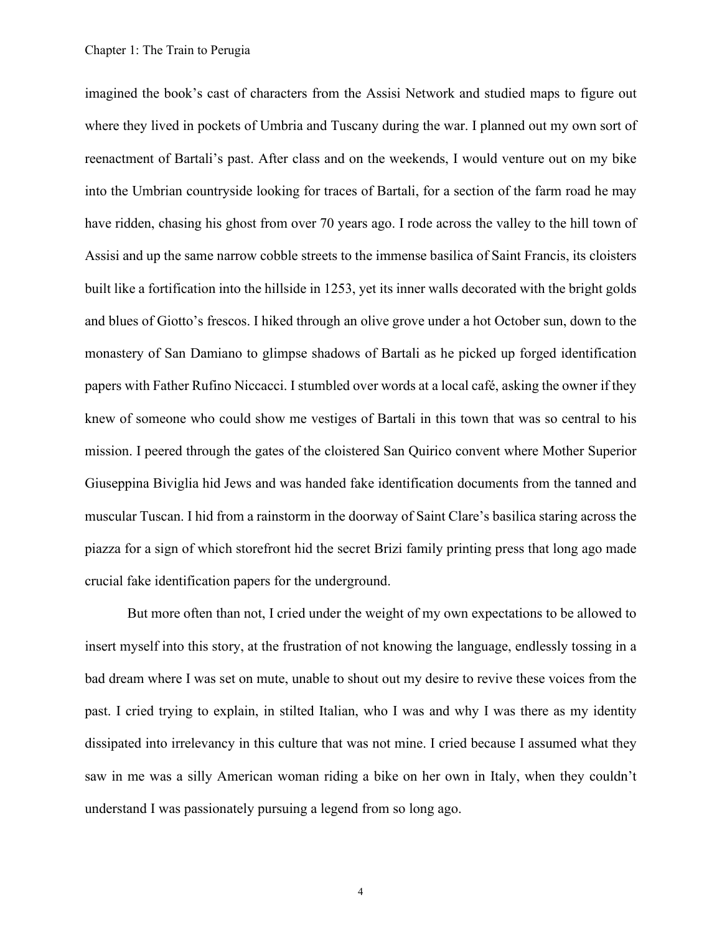imagined the book's cast of characters from the Assisi Network and studied maps to figure out where they lived in pockets of Umbria and Tuscany during the war. I planned out my own sort of reenactment of Bartali's past. After class and on the weekends, I would venture out on my bike into the Umbrian countryside looking for traces of Bartali, for a section of the farm road he may have ridden, chasing his ghost from over 70 years ago. I rode across the valley to the hill town of Assisi and up the same narrow cobble streets to the immense basilica of Saint Francis, its cloisters built like a fortification into the hillside in 1253, yet its inner walls decorated with the bright golds and blues of Giotto's frescos. I hiked through an olive grove under a hot October sun, down to the monastery of San Damiano to glimpse shadows of Bartali as he picked up forged identification papers with Father Rufino Niccacci. I stumbled over words at a local café, asking the owner if they knew of someone who could show me vestiges of Bartali in this town that was so central to his mission. I peered through the gates of the cloistered San Quirico convent where Mother Superior Giuseppina Biviglia hid Jews and was handed fake identification documents from the tanned and muscular Tuscan. I hid from a rainstorm in the doorway of Saint Clare's basilica staring across the piazza for a sign of which storefront hid the secret Brizi family printing press that long ago made crucial fake identification papers for the underground.

But more often than not, I cried under the weight of my own expectations to be allowed to insert myself into this story, at the frustration of not knowing the language, endlessly tossing in a bad dream where I was set on mute, unable to shout out my desire to revive these voices from the past. I cried trying to explain, in stilted Italian, who I was and why I was there as my identity dissipated into irrelevancy in this culture that was not mine. I cried because I assumed what they saw in me was a silly American woman riding a bike on her own in Italy, when they couldn't understand I was passionately pursuing a legend from so long ago.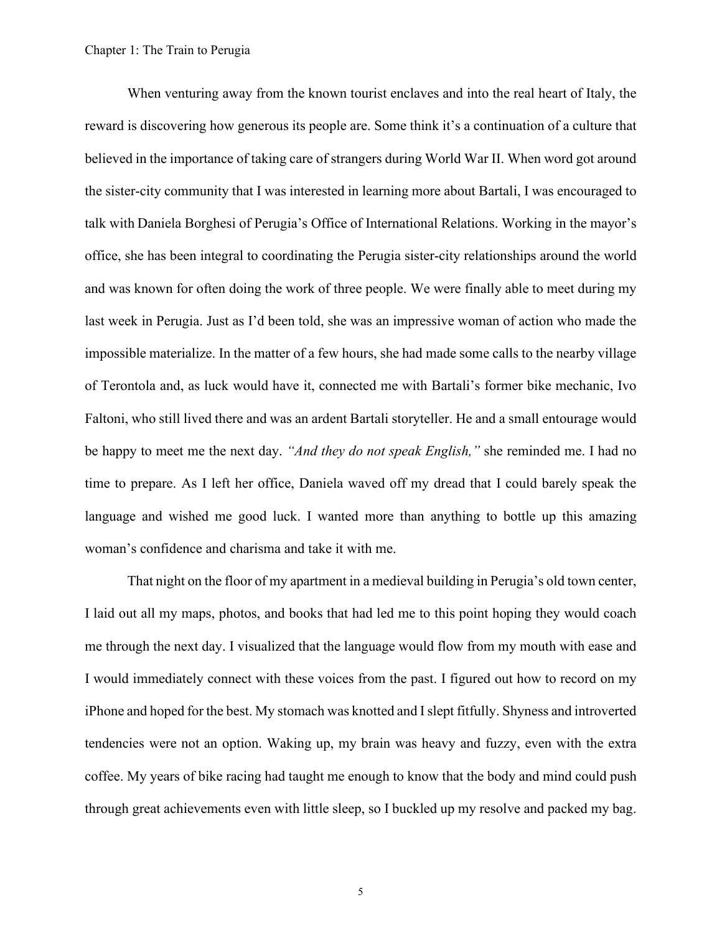When venturing away from the known tourist enclaves and into the real heart of Italy, the reward is discovering how generous its people are. Some think it's a continuation of a culture that believed in the importance of taking care of strangers during World War II. When word got around the sister-city community that I was interested in learning more about Bartali, I was encouraged to talk with Daniela Borghesi of Perugia's Office of International Relations. Working in the mayor's office, she has been integral to coordinating the Perugia sister-city relationships around the world and was known for often doing the work of three people. We were finally able to meet during my last week in Perugia. Just as I'd been told, she was an impressive woman of action who made the impossible materialize. In the matter of a few hours, she had made some calls to the nearby village of Terontola and, as luck would have it, connected me with Bartali's former bike mechanic, Ivo Faltoni, who still lived there and was an ardent Bartali storyteller. He and a small entourage would be happy to meet me the next day. *"And they do not speak English,"* she reminded me. I had no time to prepare. As I left her office, Daniela waved off my dread that I could barely speak the language and wished me good luck. I wanted more than anything to bottle up this amazing woman's confidence and charisma and take it with me.

That night on the floor of my apartment in a medieval building in Perugia's old town center, I laid out all my maps, photos, and books that had led me to this point hoping they would coach me through the next day. I visualized that the language would flow from my mouth with ease and I would immediately connect with these voices from the past. I figured out how to record on my iPhone and hoped for the best. My stomach was knotted and I slept fitfully. Shyness and introverted tendencies were not an option. Waking up, my brain was heavy and fuzzy, even with the extra coffee. My years of bike racing had taught me enough to know that the body and mind could push through great achievements even with little sleep, so I buckled up my resolve and packed my bag.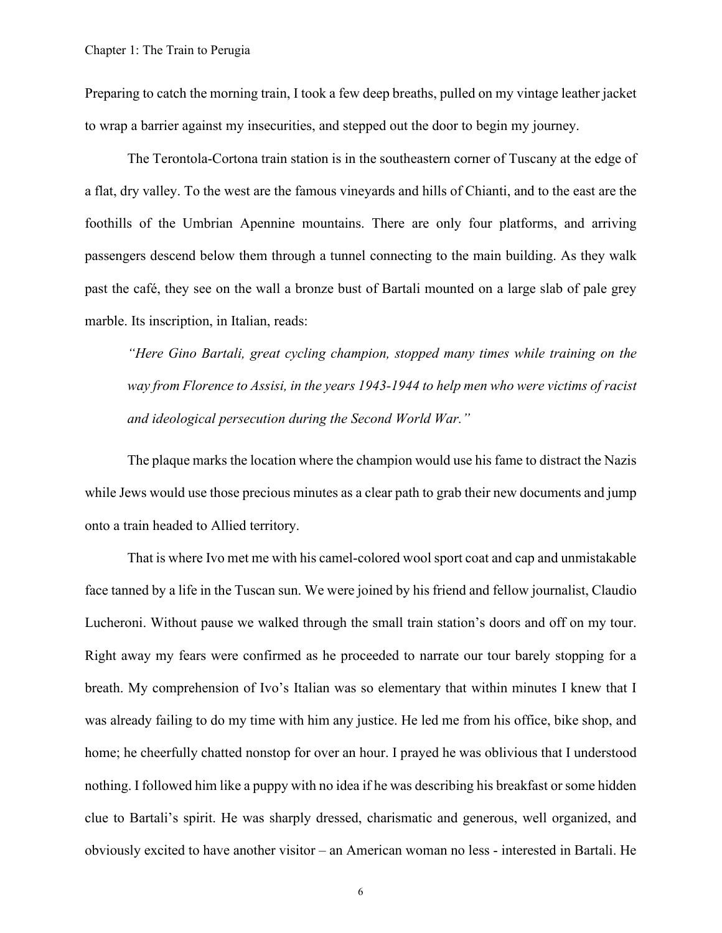Preparing to catch the morning train, I took a few deep breaths, pulled on my vintage leather jacket to wrap a barrier against my insecurities, and stepped out the door to begin my journey.

The Terontola-Cortona train station is in the southeastern corner of Tuscany at the edge of a flat, dry valley. To the west are the famous vineyards and hills of Chianti, and to the east are the foothills of the Umbrian Apennine mountains. There are only four platforms, and arriving passengers descend below them through a tunnel connecting to the main building. As they walk past the café, they see on the wall a bronze bust of Bartali mounted on a large slab of pale grey marble. Its inscription, in Italian, reads:

*"Here Gino Bartali, great cycling champion, stopped many times while training on the way from Florence to Assisi, in the years 1943-1944 to help men who were victims of racist and ideological persecution during the Second World War."*

The plaque marks the location where the champion would use his fame to distract the Nazis while Jews would use those precious minutes as a clear path to grab their new documents and jump onto a train headed to Allied territory.

That is where Ivo met me with his camel-colored wool sport coat and cap and unmistakable face tanned by a life in the Tuscan sun. We were joined by his friend and fellow journalist, Claudio Lucheroni. Without pause we walked through the small train station's doors and off on my tour. Right away my fears were confirmed as he proceeded to narrate our tour barely stopping for a breath. My comprehension of Ivo's Italian was so elementary that within minutes I knew that I was already failing to do my time with him any justice. He led me from his office, bike shop, and home; he cheerfully chatted nonstop for over an hour. I prayed he was oblivious that I understood nothing. I followed him like a puppy with no idea if he was describing his breakfast or some hidden clue to Bartali's spirit. He was sharply dressed, charismatic and generous, well organized, and obviously excited to have another visitor – an American woman no less - interested in Bartali. He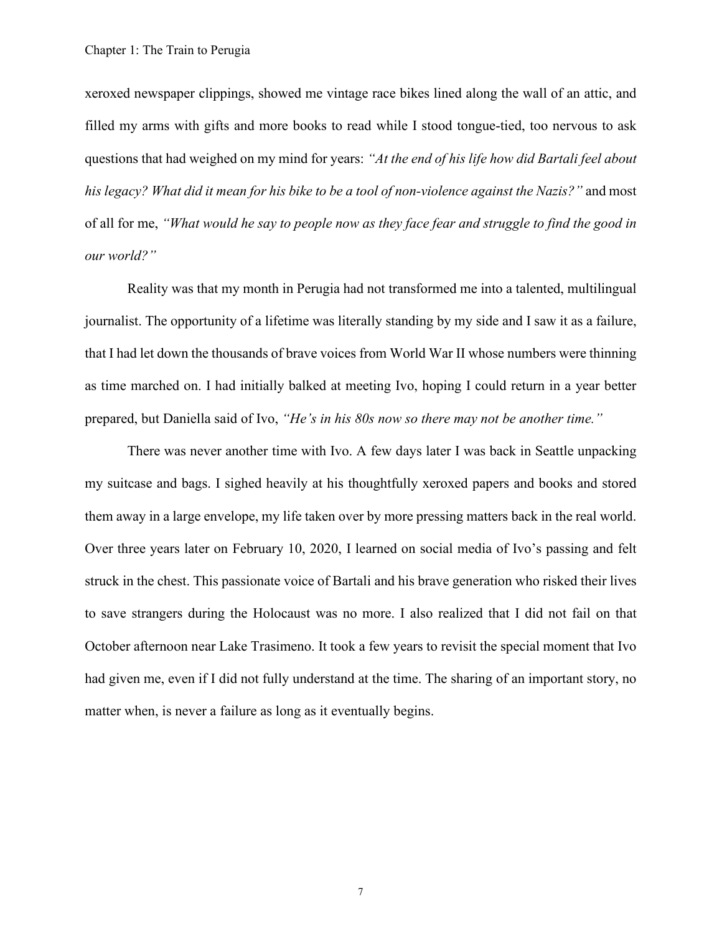xeroxed newspaper clippings, showed me vintage race bikes lined along the wall of an attic, and filled my arms with gifts and more books to read while I stood tongue-tied, too nervous to ask questions that had weighed on my mind for years: *"At the end of his life how did Bartali feel about his legacy? What did it mean for his bike to be a tool of non-violence against the Nazis?"* and most of all for me, *"What would he say to people now as they face fear and struggle to find the good in our world?"*

Reality was that my month in Perugia had not transformed me into a talented, multilingual journalist. The opportunity of a lifetime was literally standing by my side and I saw it as a failure, that I had let down the thousands of brave voices from World War II whose numbers were thinning as time marched on. I had initially balked at meeting Ivo, hoping I could return in a year better prepared, but Daniella said of Ivo, *"He's in his 80s now so there may not be another time."* 

There was never another time with Ivo. A few days later I was back in Seattle unpacking my suitcase and bags. I sighed heavily at his thoughtfully xeroxed papers and books and stored them away in a large envelope, my life taken over by more pressing matters back in the real world. Over three years later on February 10, 2020, I learned on social media of Ivo's passing and felt struck in the chest. This passionate voice of Bartali and his brave generation who risked their lives to save strangers during the Holocaust was no more. I also realized that I did not fail on that October afternoon near Lake Trasimeno. It took a few years to revisit the special moment that Ivo had given me, even if I did not fully understand at the time. The sharing of an important story, no matter when, is never a failure as long as it eventually begins.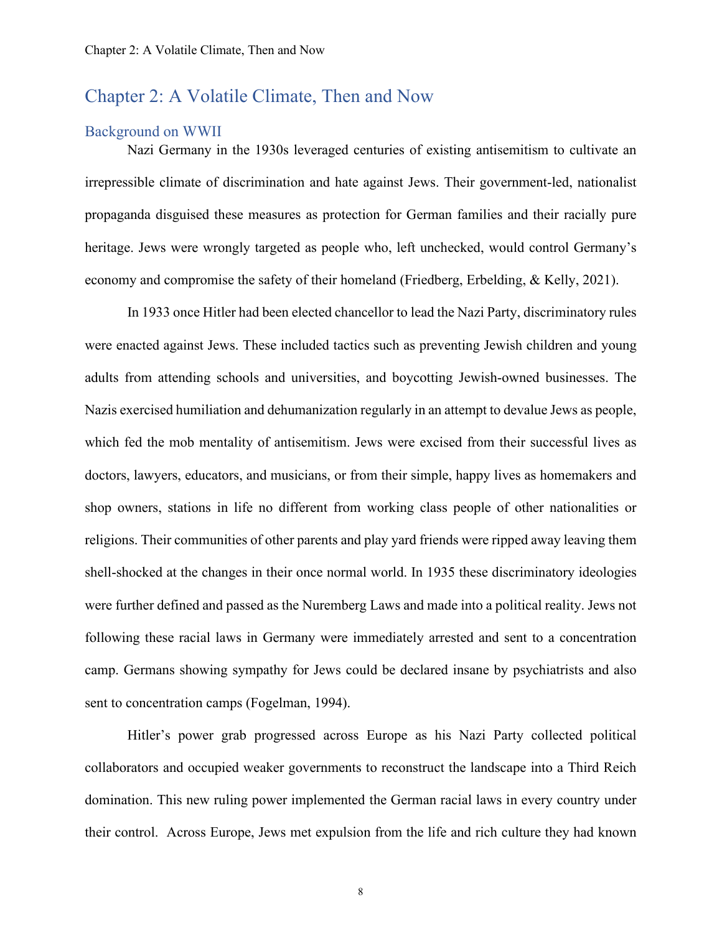## <span id="page-11-0"></span>Chapter 2: A Volatile Climate, Then and Now

### <span id="page-11-1"></span>Background on WWII

Nazi Germany in the 1930s leveraged centuries of existing antisemitism to cultivate an irrepressible climate of discrimination and hate against Jews. Their government-led, nationalist propaganda disguised these measures as protection for German families and their racially pure heritage. Jews were wrongly targeted as people who, left unchecked, would control Germany's economy and compromise the safety of their homeland (Friedberg, Erbelding, & Kelly, 2021).

In 1933 once Hitler had been elected chancellor to lead the Nazi Party, discriminatory rules were enacted against Jews. These included tactics such as preventing Jewish children and young adults from attending schools and universities, and boycotting Jewish-owned businesses. The Nazis exercised humiliation and dehumanization regularly in an attempt to devalue Jews as people, which fed the mob mentality of antisemitism. Jews were excised from their successful lives as doctors, lawyers, educators, and musicians, or from their simple, happy lives as homemakers and shop owners, stations in life no different from working class people of other nationalities or religions. Their communities of other parents and play yard friends were ripped away leaving them shell-shocked at the changes in their once normal world. In 1935 these discriminatory ideologies were further defined and passed as the Nuremberg Laws and made into a political reality. Jews not following these racial laws in Germany were immediately arrested and sent to a concentration camp. Germans showing sympathy for Jews could be declared insane by psychiatrists and also sent to concentration camps (Fogelman, 1994).

Hitler's power grab progressed across Europe as his Nazi Party collected political collaborators and occupied weaker governments to reconstruct the landscape into a Third Reich domination. This new ruling power implemented the German racial laws in every country under their control. Across Europe, Jews met expulsion from the life and rich culture they had known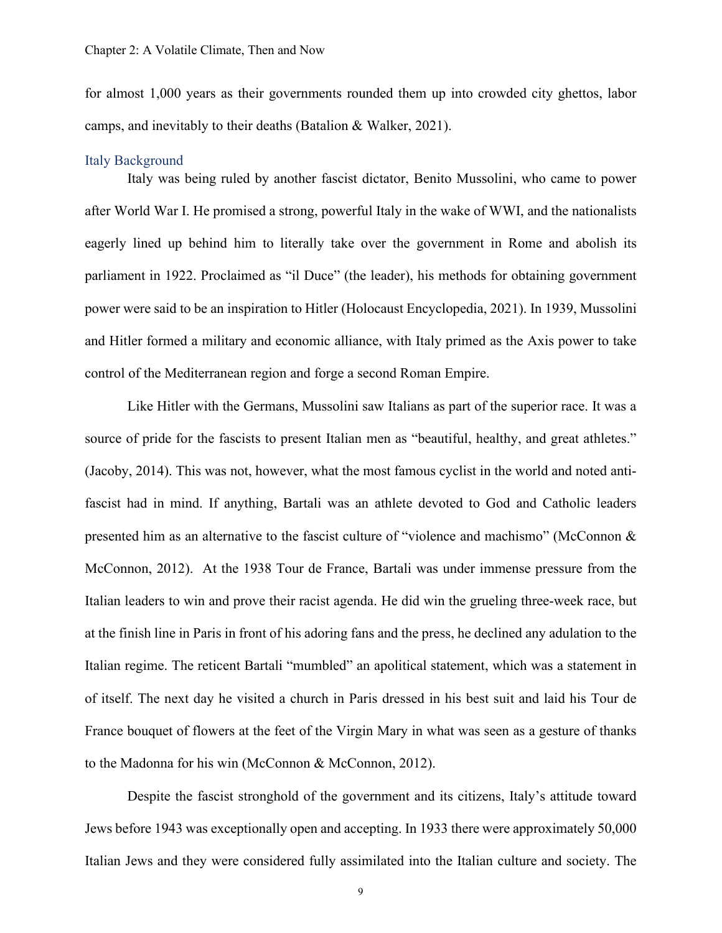for almost 1,000 years as their governments rounded them up into crowded city ghettos, labor camps, and inevitably to their deaths (Batalion & Walker, 2021).

#### <span id="page-12-0"></span>Italy Background

Italy was being ruled by another fascist dictator, Benito Mussolini, who came to power after World War I. He promised a strong, powerful Italy in the wake of WWI, and the nationalists eagerly lined up behind him to literally take over the government in Rome and abolish its parliament in 1922. Proclaimed as "il Duce" (the leader), his methods for obtaining government power were said to be an inspiration to Hitler (Holocaust Encyclopedia, 2021). In 1939, Mussolini and Hitler formed a military and economic alliance, with Italy primed as the Axis power to take control of the Mediterranean region and forge a second Roman Empire.

Like Hitler with the Germans, Mussolini saw Italians as part of the superior race. It was a source of pride for the fascists to present Italian men as "beautiful, healthy, and great athletes." (Jacoby, 2014). This was not, however, what the most famous cyclist in the world and noted antifascist had in mind. If anything, Bartali was an athlete devoted to God and Catholic leaders presented him as an alternative to the fascist culture of "violence and machismo" (McConnon & McConnon, 2012). At the 1938 Tour de France, Bartali was under immense pressure from the Italian leaders to win and prove their racist agenda. He did win the grueling three-week race, but at the finish line in Paris in front of his adoring fans and the press, he declined any adulation to the Italian regime. The reticent Bartali "mumbled" an apolitical statement, which was a statement in of itself. The next day he visited a church in Paris dressed in his best suit and laid his Tour de France bouquet of flowers at the feet of the Virgin Mary in what was seen as a gesture of thanks to the Madonna for his win (McConnon & McConnon, 2012).

Despite the fascist stronghold of the government and its citizens, Italy's attitude toward Jews before 1943 was exceptionally open and accepting. In 1933 there were approximately 50,000 Italian Jews and they were considered fully assimilated into the Italian culture and society. The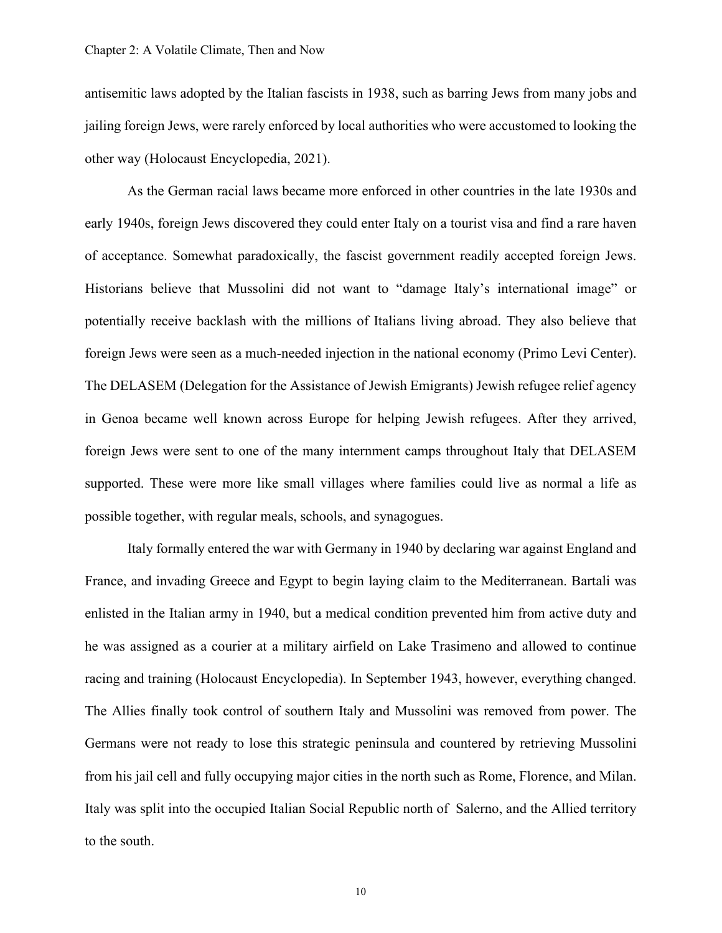antisemitic laws adopted by the Italian fascists in 1938, such as barring Jews from many jobs and jailing foreign Jews, were rarely enforced by local authorities who were accustomed to looking the other way (Holocaust Encyclopedia, 2021).

As the German racial laws became more enforced in other countries in the late 1930s and early 1940s, foreign Jews discovered they could enter Italy on a tourist visa and find a rare haven of acceptance. Somewhat paradoxically, the fascist government readily accepted foreign Jews. Historians believe that Mussolini did not want to "damage Italy's international image" or potentially receive backlash with the millions of Italians living abroad. They also believe that foreign Jews were seen as a much-needed injection in the national economy (Primo Levi Center). The DELASEM (Delegation for the Assistance of Jewish Emigrants) Jewish refugee relief agency in Genoa became well known across Europe for helping Jewish refugees. After they arrived, foreign Jews were sent to one of the many internment camps throughout Italy that DELASEM supported. These were more like small villages where families could live as normal a life as possible together, with regular meals, schools, and synagogues.

Italy formally entered the war with Germany in 1940 by declaring war against England and France, and invading Greece and Egypt to begin laying claim to the Mediterranean. Bartali was enlisted in the Italian army in 1940, but a medical condition prevented him from active duty and he was assigned as a courier at a military airfield on Lake Trasimeno and allowed to continue racing and training (Holocaust Encyclopedia). In September 1943, however, everything changed. The Allies finally took control of southern Italy and Mussolini was removed from power. The Germans were not ready to lose this strategic peninsula and countered by retrieving Mussolini from his jail cell and fully occupying major cities in the north such as Rome, Florence, and Milan. Italy was split into the occupied Italian Social Republic north of Salerno, and the Allied territory to the south.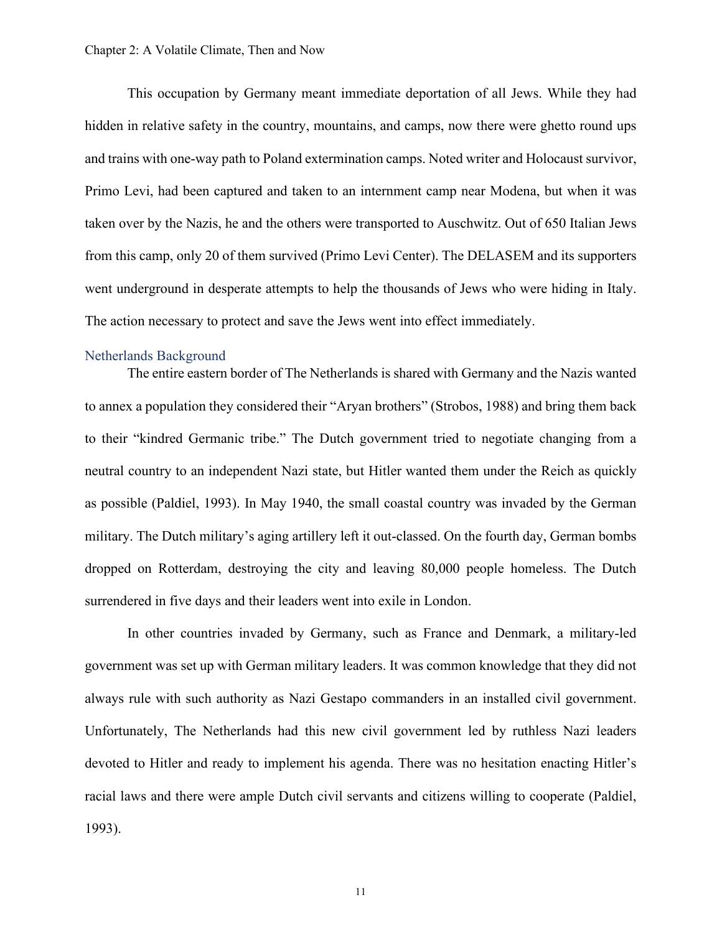This occupation by Germany meant immediate deportation of all Jews. While they had hidden in relative safety in the country, mountains, and camps, now there were ghetto round ups and trains with one-way path to Poland extermination camps. Noted writer and Holocaust survivor, Primo Levi, had been captured and taken to an internment camp near Modena, but when it was taken over by the Nazis, he and the others were transported to Auschwitz. Out of 650 Italian Jews from this camp, only 20 of them survived (Primo Levi Center). The DELASEM and its supporters went underground in desperate attempts to help the thousands of Jews who were hiding in Italy. The action necessary to protect and save the Jews went into effect immediately.

#### <span id="page-14-0"></span>Netherlands Background

The entire eastern border of The Netherlands is shared with Germany and the Nazis wanted to annex a population they considered their "Aryan brothers" (Strobos, 1988) and bring them back to their "kindred Germanic tribe." The Dutch government tried to negotiate changing from a neutral country to an independent Nazi state, but Hitler wanted them under the Reich as quickly as possible (Paldiel, 1993). In May 1940, the small coastal country was invaded by the German military. The Dutch military's aging artillery left it out-classed. On the fourth day, German bombs dropped on Rotterdam, destroying the city and leaving 80,000 people homeless. The Dutch surrendered in five days and their leaders went into exile in London.

In other countries invaded by Germany, such as France and Denmark, a military-led government was set up with German military leaders. It was common knowledge that they did not always rule with such authority as Nazi Gestapo commanders in an installed civil government. Unfortunately, The Netherlands had this new civil government led by ruthless Nazi leaders devoted to Hitler and ready to implement his agenda. There was no hesitation enacting Hitler's racial laws and there were ample Dutch civil servants and citizens willing to cooperate (Paldiel, 1993).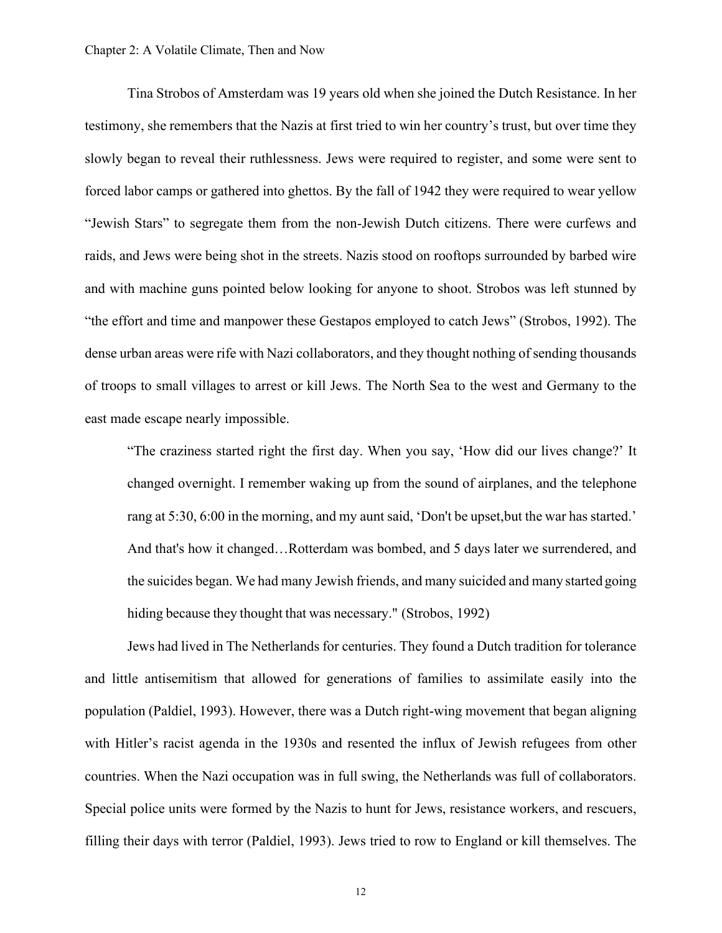#### Chapter 2: A Volatile Climate, Then and Now

Tina Strobos of Amsterdam was 19 years old when she joined the Dutch Resistance. In her testimony, she remembers that the Nazis at first tried to win her country's trust, but over time they slowly began to reveal their ruthlessness. Jews were required to register, and some were sent to forced labor camps or gathered into ghettos. By the fall of 1942 they were required to wear yellow "Jewish Stars" to segregate them from the non-Jewish Dutch citizens. There were curfews and raids, and Jews were being shot in the streets. Nazis stood on rooftops surrounded by barbed wire and with machine guns pointed below looking for anyone to shoot. Strobos was left stunned by "the effort and time and manpower these Gestapos employed to catch Jews" (Strobos, 1992). The dense urban areas were rife with Nazi collaborators, and they thought nothing of sending thousands of troops to small villages to arrest or kill Jews. The North Sea to the west and Germany to the east made escape nearly impossible.

"The craziness started right the first day. When you say, 'How did our lives change?' It changed overnight. I remember waking up from the sound of airplanes, and the telephone rang at 5:30, 6:00 in the morning, and my aunt said, 'Don't be upset,but the war has started.' And that's how it changed…Rotterdam was bombed, and 5 days later we surrendered, and the suicides began. We had many Jewish friends, and many suicided and many started going hiding because they thought that was necessary." (Strobos, 1992)

Jews had lived in The Netherlands for centuries. They found a Dutch tradition for tolerance and little antisemitism that allowed for generations of families to assimilate easily into the population (Paldiel, 1993). However, there was a Dutch right-wing movement that began aligning with Hitler's racist agenda in the 1930s and resented the influx of Jewish refugees from other countries. When the Nazi occupation was in full swing, the Netherlands was full of collaborators. Special police units were formed by the Nazis to hunt for Jews, resistance workers, and rescuers, filling their days with terror (Paldiel, 1993). Jews tried to row to England or kill themselves. The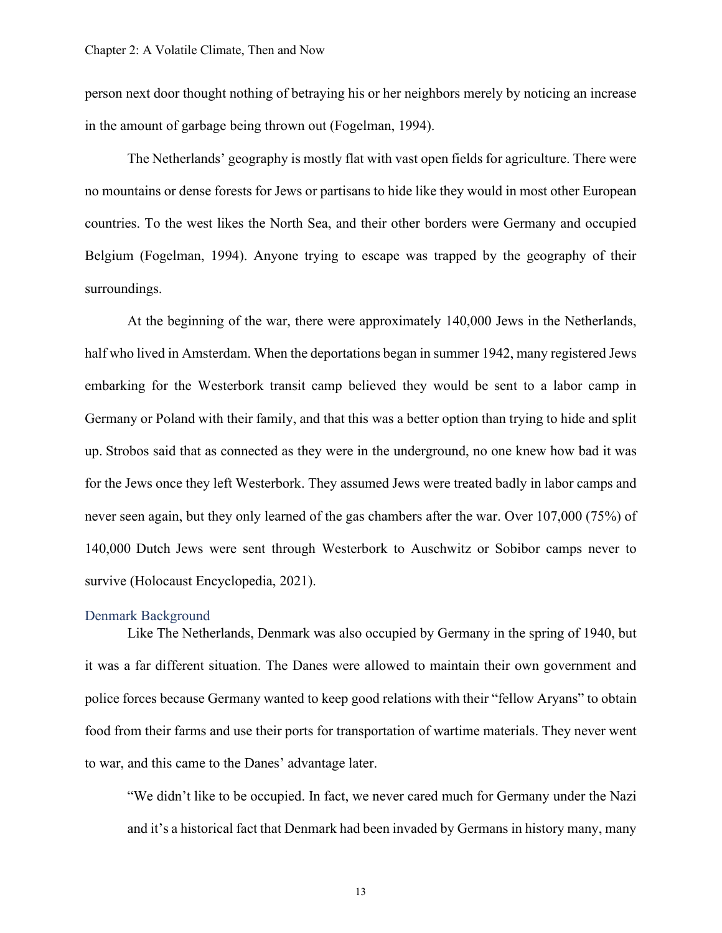person next door thought nothing of betraying his or her neighbors merely by noticing an increase in the amount of garbage being thrown out (Fogelman, 1994).

The Netherlands' geography is mostly flat with vast open fields for agriculture. There were no mountains or dense forests for Jews or partisans to hide like they would in most other European countries. To the west likes the North Sea, and their other borders were Germany and occupied Belgium (Fogelman, 1994). Anyone trying to escape was trapped by the geography of their surroundings.

At the beginning of the war, there were approximately 140,000 Jews in the Netherlands, half who lived in Amsterdam. When the deportations began in summer 1942, many registered Jews embarking for the Westerbork transit camp believed they would be sent to a labor camp in Germany or Poland with their family, and that this was a better option than trying to hide and split up. Strobos said that as connected as they were in the underground, no one knew how bad it was for the Jews once they left Westerbork. They assumed Jews were treated badly in labor camps and never seen again, but they only learned of the gas chambers after the war. Over 107,000 (75%) of 140,000 Dutch Jews were sent through Westerbork to Auschwitz or Sobibor camps never to survive (Holocaust Encyclopedia, 2021).

### <span id="page-16-0"></span>Denmark Background

Like The Netherlands, Denmark was also occupied by Germany in the spring of 1940, but it was a far different situation. The Danes were allowed to maintain their own government and police forces because Germany wanted to keep good relations with their "fellow Aryans" to obtain food from their farms and use their ports for transportation of wartime materials. They never went to war, and this came to the Danes' advantage later.

"We didn't like to be occupied. In fact, we never cared much for Germany under the Nazi and it's a historical fact that Denmark had been invaded by Germans in history many, many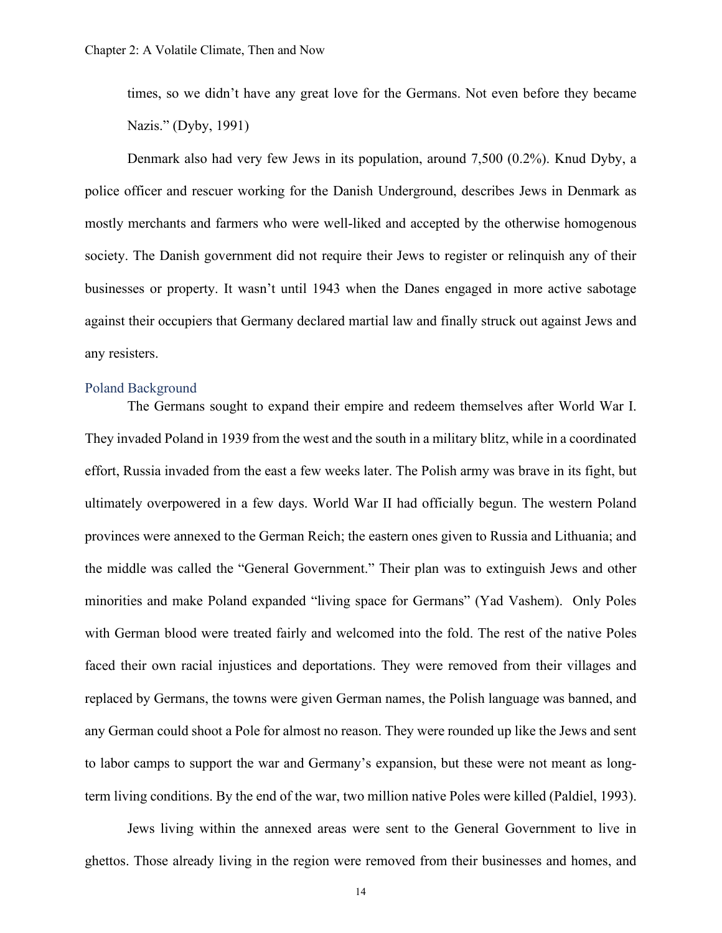times, so we didn't have any great love for the Germans. Not even before they became Nazis." (Dyby, 1991)

Denmark also had very few Jews in its population, around 7,500 (0.2%). Knud Dyby, a police officer and rescuer working for the Danish Underground, describes Jews in Denmark as mostly merchants and farmers who were well-liked and accepted by the otherwise homogenous society. The Danish government did not require their Jews to register or relinquish any of their businesses or property. It wasn't until 1943 when the Danes engaged in more active sabotage against their occupiers that Germany declared martial law and finally struck out against Jews and any resisters.

#### <span id="page-17-0"></span>Poland Background

The Germans sought to expand their empire and redeem themselves after World War I. They invaded Poland in 1939 from the west and the south in a military blitz, while in a coordinated effort, Russia invaded from the east a few weeks later. The Polish army was brave in its fight, but ultimately overpowered in a few days. World War II had officially begun. The western Poland provinces were annexed to the German Reich; the eastern ones given to Russia and Lithuania; and the middle was called the "General Government." Their plan was to extinguish Jews and other minorities and make Poland expanded "living space for Germans" (Yad Vashem). Only Poles with German blood were treated fairly and welcomed into the fold. The rest of the native Poles faced their own racial injustices and deportations. They were removed from their villages and replaced by Germans, the towns were given German names, the Polish language was banned, and any German could shoot a Pole for almost no reason. They were rounded up like the Jews and sent to labor camps to support the war and Germany's expansion, but these were not meant as longterm living conditions. By the end of the war, two million native Poles were killed (Paldiel, 1993).

Jews living within the annexed areas were sent to the General Government to live in ghettos. Those already living in the region were removed from their businesses and homes, and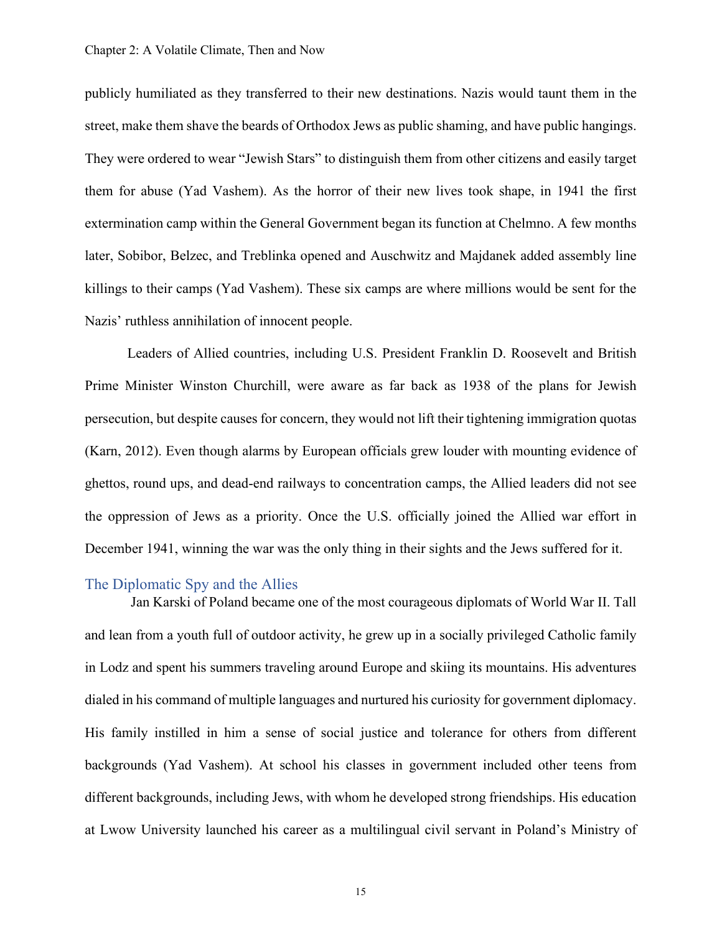publicly humiliated as they transferred to their new destinations. Nazis would taunt them in the street, make them shave the beards of Orthodox Jews as public shaming, and have public hangings. They were ordered to wear "Jewish Stars" to distinguish them from other citizens and easily target them for abuse (Yad Vashem). As the horror of their new lives took shape, in 1941 the first extermination camp within the General Government began its function at Chelmno. A few months later, Sobibor, Belzec, and Treblinka opened and Auschwitz and Majdanek added assembly line killings to their camps (Yad Vashem). These six camps are where millions would be sent for the Nazis' ruthless annihilation of innocent people.

Leaders of Allied countries, including U.S. President Franklin D. Roosevelt and British Prime Minister Winston Churchill, were aware as far back as 1938 of the plans for Jewish persecution, but despite causes for concern, they would not lift their tightening immigration quotas (Karn, 2012). Even though alarms by European officials grew louder with mounting evidence of ghettos, round ups, and dead-end railways to concentration camps, the Allied leaders did not see the oppression of Jews as a priority. Once the U.S. officially joined the Allied war effort in December 1941, winning the war was the only thing in their sights and the Jews suffered for it.

#### <span id="page-18-0"></span>The Diplomatic Spy and the Allies

Jan Karski of Poland became one of the most courageous diplomats of World War II. Tall and lean from a youth full of outdoor activity, he grew up in a socially privileged Catholic family in Lodz and spent his summers traveling around Europe and skiing its mountains. His adventures dialed in his command of multiple languages and nurtured his curiosity for government diplomacy. His family instilled in him a sense of social justice and tolerance for others from different backgrounds (Yad Vashem). At school his classes in government included other teens from different backgrounds, including Jews, with whom he developed strong friendships. His education at Lwow University launched his career as a multilingual civil servant in Poland's Ministry of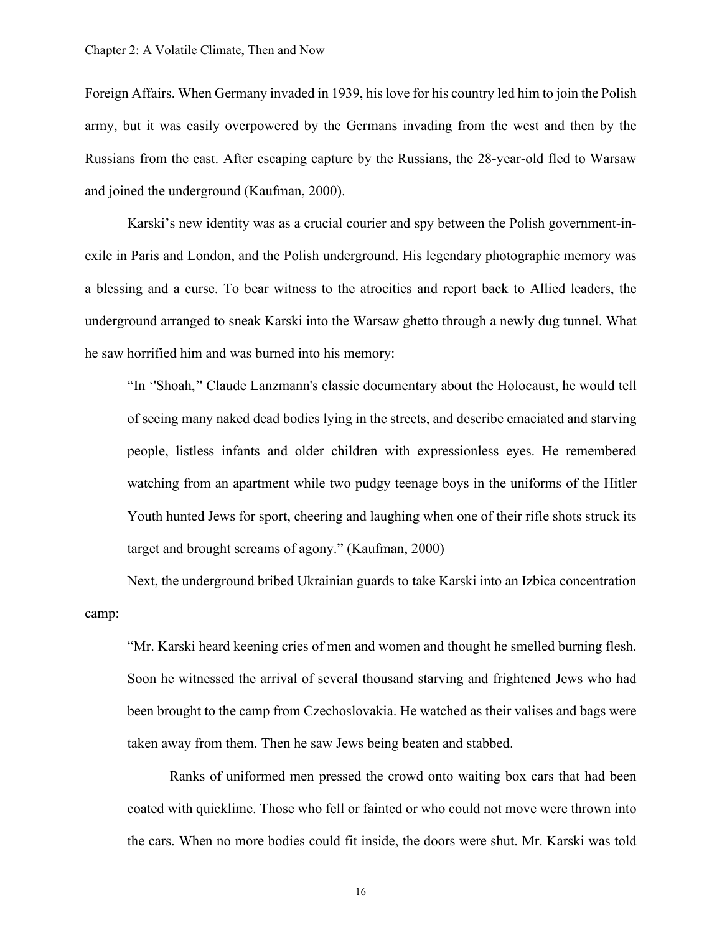Foreign Affairs. When Germany invaded in 1939, his love for his country led him to join the Polish army, but it was easily overpowered by the Germans invading from the west and then by the Russians from the east. After escaping capture by the Russians, the 28-year-old fled to Warsaw and joined the underground (Kaufman, 2000).

Karski's new identity was as a crucial courier and spy between the Polish government-inexile in Paris and London, and the Polish underground. His legendary photographic memory was a blessing and a curse. To bear witness to the atrocities and report back to Allied leaders, the underground arranged to sneak Karski into the Warsaw ghetto through a newly dug tunnel. What he saw horrified him and was burned into his memory:

"In ''Shoah,'' Claude Lanzmann's classic documentary about the Holocaust, he would tell of seeing many naked dead bodies lying in the streets, and describe emaciated and starving people, listless infants and older children with expressionless eyes. He remembered watching from an apartment while two pudgy teenage boys in the uniforms of the Hitler Youth hunted Jews for sport, cheering and laughing when one of their rifle shots struck its target and brought screams of agony." (Kaufman, 2000)

Next, the underground bribed Ukrainian guards to take Karski into an Izbica concentration camp:

"Mr. Karski heard keening cries of men and women and thought he smelled burning flesh. Soon he witnessed the arrival of several thousand starving and frightened Jews who had been brought to the camp from Czechoslovakia. He watched as their valises and bags were taken away from them. Then he saw Jews being beaten and stabbed.

Ranks of uniformed men pressed the crowd onto waiting box cars that had been coated with quicklime. Those who fell or fainted or who could not move were thrown into the cars. When no more bodies could fit inside, the doors were shut. Mr. Karski was told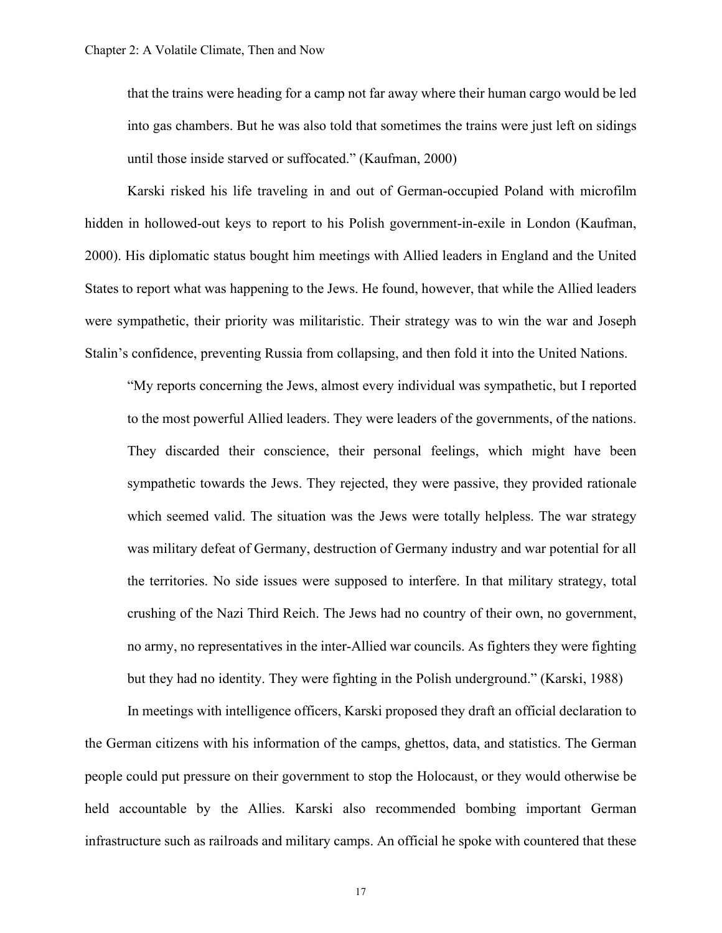that the trains were heading for a camp not far away where their human cargo would be led into gas chambers. But he was also told that sometimes the trains were just left on sidings until those inside starved or suffocated." (Kaufman, 2000)

Karski risked his life traveling in and out of German-occupied Poland with microfilm hidden in hollowed-out keys to report to his Polish government-in-exile in London (Kaufman, 2000). His diplomatic status bought him meetings with Allied leaders in England and the United States to report what was happening to the Jews. He found, however, that while the Allied leaders were sympathetic, their priority was militaristic. Their strategy was to win the war and Joseph Stalin's confidence, preventing Russia from collapsing, and then fold it into the United Nations.

"My reports concerning the Jews, almost every individual was sympathetic, but I reported to the most powerful Allied leaders. They were leaders of the governments, of the nations. They discarded their conscience, their personal feelings, which might have been sympathetic towards the Jews. They rejected, they were passive, they provided rationale which seemed valid. The situation was the Jews were totally helpless. The war strategy was military defeat of Germany, destruction of Germany industry and war potential for all the territories. No side issues were supposed to interfere. In that military strategy, total crushing of the Nazi Third Reich. The Jews had no country of their own, no government, no army, no representatives in the inter-Allied war councils. As fighters they were fighting but they had no identity. They were fighting in the Polish underground." (Karski, 1988)

In meetings with intelligence officers, Karski proposed they draft an official declaration to the German citizens with his information of the camps, ghettos, data, and statistics. The German people could put pressure on their government to stop the Holocaust, or they would otherwise be held accountable by the Allies. Karski also recommended bombing important German infrastructure such as railroads and military camps. An official he spoke with countered that these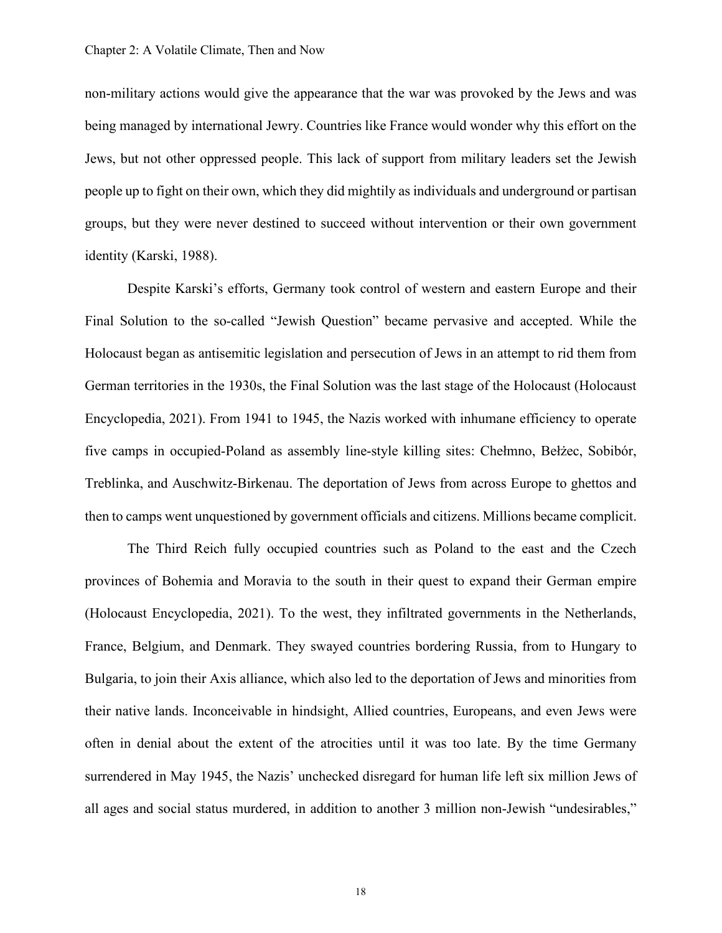non-military actions would give the appearance that the war was provoked by the Jews and was being managed by international Jewry. Countries like France would wonder why this effort on the Jews, but not other oppressed people. This lack of support from military leaders set the Jewish people up to fight on their own, which they did mightily as individuals and underground or partisan groups, but they were never destined to succeed without intervention or their own government identity (Karski, 1988).

Despite Karski's efforts, Germany took control of western and eastern Europe and their Final Solution to the so-called "Jewish Question" became pervasive and accepted. While the Holocaust began as antisemitic legislation and persecution of Jews in an attempt to rid them from German territories in the 1930s, the Final Solution was the last stage of the Holocaust (Holocaust Encyclopedia, 2021). From 1941 to 1945, the Nazis worked with inhumane efficiency to operate five camps in occupied-Poland as assembly line-style killing sites: Chełmno, Bełżec, Sobibór, Treblinka, and Auschwitz-Birkenau. The deportation of Jews from across Europe to ghettos and then to camps went unquestioned by government officials and citizens. Millions became complicit.

The Third Reich fully occupied countries such as Poland to the east and the Czech provinces of Bohemia and Moravia to the south in their quest to expand their German empire (Holocaust Encyclopedia, 2021). To the west, they infiltrated governments in the Netherlands, France, Belgium, and Denmark. They swayed countries bordering Russia, from to Hungary to Bulgaria, to join their Axis alliance, which also led to the deportation of Jews and minorities from their native lands. Inconceivable in hindsight, Allied countries, Europeans, and even Jews were often in denial about the extent of the atrocities until it was too late. By the time Germany surrendered in May 1945, the Nazis' unchecked disregard for human life left six million Jews of all ages and social status murdered, in addition to another 3 million non-Jewish "undesirables,"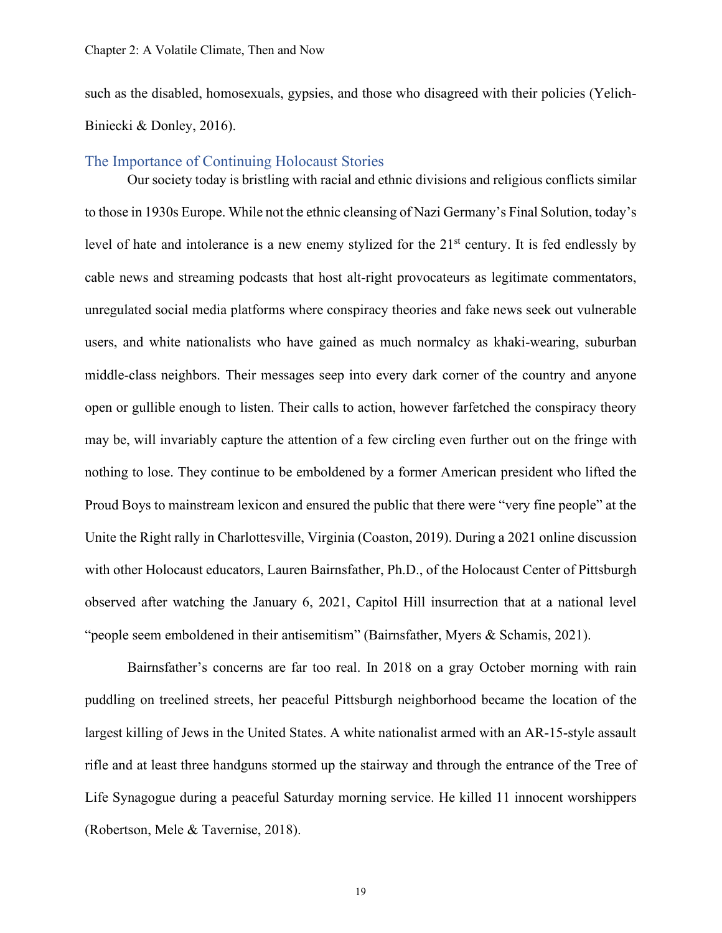such as the disabled, homosexuals, gypsies, and those who disagreed with their policies (Yelich-Biniecki & Donley, 2016).

### <span id="page-22-0"></span>The Importance of Continuing Holocaust Stories

Our society today is bristling with racial and ethnic divisions and religious conflicts similar to those in 1930s Europe. While not the ethnic cleansing of Nazi Germany's Final Solution, today's level of hate and intolerance is a new enemy stylized for the  $21<sup>st</sup>$  century. It is fed endlessly by cable news and streaming podcasts that host alt-right provocateurs as legitimate commentators, unregulated social media platforms where conspiracy theories and fake news seek out vulnerable users, and white nationalists who have gained as much normalcy as khaki-wearing, suburban middle-class neighbors. Their messages seep into every dark corner of the country and anyone open or gullible enough to listen. Their calls to action, however farfetched the conspiracy theory may be, will invariably capture the attention of a few circling even further out on the fringe with nothing to lose. They continue to be emboldened by a former American president who lifted the Proud Boys to mainstream lexicon and ensured the public that there were "very fine people" at the Unite the Right rally in Charlottesville, Virginia (Coaston, 2019). During a 2021 online discussion with other Holocaust educators, Lauren Bairnsfather, Ph.D., of the Holocaust Center of Pittsburgh observed after watching the January 6, 2021, Capitol Hill insurrection that at a national level "people seem emboldened in their antisemitism" (Bairnsfather, Myers & Schamis, 2021).

Bairnsfather's concerns are far too real. In 2018 on a gray October morning with rain puddling on treelined streets, her peaceful Pittsburgh neighborhood became the location of the largest killing of Jews in the United States. A white nationalist armed with an AR-15-style assault rifle and at least three handguns stormed up the stairway and through the entrance of the Tree of Life Synagogue during a peaceful Saturday morning service. He killed 11 innocent worshippers (Robertson, Mele & Tavernise, 2018).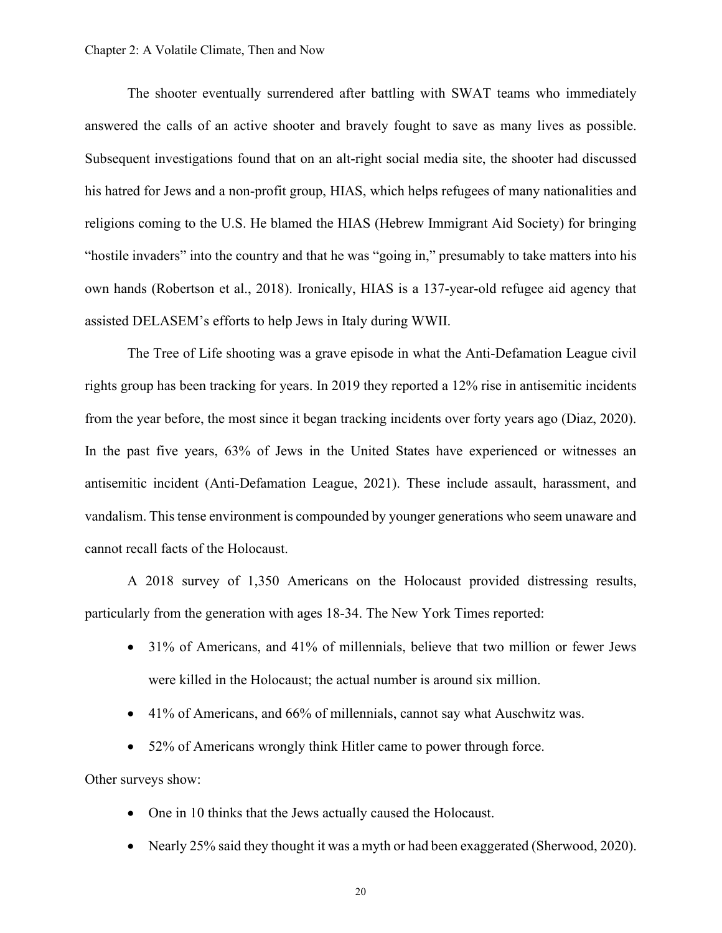The shooter eventually surrendered after battling with SWAT teams who immediately answered the calls of an active shooter and bravely fought to save as many lives as possible. Subsequent investigations found that on an alt-right social media site, the shooter had discussed his hatred for Jews and a non-profit group, HIAS, which helps refugees of many nationalities and religions coming to the U.S. He blamed the HIAS (Hebrew Immigrant Aid Society) for bringing "hostile invaders" into the country and that he was "going in," presumably to take matters into his own hands (Robertson et al., 2018). Ironically, HIAS is a 137-year-old refugee aid agency that assisted DELASEM's efforts to help Jews in Italy during WWII.

The Tree of Life shooting was a grave episode in what the Anti-Defamation League civil rights group has been tracking for years. In 2019 they reported a 12% rise in antisemitic incidents from the year before, the most since it began tracking incidents over forty years ago (Diaz, 2020). In the past five years, 63% of Jews in the United States have experienced or witnesses an antisemitic incident (Anti-Defamation League, 2021). These include assault, harassment, and vandalism. This tense environment is compounded by younger generations who seem unaware and cannot recall facts of the Holocaust.

A 2018 survey of 1,350 Americans on the Holocaust provided distressing results, particularly from the generation with ages 18-34. The New York Times reported:

- 31% of Americans, and 41% of millennials, believe that two million or fewer Jews were killed in the Holocaust; the actual number is around six million.
- 41% of Americans, and 66% of millennials, cannot say what Auschwitz was.
- 52% of Americans wrongly think Hitler came to power through force.

Other surveys show:

- One in 10 thinks that the Jews actually caused the Holocaust.
- Nearly 25% said they thought it was a myth or had been exaggerated (Sherwood, 2020).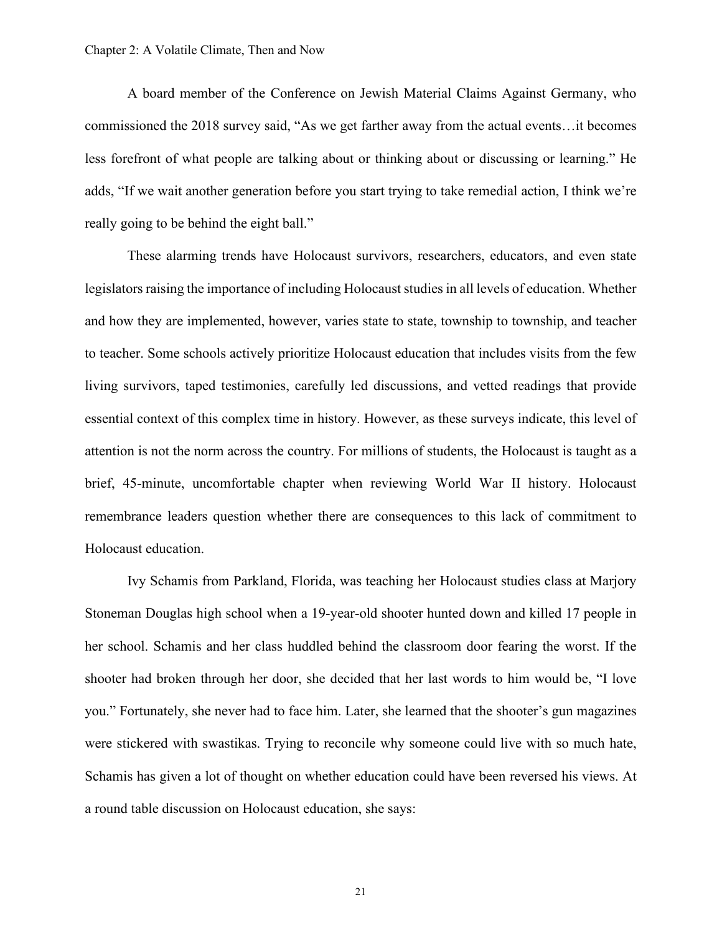A board member of the Conference on Jewish Material Claims Against Germany, who commissioned the 2018 survey said, "As we get farther away from the actual events…it becomes less forefront of what people are talking about or thinking about or discussing or learning." He adds, "If we wait another generation before you start trying to take remedial action, I think we're really going to be behind the eight ball."

These alarming trends have Holocaust survivors, researchers, educators, and even state legislators raising the importance of including Holocaust studies in all levels of education. Whether and how they are implemented, however, varies state to state, township to township, and teacher to teacher. Some schools actively prioritize Holocaust education that includes visits from the few living survivors, taped testimonies, carefully led discussions, and vetted readings that provide essential context of this complex time in history. However, as these surveys indicate, this level of attention is not the norm across the country. For millions of students, the Holocaust is taught as a brief, 45-minute, uncomfortable chapter when reviewing World War II history. Holocaust remembrance leaders question whether there are consequences to this lack of commitment to Holocaust education.

Ivy Schamis from Parkland, Florida, was teaching her Holocaust studies class at Marjory Stoneman Douglas high school when a 19-year-old shooter hunted down and killed 17 people in her school. Schamis and her class huddled behind the classroom door fearing the worst. If the shooter had broken through her door, she decided that her last words to him would be, "I love you." Fortunately, she never had to face him. Later, she learned that the shooter's gun magazines were stickered with swastikas. Trying to reconcile why someone could live with so much hate, Schamis has given a lot of thought on whether education could have been reversed his views. At a round table discussion on Holocaust education, she says: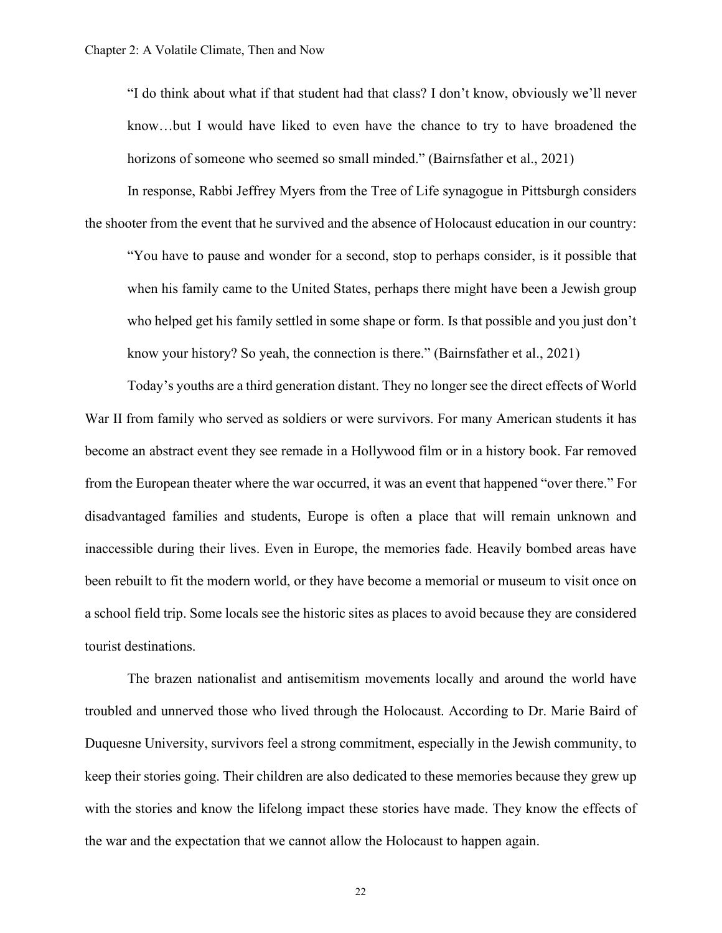"I do think about what if that student had that class? I don't know, obviously we'll never know…but I would have liked to even have the chance to try to have broadened the horizons of someone who seemed so small minded." (Bairnsfather et al., 2021)

In response, Rabbi Jeffrey Myers from the Tree of Life synagogue in Pittsburgh considers the shooter from the event that he survived and the absence of Holocaust education in our country:

"You have to pause and wonder for a second, stop to perhaps consider, is it possible that when his family came to the United States, perhaps there might have been a Jewish group who helped get his family settled in some shape or form. Is that possible and you just don't know your history? So yeah, the connection is there." (Bairnsfather et al., 2021)

Today's youths are a third generation distant. They no longer see the direct effects of World War II from family who served as soldiers or were survivors. For many American students it has become an abstract event they see remade in a Hollywood film or in a history book. Far removed from the European theater where the war occurred, it was an event that happened "over there." For disadvantaged families and students, Europe is often a place that will remain unknown and inaccessible during their lives. Even in Europe, the memories fade. Heavily bombed areas have been rebuilt to fit the modern world, or they have become a memorial or museum to visit once on a school field trip. Some locals see the historic sites as places to avoid because they are considered tourist destinations.

The brazen nationalist and antisemitism movements locally and around the world have troubled and unnerved those who lived through the Holocaust. According to Dr. Marie Baird of Duquesne University, survivors feel a strong commitment, especially in the Jewish community, to keep their stories going. Their children are also dedicated to these memories because they grew up with the stories and know the lifelong impact these stories have made. They know the effects of the war and the expectation that we cannot allow the Holocaust to happen again.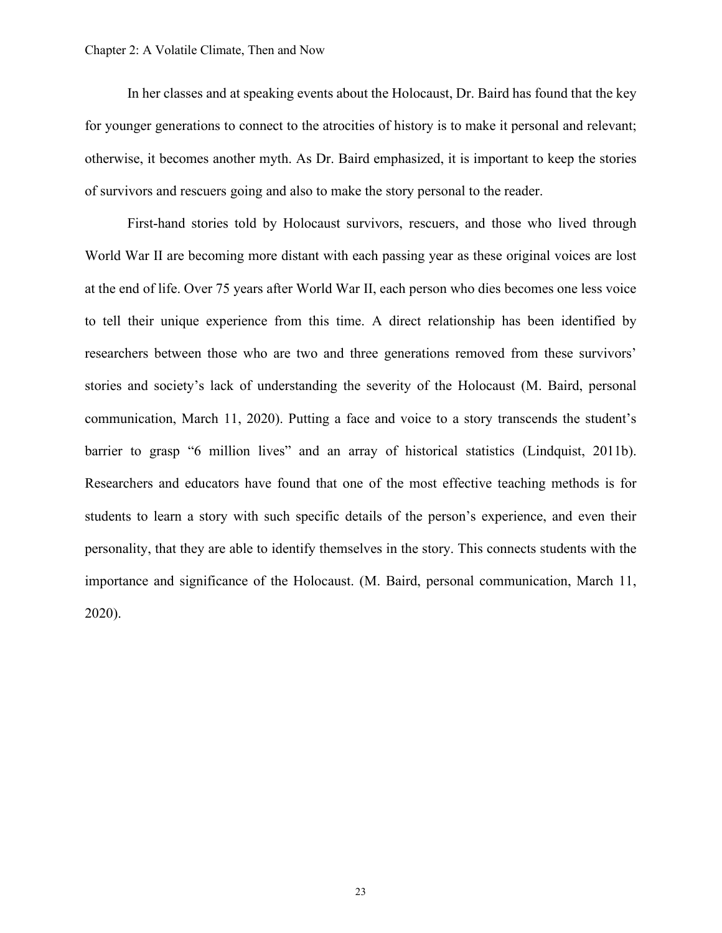In her classes and at speaking events about the Holocaust, Dr. Baird has found that the key for younger generations to connect to the atrocities of history is to make it personal and relevant; otherwise, it becomes another myth. As Dr. Baird emphasized, it is important to keep the stories of survivors and rescuers going and also to make the story personal to the reader.

First-hand stories told by Holocaust survivors, rescuers, and those who lived through World War II are becoming more distant with each passing year as these original voices are lost at the end of life. Over 75 years after World War II, each person who dies becomes one less voice to tell their unique experience from this time. A direct relationship has been identified by researchers between those who are two and three generations removed from these survivors' stories and society's lack of understanding the severity of the Holocaust (M. Baird, personal communication, March 11, 2020). Putting a face and voice to a story transcends the student's barrier to grasp "6 million lives" and an array of historical statistics (Lindquist, 2011b). Researchers and educators have found that one of the most effective teaching methods is for students to learn a story with such specific details of the person's experience, and even their personality, that they are able to identify themselves in the story. This connects students with the importance and significance of the Holocaust. (M. Baird, personal communication, March 11, 2020).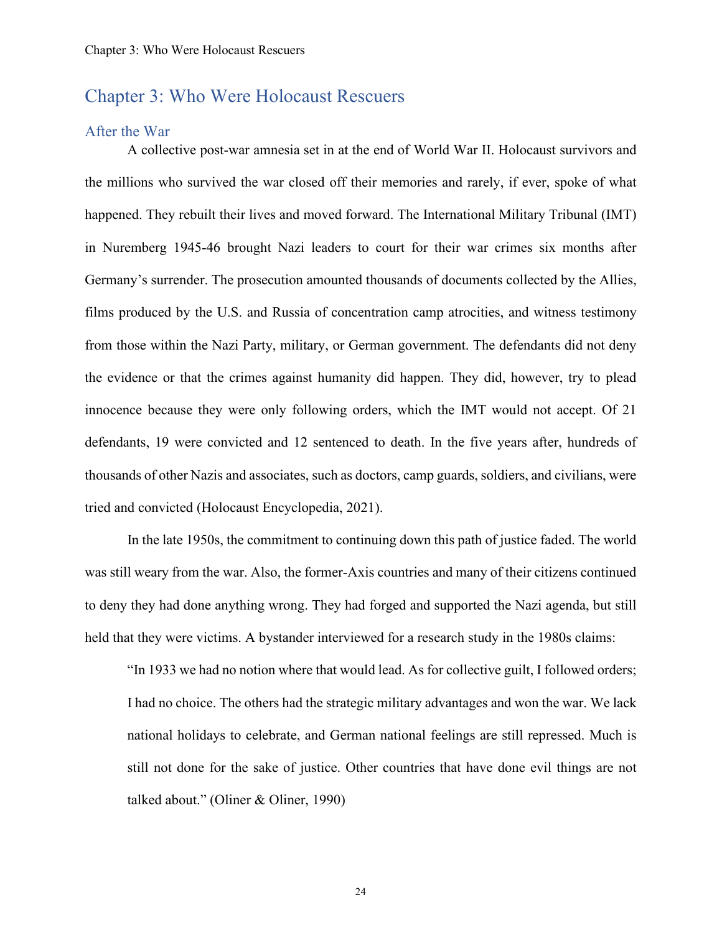## <span id="page-27-0"></span>Chapter 3: Who Were Holocaust Rescuers

### <span id="page-27-1"></span>After the War

A collective post-war amnesia set in at the end of World War II. Holocaust survivors and the millions who survived the war closed off their memories and rarely, if ever, spoke of what happened. They rebuilt their lives and moved forward. The International Military Tribunal (IMT) in Nuremberg 1945-46 brought Nazi leaders to court for their war crimes six months after Germany's surrender. The prosecution amounted thousands of documents collected by the Allies, films produced by the U.S. and Russia of concentration camp atrocities, and witness testimony from those within the Nazi Party, military, or German government. The defendants did not deny the evidence or that the crimes against humanity did happen. They did, however, try to plead innocence because they were only following orders, which the IMT would not accept. Of 21 defendants, 19 were convicted and 12 sentenced to death. In the five years after, hundreds of thousands of other Nazis and associates, such as doctors, camp guards, soldiers, and civilians, were tried and convicted (Holocaust Encyclopedia, 2021).

In the late 1950s, the commitment to continuing down this path of justice faded. The world was still weary from the war. Also, the former-Axis countries and many of their citizens continued to deny they had done anything wrong. They had forged and supported the Nazi agenda, but still held that they were victims. A bystander interviewed for a research study in the 1980s claims:

"In 1933 we had no notion where that would lead. As for collective guilt, I followed orders; I had no choice. The others had the strategic military advantages and won the war. We lack national holidays to celebrate, and German national feelings are still repressed. Much is still not done for the sake of justice. Other countries that have done evil things are not talked about." (Oliner & Oliner, 1990)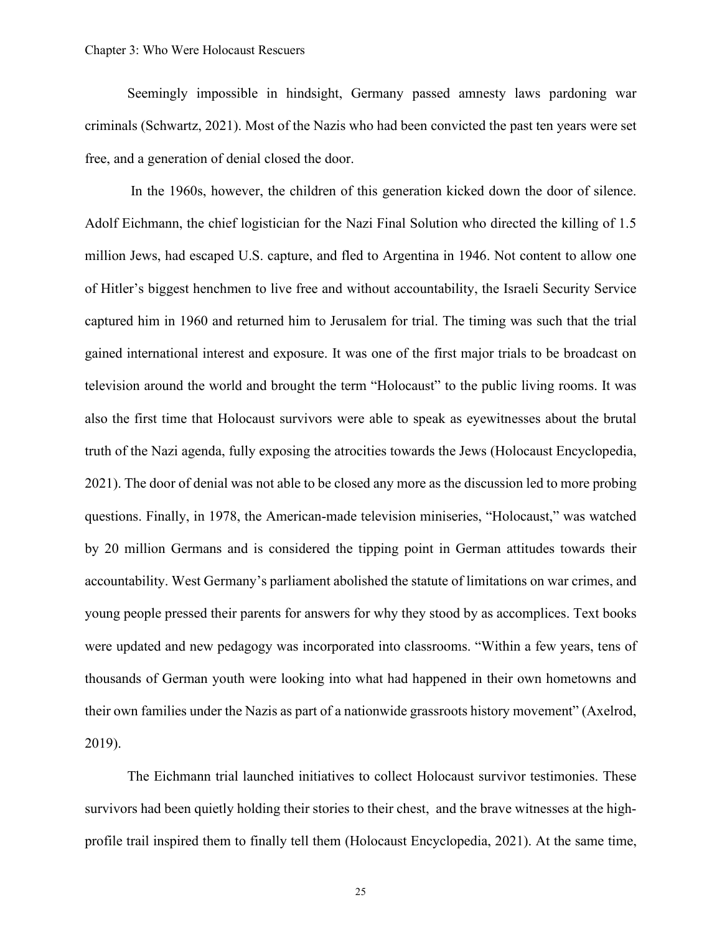Seemingly impossible in hindsight, Germany passed amnesty laws pardoning war criminals (Schwartz, 2021). Most of the Nazis who had been convicted the past ten years were set free, and a generation of denial closed the door.

In the 1960s, however, the children of this generation kicked down the door of silence. Adolf Eichmann, the chief logistician for the Nazi Final Solution who directed the killing of 1.5 million Jews, had escaped U.S. capture, and fled to Argentina in 1946. Not content to allow one of Hitler's biggest henchmen to live free and without accountability, the Israeli Security Service captured him in 1960 and returned him to Jerusalem for trial. The timing was such that the trial gained international interest and exposure. It was one of the first major trials to be broadcast on television around the world and brought the term "Holocaust" to the public living rooms. It was also the first time that Holocaust survivors were able to speak as eyewitnesses about the brutal truth of the Nazi agenda, fully exposing the atrocities towards the Jews (Holocaust Encyclopedia, 2021). The door of denial was not able to be closed any more as the discussion led to more probing questions. Finally, in 1978, the American-made television miniseries, "Holocaust," was watched by 20 million Germans and is considered the tipping point in German attitudes towards their accountability. West Germany's parliament abolished the statute of limitations on war crimes, and young people pressed their parents for answers for why they stood by as accomplices. Text books were updated and new pedagogy was incorporated into classrooms. "Within a few years, tens of thousands of German youth were looking into what had happened in their own hometowns and their own families under the Nazis as part of a nationwide grassroots history movement" (Axelrod, 2019).

The Eichmann trial launched initiatives to collect Holocaust survivor testimonies. These survivors had been quietly holding their stories to their chest, and the brave witnesses at the highprofile trail inspired them to finally tell them (Holocaust Encyclopedia, 2021). At the same time,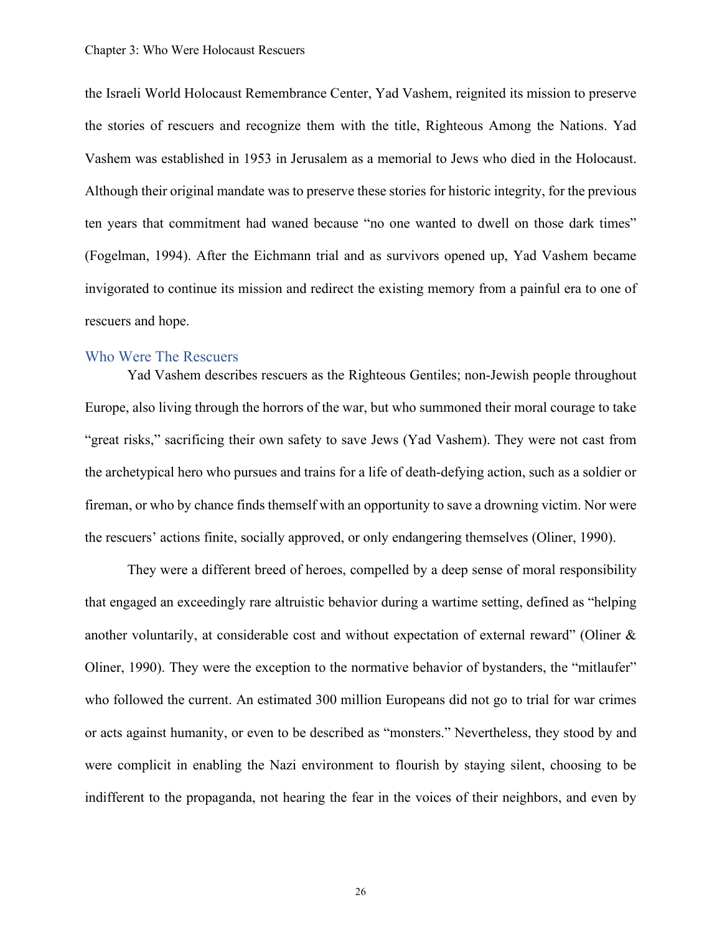the Israeli World Holocaust Remembrance Center, Yad Vashem, reignited its mission to preserve the stories of rescuers and recognize them with the title, Righteous Among the Nations. Yad Vashem was established in 1953 in Jerusalem as a memorial to Jews who died in the Holocaust. Although their original mandate was to preserve these stories for historic integrity, for the previous ten years that commitment had waned because "no one wanted to dwell on those dark times" (Fogelman, 1994). After the Eichmann trial and as survivors opened up, Yad Vashem became invigorated to continue its mission and redirect the existing memory from a painful era to one of rescuers and hope.

#### <span id="page-29-0"></span>Who Were The Rescuers

Yad Vashem describes rescuers as the Righteous Gentiles; non-Jewish people throughout Europe, also living through the horrors of the war, but who summoned their moral courage to take "great risks," sacrificing their own safety to save Jews (Yad Vashem). They were not cast from the archetypical hero who pursues and trains for a life of death-defying action, such as a soldier or fireman, or who by chance finds themself with an opportunity to save a drowning victim. Nor were the rescuers' actions finite, socially approved, or only endangering themselves (Oliner, 1990).

They were a different breed of heroes, compelled by a deep sense of moral responsibility that engaged an exceedingly rare altruistic behavior during a wartime setting, defined as "helping another voluntarily, at considerable cost and without expectation of external reward" (Oliner & Oliner, 1990). They were the exception to the normative behavior of bystanders, the "mitlaufer" who followed the current. An estimated 300 million Europeans did not go to trial for war crimes or acts against humanity, or even to be described as "monsters." Nevertheless, they stood by and were complicit in enabling the Nazi environment to flourish by staying silent, choosing to be indifferent to the propaganda, not hearing the fear in the voices of their neighbors, and even by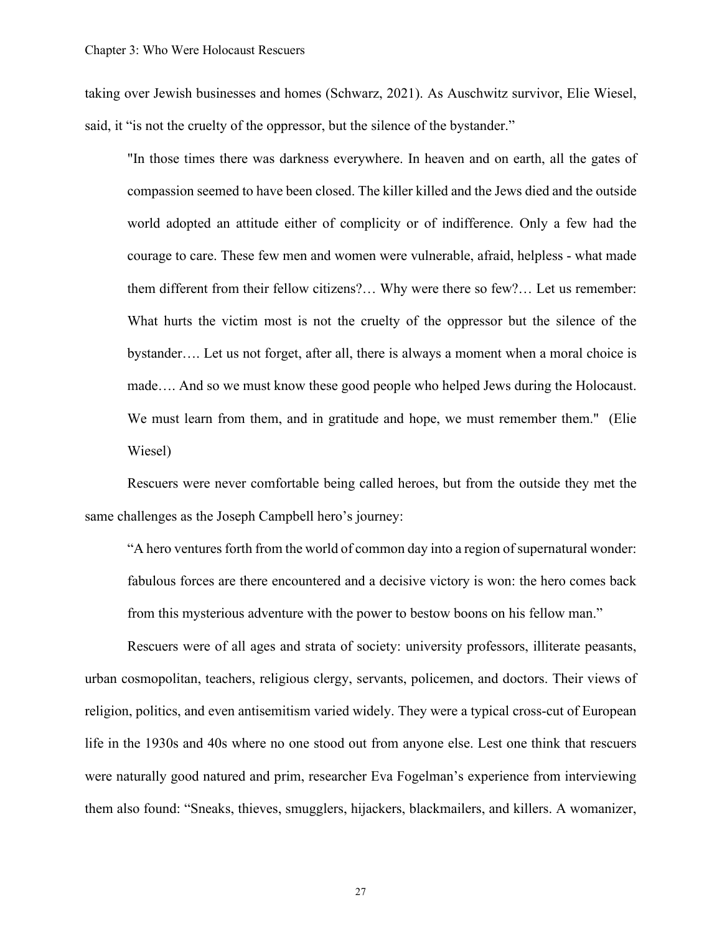taking over Jewish businesses and homes (Schwarz, 2021). As Auschwitz survivor, Elie Wiesel, said, it "is not the cruelty of the oppressor, but the silence of the bystander."

"In those times there was darkness everywhere. In heaven and on earth, all the gates of compassion seemed to have been closed. The killer killed and the Jews died and the outside world adopted an attitude either of complicity or of indifference. Only a few had the courage to care. These few men and women were vulnerable, afraid, helpless - what made them different from their fellow citizens?… Why were there so few?… Let us remember: What hurts the victim most is not the cruelty of the oppressor but the silence of the bystander…. Let us not forget, after all, there is always a moment when a moral choice is made…. And so we must know these good people who helped Jews during the Holocaust. We must learn from them, and in gratitude and hope, we must remember them." (Elie Wiesel)

Rescuers were never comfortable being called heroes, but from the outside they met the same challenges as the Joseph Campbell hero's journey:

"A hero ventures forth from the world of common day into a region of supernatural wonder: fabulous forces are there encountered and a decisive victory is won: the hero comes back from this mysterious adventure with the power to bestow boons on his fellow man."

Rescuers were of all ages and strata of society: university professors, illiterate peasants, urban cosmopolitan, teachers, religious clergy, servants, policemen, and doctors. Their views of religion, politics, and even antisemitism varied widely. They were a typical cross-cut of European life in the 1930s and 40s where no one stood out from anyone else. Lest one think that rescuers were naturally good natured and prim, researcher Eva Fogelman's experience from interviewing them also found: "Sneaks, thieves, smugglers, hijackers, blackmailers, and killers. A womanizer,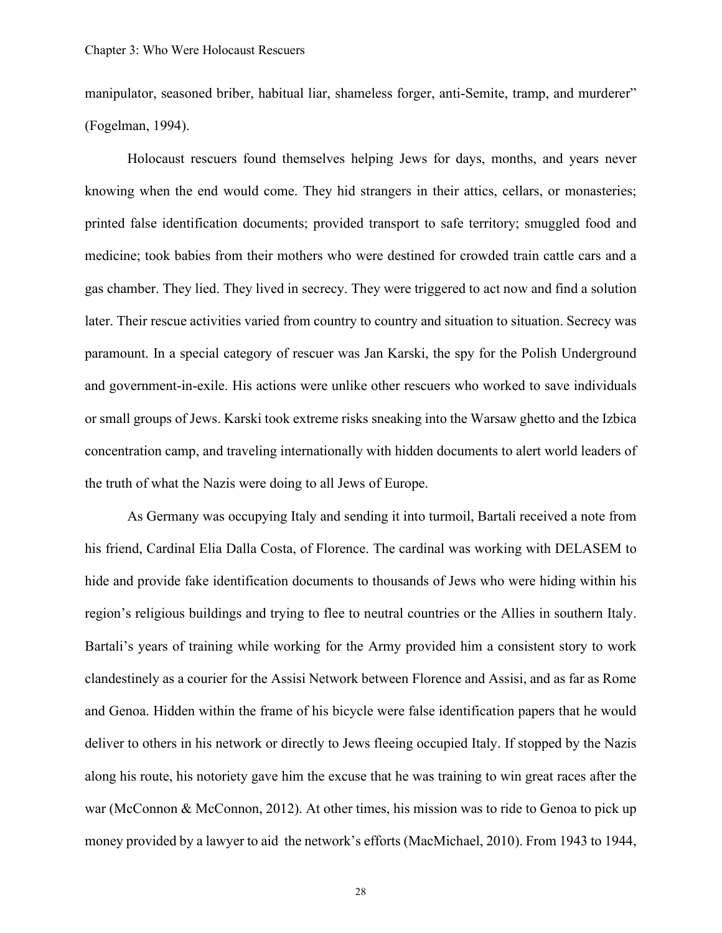manipulator, seasoned briber, habitual liar, shameless forger, anti-Semite, tramp, and murderer" (Fogelman, 1994).

Holocaust rescuers found themselves helping Jews for days, months, and years never knowing when the end would come. They hid strangers in their attics, cellars, or monasteries; printed false identification documents; provided transport to safe territory; smuggled food and medicine; took babies from their mothers who were destined for crowded train cattle cars and a gas chamber. They lied. They lived in secrecy. They were triggered to act now and find a solution later. Their rescue activities varied from country to country and situation to situation. Secrecy was paramount. In a special category of rescuer was Jan Karski, the spy for the Polish Underground and government-in-exile. His actions were unlike other rescuers who worked to save individuals or small groups of Jews. Karski took extreme risks sneaking into the Warsaw ghetto and the Izbica concentration camp, and traveling internationally with hidden documents to alert world leaders of the truth of what the Nazis were doing to all Jews of Europe.

As Germany was occupying Italy and sending it into turmoil, Bartali received a note from his friend, Cardinal Elia Dalla Costa, of Florence. The cardinal was working with DELASEM to hide and provide fake identification documents to thousands of Jews who were hiding within his region's religious buildings and trying to flee to neutral countries or the Allies in southern Italy. Bartali's years of training while working for the Army provided him a consistent story to work clandestinely as a courier for the Assisi Network between Florence and Assisi, and as far as Rome and Genoa. Hidden within the frame of his bicycle were false identification papers that he would deliver to others in his network or directly to Jews fleeing occupied Italy. If stopped by the Nazis along his route, his notoriety gave him the excuse that he was training to win great races after the war (McConnon & McConnon, 2012). At other times, his mission was to ride to Genoa to pick up money provided by a lawyer to aid the network's efforts (MacMichael, 2010). From 1943 to 1944,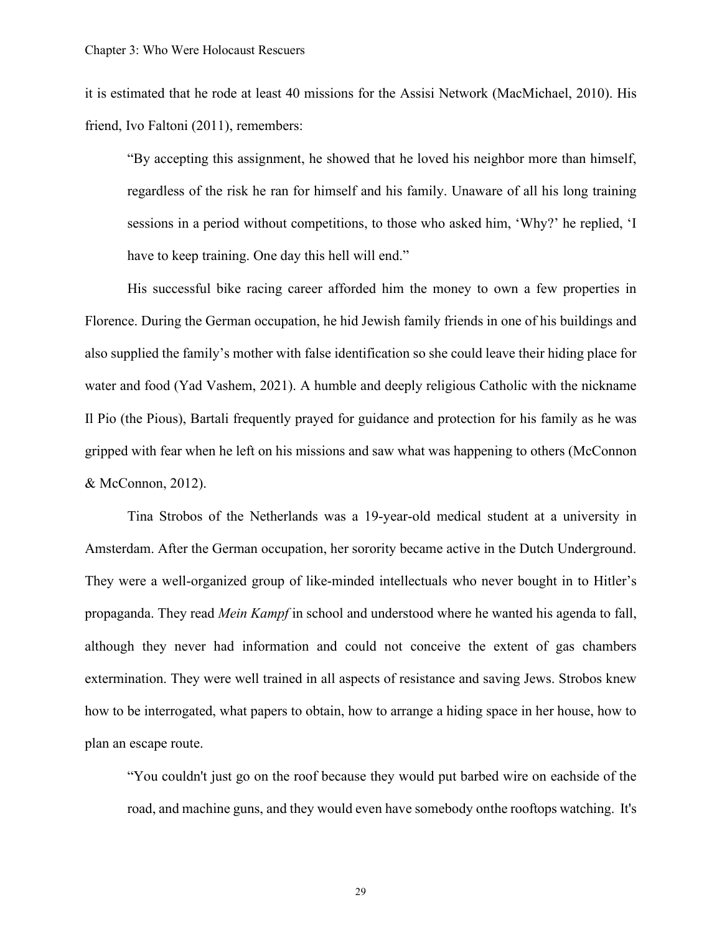it is estimated that he rode at least 40 missions for the Assisi Network (MacMichael, 2010). His friend, Ivo Faltoni (2011), remembers:

"By accepting this assignment, he showed that he loved his neighbor more than himself, regardless of the risk he ran for himself and his family. Unaware of all his long training sessions in a period without competitions, to those who asked him, 'Why?' he replied, 'I have to keep training. One day this hell will end."

His successful bike racing career afforded him the money to own a few properties in Florence. During the German occupation, he hid Jewish family friends in one of his buildings and also supplied the family's mother with false identification so she could leave their hiding place for water and food (Yad Vashem, 2021). A humble and deeply religious Catholic with the nickname Il Pio (the Pious), Bartali frequently prayed for guidance and protection for his family as he was gripped with fear when he left on his missions and saw what was happening to others (McConnon & McConnon, 2012).

Tina Strobos of the Netherlands was a 19-year-old medical student at a university in Amsterdam. After the German occupation, her sorority became active in the Dutch Underground. They were a well-organized group of like-minded intellectuals who never bought in to Hitler's propaganda. They read *Mein Kampf* in school and understood where he wanted his agenda to fall, although they never had information and could not conceive the extent of gas chambers extermination. They were well trained in all aspects of resistance and saving Jews. Strobos knew how to be interrogated, what papers to obtain, how to arrange a hiding space in her house, how to plan an escape route.

"You couldn't just go on the roof because they would put barbed wire on eachside of the road, and machine guns, and they would even have somebody on the rooftops watching. It's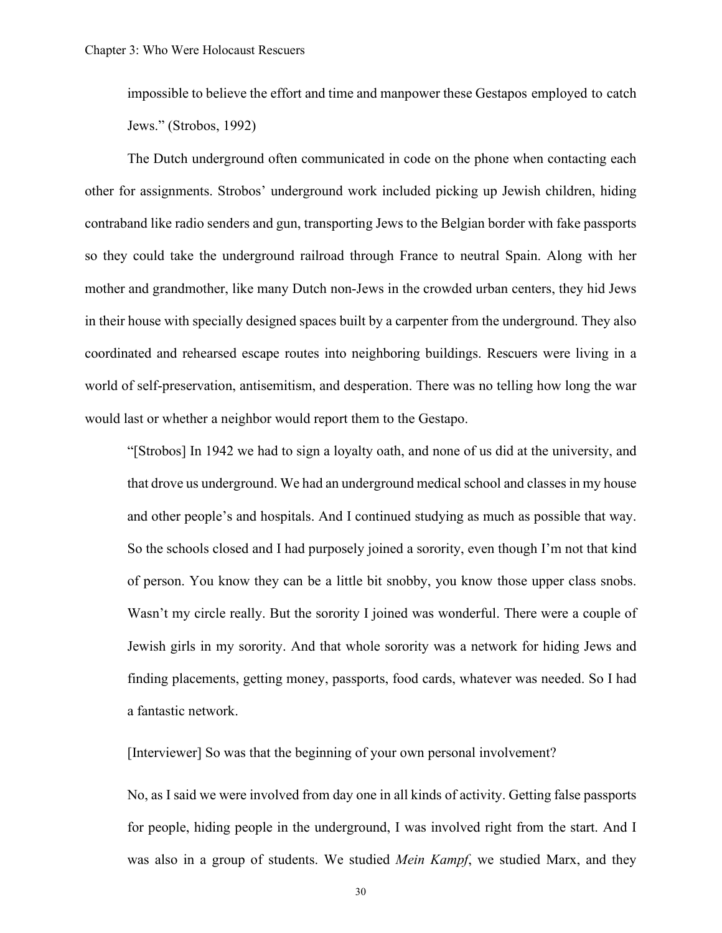impossible to believe the effort and time and manpower these Gestapos employed to catch Jews." (Strobos, 1992)

The Dutch underground often communicated in code on the phone when contacting each other for assignments. Strobos' underground work included picking up Jewish children, hiding contraband like radio senders and gun, transporting Jews to the Belgian border with fake passports so they could take the underground railroad through France to neutral Spain. Along with her mother and grandmother, like many Dutch non-Jews in the crowded urban centers, they hid Jews in their house with specially designed spaces built by a carpenter from the underground. They also coordinated and rehearsed escape routes into neighboring buildings. Rescuers were living in a world of self-preservation, antisemitism, and desperation. There was no telling how long the war would last or whether a neighbor would report them to the Gestapo.

"[Strobos] In 1942 we had to sign a loyalty oath, and none of us did at the university, and that drove us underground. We had an underground medical school and classes in my house and other people's and hospitals. And I continued studying as much as possible that way. So the schools closed and I had purposely joined a sorority, even though I'm not that kind of person. You know they can be a little bit snobby, you know those upper class snobs. Wasn't my circle really. But the sorority I joined was wonderful. There were a couple of Jewish girls in my sorority. And that whole sorority was a network for hiding Jews and finding placements, getting money, passports, food cards, whatever was needed. So I had a fantastic network.

[Interviewer] So was that the beginning of your own personal involvement?

No, as I said we were involved from day one in all kinds of activity. Getting false passports for people, hiding people in the underground, I was involved right from the start. And I was also in a group of students. We studied *Mein Kampf*, we studied Marx, and they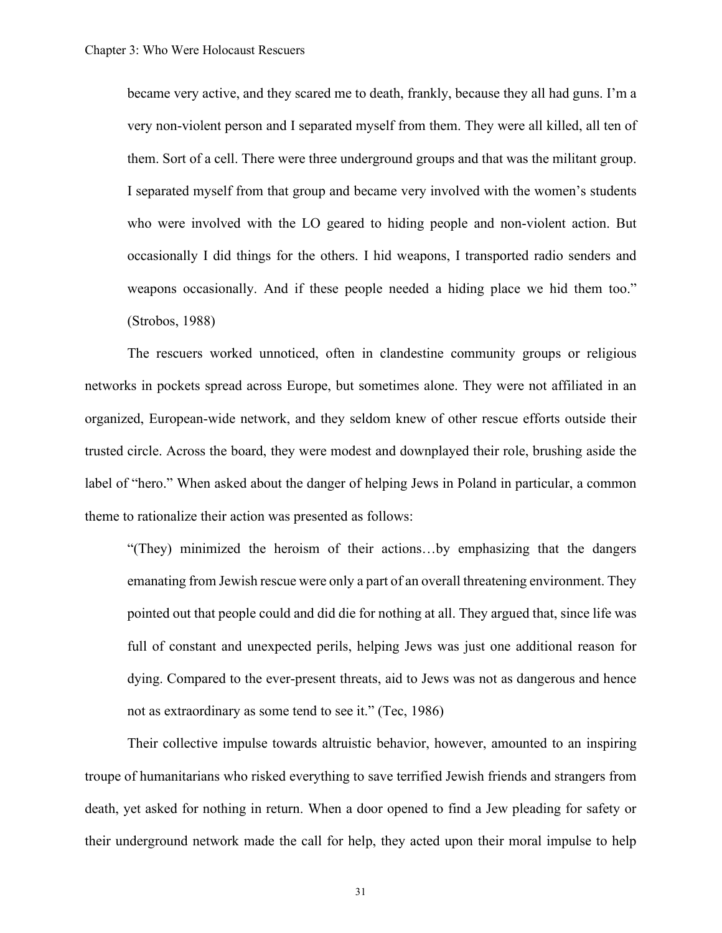became very active, and they scared me to death, frankly, because they all had guns. I'm a very non-violent person and I separated myself from them. They were all killed, all ten of them. Sort of a cell. There were three underground groups and that was the militant group. I separated myself from that group and became very involved with the women's students who were involved with the LO geared to hiding people and non-violent action. But occasionally I did things for the others. I hid weapons, I transported radio senders and weapons occasionally. And if these people needed a hiding place we hid them too." (Strobos, 1988)

The rescuers worked unnoticed, often in clandestine community groups or religious networks in pockets spread across Europe, but sometimes alone. They were not affiliated in an organized, European-wide network, and they seldom knew of other rescue efforts outside their trusted circle. Across the board, they were modest and downplayed their role, brushing aside the label of "hero." When asked about the danger of helping Jews in Poland in particular, a common theme to rationalize their action was presented as follows:

"(They) minimized the heroism of their actions…by emphasizing that the dangers emanating from Jewish rescue were only a part of an overall threatening environment. They pointed out that people could and did die for nothing at all. They argued that, since life was full of constant and unexpected perils, helping Jews was just one additional reason for dying. Compared to the ever-present threats, aid to Jews was not as dangerous and hence not as extraordinary as some tend to see it." (Tec, 1986)

Their collective impulse towards altruistic behavior, however, amounted to an inspiring troupe of humanitarians who risked everything to save terrified Jewish friends and strangers from death, yet asked for nothing in return. When a door opened to find a Jew pleading for safety or their underground network made the call for help, they acted upon their moral impulse to help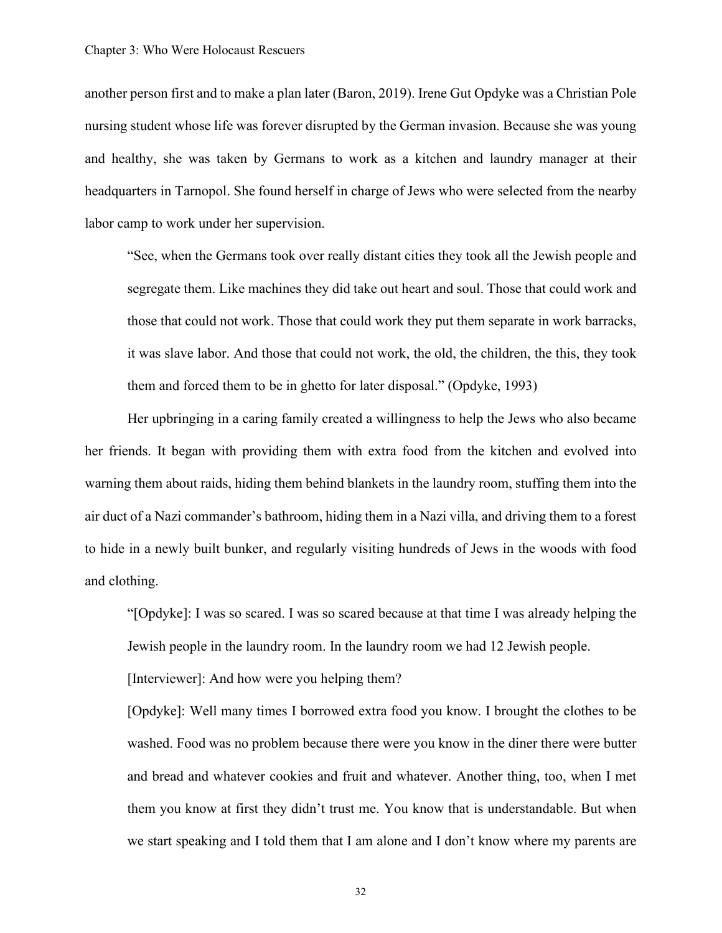another person first and to make a plan later (Baron, 2019). Irene Gut Opdyke was a Christian Pole nursing student whose life was forever disrupted by the German invasion. Because she was young and healthy, she was taken by Germans to work as a kitchen and laundry manager at their headquarters in Tarnopol. She found herself in charge of Jews who were selected from the nearby labor camp to work under her supervision.

"See, when the Germans took over really distant cities they took all the Jewish people and segregate them. Like machines they did take out heart and soul. Those that could work and those that could not work. Those that could work they put them separate in work barracks, it was slave labor. And those that could not work, the old, the children, the this, they took them and forced them to be in ghetto for later disposal." (Opdyke, 1993)

Her upbringing in a caring family created a willingness to help the Jews who also became her friends. It began with providing them with extra food from the kitchen and evolved into warning them about raids, hiding them behind blankets in the laundry room, stuffing them into the air duct of a Nazi commander's bathroom, hiding them in a Nazi villa, and driving them to a forest to hide in a newly built bunker, and regularly visiting hundreds of Jews in the woods with food and clothing.

"[Opdyke]: I was so scared. I was so scared because at that time I was already helping the Jewish people in the laundry room. In the laundry room we had 12 Jewish people.

[Interviewer]: And how were you helping them?

[Opdyke]: Well many times I borrowed extra food you know. I brought the clothes to be washed. Food was no problem because there were you know in the diner there were butter and bread and whatever cookies and fruit and whatever. Another thing, too, when I met them you know at first they didn't trust me. You know that is understandable. But when we start speaking and I told them that I am alone and I don't know where my parents are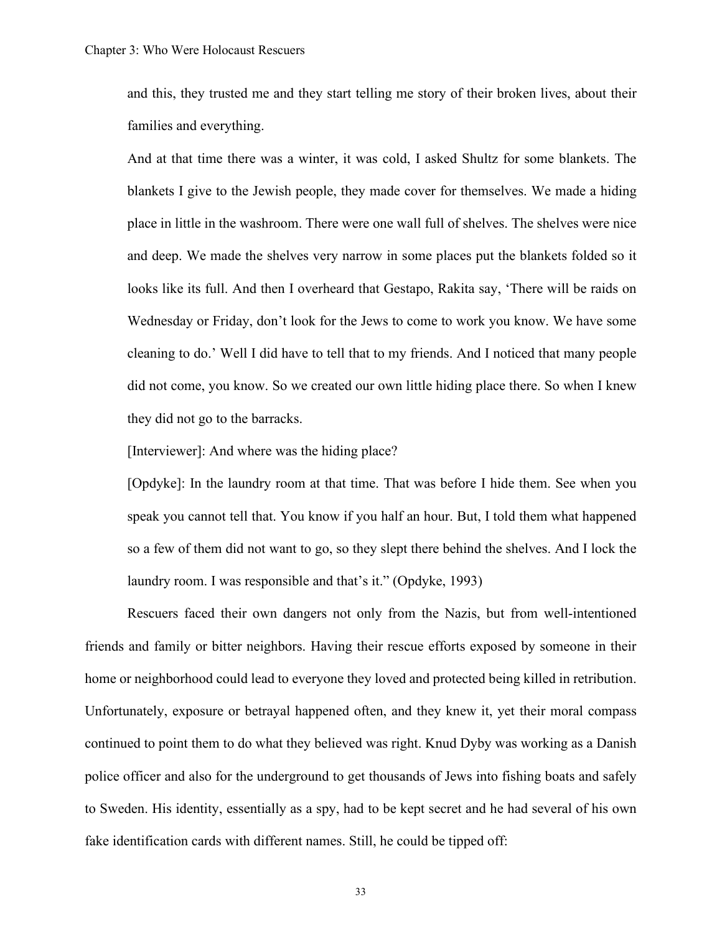and this, they trusted me and they start telling me story of their broken lives, about their families and everything.

And at that time there was a winter, it was cold, I asked Shultz for some blankets. The blankets I give to the Jewish people, they made cover for themselves. We made a hiding place in little in the washroom. There were one wall full of shelves. The shelves were nice and deep. We made the shelves very narrow in some places put the blankets folded so it looks like its full. And then I overheard that Gestapo, Rakita say, 'There will be raids on Wednesday or Friday, don't look for the Jews to come to work you know. We have some cleaning to do.' Well I did have to tell that to my friends. And I noticed that many people did not come, you know. So we created our own little hiding place there. So when I knew they did not go to the barracks.

[Interviewer]: And where was the hiding place?

[Opdyke]: In the laundry room at that time. That was before I hide them. See when you speak you cannot tell that. You know if you half an hour. But, I told them what happened so a few of them did not want to go, so they slept there behind the shelves. And I lock the laundry room. I was responsible and that's it." (Opdyke, 1993)

Rescuers faced their own dangers not only from the Nazis, but from well-intentioned friends and family or bitter neighbors. Having their rescue efforts exposed by someone in their home or neighborhood could lead to everyone they loved and protected being killed in retribution. Unfortunately, exposure or betrayal happened often, and they knew it, yet their moral compass continued to point them to do what they believed was right. Knud Dyby was working as a Danish police officer and also for the underground to get thousands of Jews into fishing boats and safely to Sweden. His identity, essentially as a spy, had to be kept secret and he had several of his own fake identification cards with different names. Still, he could be tipped off: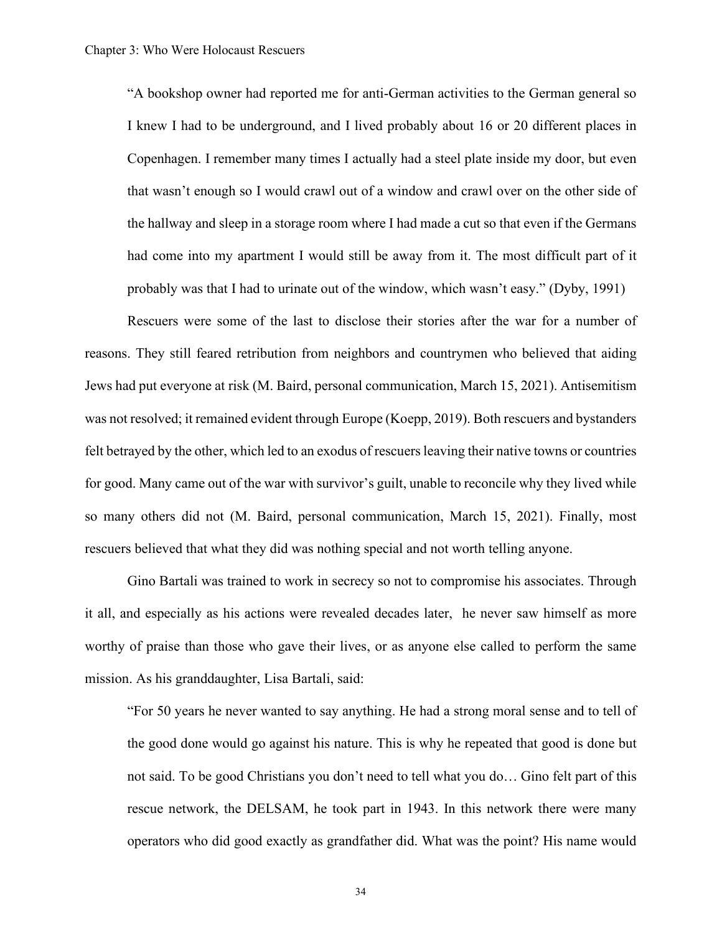"A bookshop owner had reported me for anti-German activities to the German general so I knew I had to be underground, and I lived probably about 16 or 20 different places in Copenhagen. I remember many times I actually had a steel plate inside my door, but even that wasn't enough so I would crawl out of a window and crawl over on the other side of the hallway and sleep in a storage room where I had made a cut so that even if the Germans had come into my apartment I would still be away from it. The most difficult part of it probably was that I had to urinate out of the window, which wasn't easy." (Dyby, 1991)

Rescuers were some of the last to disclose their stories after the war for a number of reasons. They still feared retribution from neighbors and countrymen who believed that aiding Jews had put everyone at risk (M. Baird, personal communication, March 15, 2021). Antisemitism was not resolved; it remained evident through Europe (Koepp, 2019). Both rescuers and bystanders felt betrayed by the other, which led to an exodus of rescuers leaving their native towns or countries for good. Many came out of the war with survivor's guilt, unable to reconcile why they lived while so many others did not (M. Baird, personal communication, March 15, 2021). Finally, most rescuers believed that what they did was nothing special and not worth telling anyone.

Gino Bartali was trained to work in secrecy so not to compromise his associates. Through it all, and especially as his actions were revealed decades later, he never saw himself as more worthy of praise than those who gave their lives, or as anyone else called to perform the same mission. As his granddaughter, Lisa Bartali, said:

"For 50 years he never wanted to say anything. He had a strong moral sense and to tell of the good done would go against his nature. This is why he repeated that good is done but not said. To be good Christians you don't need to tell what you do… Gino felt part of this rescue network, the DELSAM, he took part in 1943. In this network there were many operators who did good exactly as grandfather did. What was the point? His name would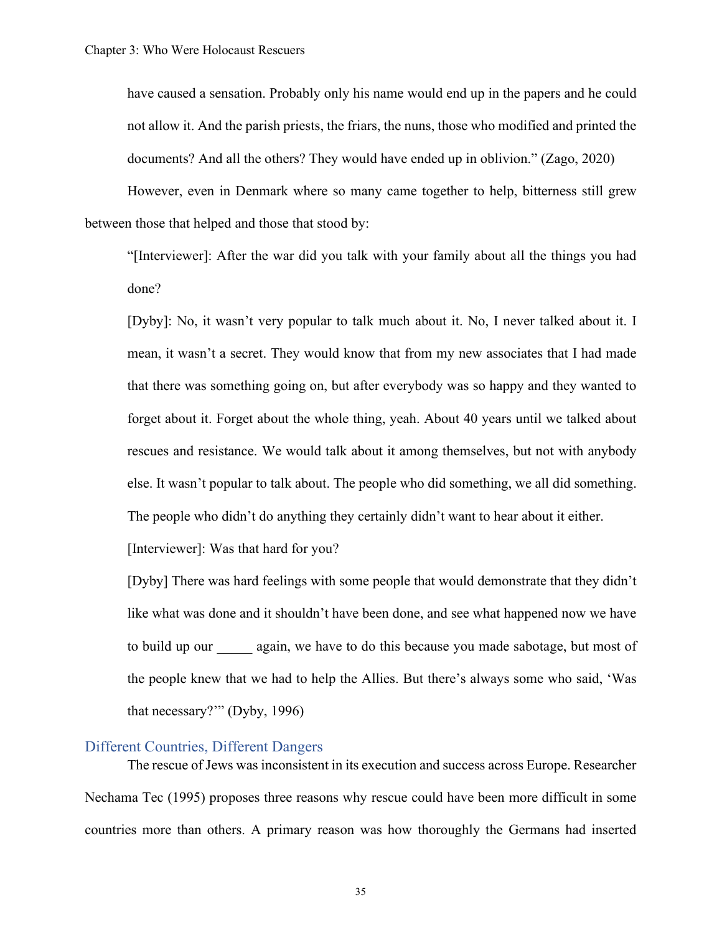have caused a sensation. Probably only his name would end up in the papers and he could not allow it. And the parish priests, the friars, the nuns, those who modified and printed the documents? And all the others? They would have ended up in oblivion." (Zago, 2020)

However, even in Denmark where so many came together to help, bitterness still grew between those that helped and those that stood by:

"[Interviewer]: After the war did you talk with your family about all the things you had done?

[Dyby]: No, it wasn't very popular to talk much about it. No, I never talked about it. I mean, it wasn't a secret. They would know that from my new associates that I had made that there was something going on, but after everybody was so happy and they wanted to forget about it. Forget about the whole thing, yeah. About 40 years until we talked about rescues and resistance. We would talk about it among themselves, but not with anybody else. It wasn't popular to talk about. The people who did something, we all did something. The people who didn't do anything they certainly didn't want to hear about it either.

[Interviewer]: Was that hard for you?

[Dyby] There was hard feelings with some people that would demonstrate that they didn't like what was done and it shouldn't have been done, and see what happened now we have to build up our again, we have to do this because you made sabotage, but most of the people knew that we had to help the Allies. But there's always some who said, 'Was that necessary?'" (Dyby, 1996)

# Different Countries, Different Dangers

The rescue of Jews was inconsistent in its execution and success across Europe. Researcher Nechama Tec (1995) proposes three reasons why rescue could have been more difficult in some countries more than others. A primary reason was how thoroughly the Germans had inserted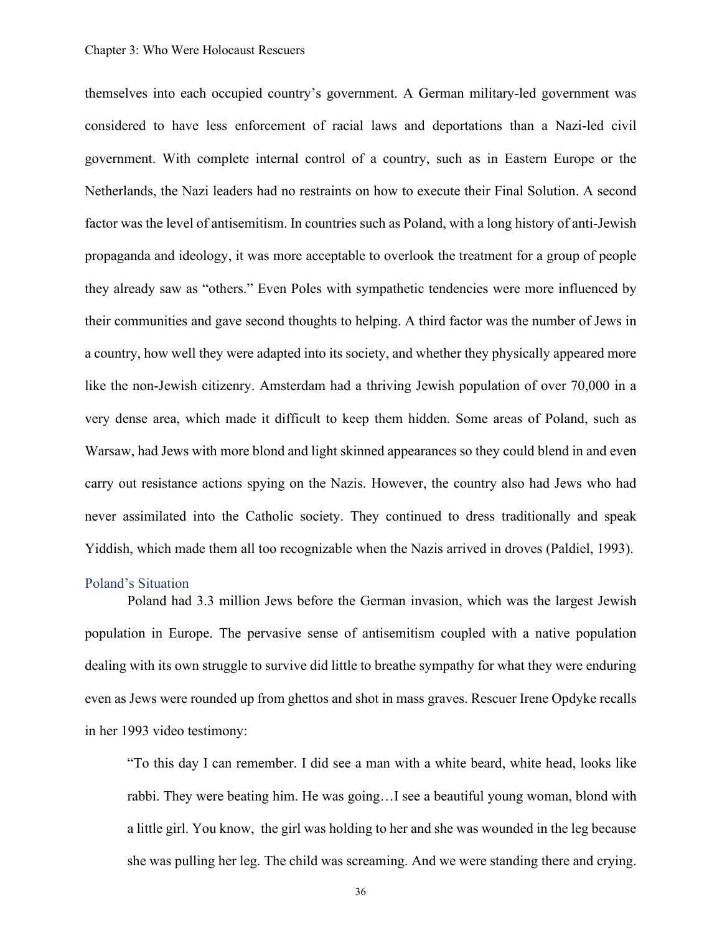themselves into each occupied country's government. A German military-led government was considered to have less enforcement of racial laws and deportations than a Nazi-led civil government. With complete internal control of a country, such as in Eastern Europe or the Netherlands, the Nazi leaders had no restraints on how to execute their Final Solution. A second factor was the level of antisemitism. In countries such as Poland, with a long history of anti-Jewish propaganda and ideology, it was more acceptable to overlook the treatment for a group of people they already saw as "others." Even Poles with sympathetic tendencies were more influenced by their communities and gave second thoughts to helping. A third factor was the number of Jews in a country, how well they were adapted into its society, and whether they physically appeared more like the non-Jewish citizenry. Amsterdam had a thriving Jewish population of over 70,000 in a very dense area, which made it difficult to keep them hidden. Some areas of Poland, such as Warsaw, had Jews with more blond and light skinned appearances so they could blend in and even carry out resistance actions spying on the Nazis. However, the country also had Jews who had never assimilated into the Catholic society. They continued to dress traditionally and speak Yiddish, which made them all too recognizable when the Nazis arrived in droves (Paldiel, 1993).

## Poland's Situation

Poland had 3.3 million Jews before the German invasion, which was the largest Jewish population in Europe. The pervasive sense of antisemitism coupled with a native population dealing with its own struggle to survive did little to breathe sympathy for what they were enduring even as Jews were rounded up from ghettos and shot in mass graves. Rescuer Irene Opdyke recalls in her 1993 video testimony:

"To this day I can remember. I did see a man with a white beard, white head, looks like rabbi. They were beating him. He was going…I see a beautiful young woman, blond with a little girl. You know, the girl was holding to her and she was wounded in the leg because she was pulling her leg. The child was screaming. And we were standing there and crying.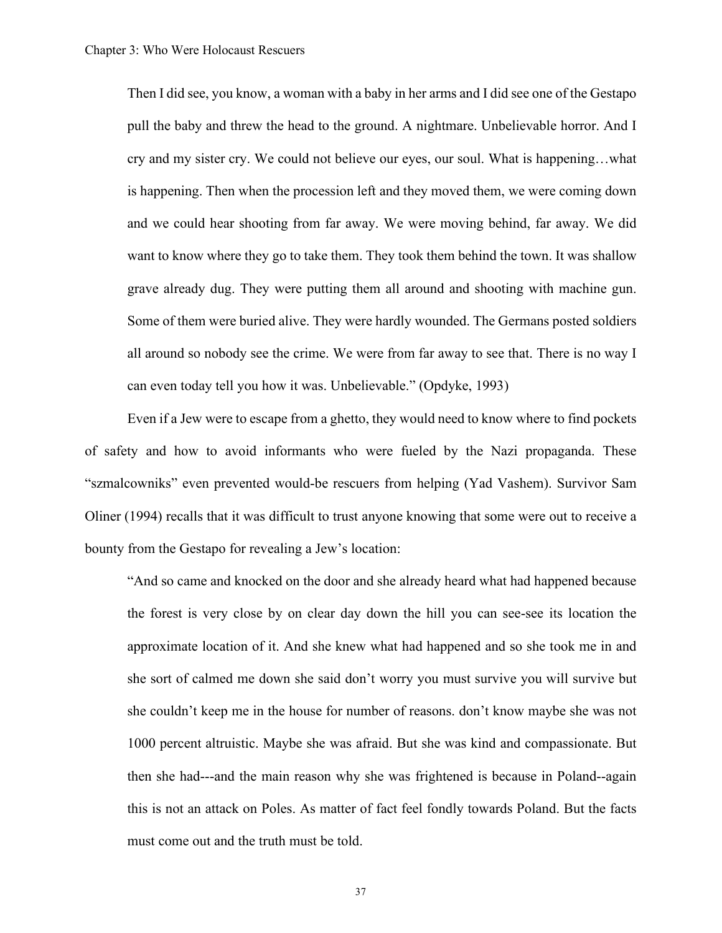Then I did see, you know, a woman with a baby in her arms and I did see one of the Gestapo pull the baby and threw the head to the ground. A nightmare. Unbelievable horror. And I cry and my sister cry. We could not believe our eyes, our soul. What is happening…what is happening. Then when the procession left and they moved them, we were coming down and we could hear shooting from far away. We were moving behind, far away. We did want to know where they go to take them. They took them behind the town. It was shallow grave already dug. They were putting them all around and shooting with machine gun. Some of them were buried alive. They were hardly wounded. The Germans posted soldiers all around so nobody see the crime. We were from far away to see that. There is no way I can even today tell you how it was. Unbelievable." (Opdyke, 1993)

Even if a Jew were to escape from a ghetto, they would need to know where to find pockets of safety and how to avoid informants who were fueled by the Nazi propaganda. These "szmalcowniks" even prevented would-be rescuers from helping (Yad Vashem). Survivor Sam Oliner (1994) recalls that it was difficult to trust anyone knowing that some were out to receive a bounty from the Gestapo for revealing a Jew's location:

"And so came and knocked on the door and she already heard what had happened because the forest is very close by on clear day down the hill you can see-see its location the approximate location of it. And she knew what had happened and so she took me in and she sort of calmed me down she said don't worry you must survive you will survive but she couldn't keep me in the house for number of reasons. don't know maybe she was not 1000 percent altruistic. Maybe she was afraid. But she was kind and compassionate. But then she had---and the main reason why she was frightened is because in Poland--again this is not an attack on Poles. As matter of fact feel fondly towards Poland. But the facts must come out and the truth must be told.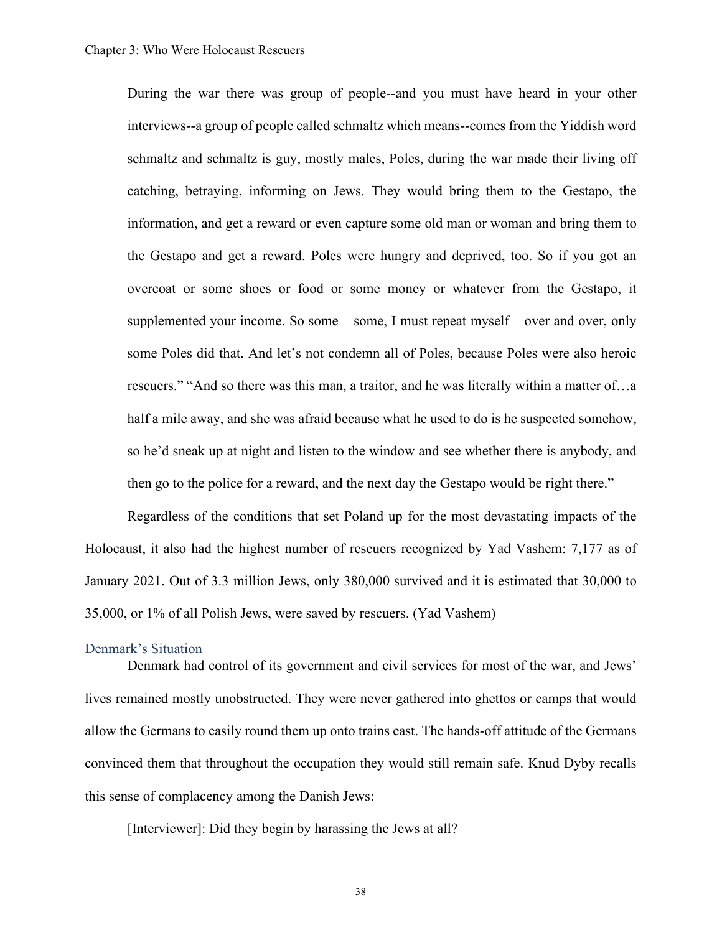During the war there was group of people--and you must have heard in your other interviews--a group of people called schmaltz which means--comes from the Yiddish word schmaltz and schmaltz is guy, mostly males, Poles, during the war made their living off catching, betraying, informing on Jews. They would bring them to the Gestapo, the information, and get a reward or even capture some old man or woman and bring them to the Gestapo and get a reward. Poles were hungry and deprived, too. So if you got an overcoat or some shoes or food or some money or whatever from the Gestapo, it supplemented your income. So some – some, I must repeat myself – over and over, only some Poles did that. And let's not condemn all of Poles, because Poles were also heroic rescuers." "And so there was this man, a traitor, and he was literally within a matter of…a half a mile away, and she was afraid because what he used to do is he suspected somehow, so he'd sneak up at night and listen to the window and see whether there is anybody, and then go to the police for a reward, and the next day the Gestapo would be right there."

Regardless of the conditions that set Poland up for the most devastating impacts of the Holocaust, it also had the highest number of rescuers recognized by Yad Vashem: 7,177 as of January 2021. Out of 3.3 million Jews, only 380,000 survived and it is estimated that 30,000 to 35,000, or 1% of all Polish Jews, were saved by rescuers. (Yad Vashem)

#### Denmark's Situation

Denmark had control of its government and civil services for most of the war, and Jews' lives remained mostly unobstructed. They were never gathered into ghettos or camps that would allow the Germans to easily round them up onto trains east. The hands-off attitude of the Germans convinced them that throughout the occupation they would still remain safe. Knud Dyby recalls this sense of complacency among the Danish Jews:

[Interviewer]: Did they begin by harassing the Jews at all?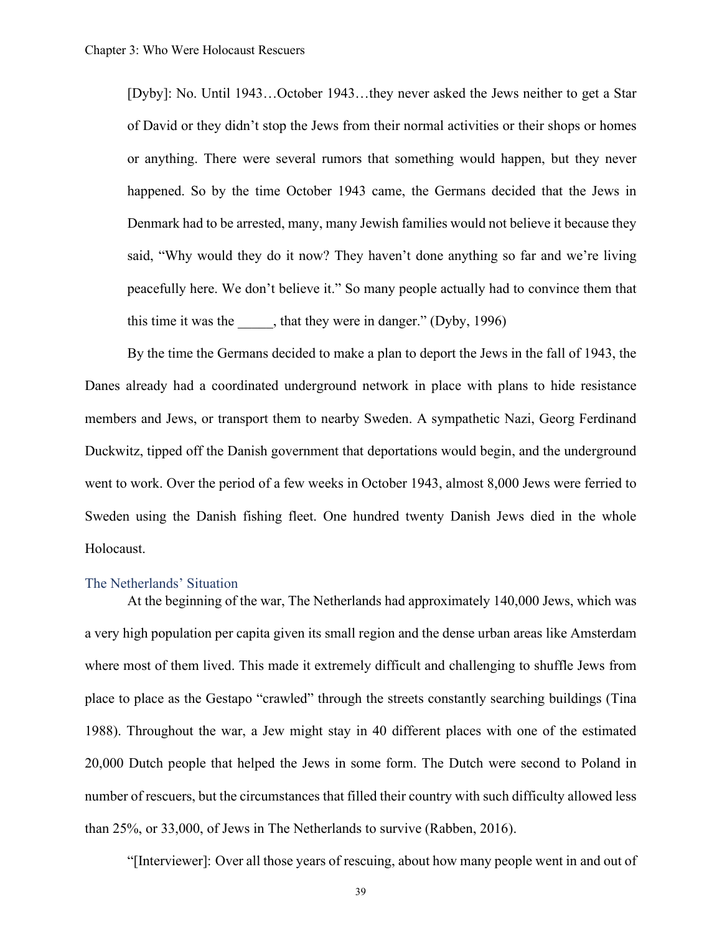[Dyby]: No. Until 1943…October 1943…they never asked the Jews neither to get a Star of David or they didn't stop the Jews from their normal activities or their shops or homes or anything. There were several rumors that something would happen, but they never happened. So by the time October 1943 came, the Germans decided that the Jews in Denmark had to be arrested, many, many Jewish families would not believe it because they said, "Why would they do it now? They haven't done anything so far and we're living peacefully here. We don't believe it." So many people actually had to convince them that this time it was the \_\_\_\_, that they were in danger." (Dyby, 1996)

By the time the Germans decided to make a plan to deport the Jews in the fall of 1943, the Danes already had a coordinated underground network in place with plans to hide resistance members and Jews, or transport them to nearby Sweden. A sympathetic Nazi, Georg Ferdinand Duckwitz, tipped off the Danish government that deportations would begin, and the underground went to work. Over the period of a few weeks in October 1943, almost 8,000 Jews were ferried to Sweden using the Danish fishing fleet. One hundred twenty Danish Jews died in the whole Holocaust.

## The Netherlands' Situation

At the beginning of the war, The Netherlands had approximately 140,000 Jews, which was a very high population per capita given its small region and the dense urban areas like Amsterdam where most of them lived. This made it extremely difficult and challenging to shuffle Jews from place to place as the Gestapo "crawled" through the streets constantly searching buildings (Tina 1988). Throughout the war, a Jew might stay in 40 different places with one of the estimated 20,000 Dutch people that helped the Jews in some form. The Dutch were second to Poland in number of rescuers, but the circumstances that filled their country with such difficulty allowed less than 25%, or 33,000, of Jews in The Netherlands to survive (Rabben, 2016).

"[Interviewer]: Over all those years of rescuing, about how many people went in and out of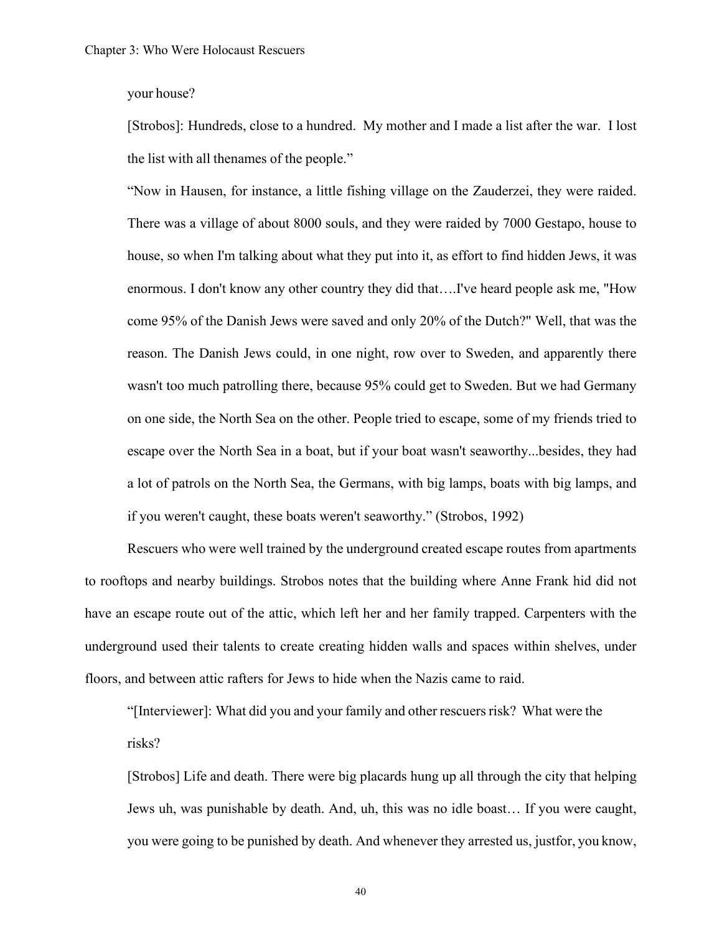#### your house?

[Strobos]: Hundreds, close to a hundred. My mother and I made a list after the war. I lost the list with all thenames of the people."

"Now in Hausen, for instance, a little fishing village on the Zauderzei, they were raided. There was a village of about 8000 souls, and they were raided by 7000 Gestapo, house to house, so when I'm talking about what they put into it, as effort to find hidden Jews, it was enormous. I don't know any other country they did that….I've heard people ask me, "How come 95% of the Danish Jews were saved and only 20% of the Dutch?" Well, that was the reason. The Danish Jews could, in one night, row over to Sweden, and apparently there wasn't too much patrolling there, because 95% could get to Sweden. But we had Germany on one side, the North Sea on the other. People tried to escape, some of my friends tried to escape over the North Sea in a boat, but if your boat wasn't seaworthy...besides, they had a lot of patrols on the North Sea, the Germans, with big lamps, boats with big lamps, and if you weren't caught, these boats weren't seaworthy." (Strobos, 1992)

Rescuers who were well trained by the underground created escape routes from apartments to rooftops and nearby buildings. Strobos notes that the building where Anne Frank hid did not have an escape route out of the attic, which left her and her family trapped. Carpenters with the underground used their talents to create creating hidden walls and spaces within shelves, under floors, and between attic rafters for Jews to hide when the Nazis came to raid.

"[Interviewer]: What did you and your family and other rescuers risk? What were the risks?

[Strobos] Life and death. There were big placards hung up all through the city that helping Jews uh, was punishable by death. And, uh, this was no idle boast… If you were caught, you were going to be punished by death. And whenever they arrested us, justfor, you know,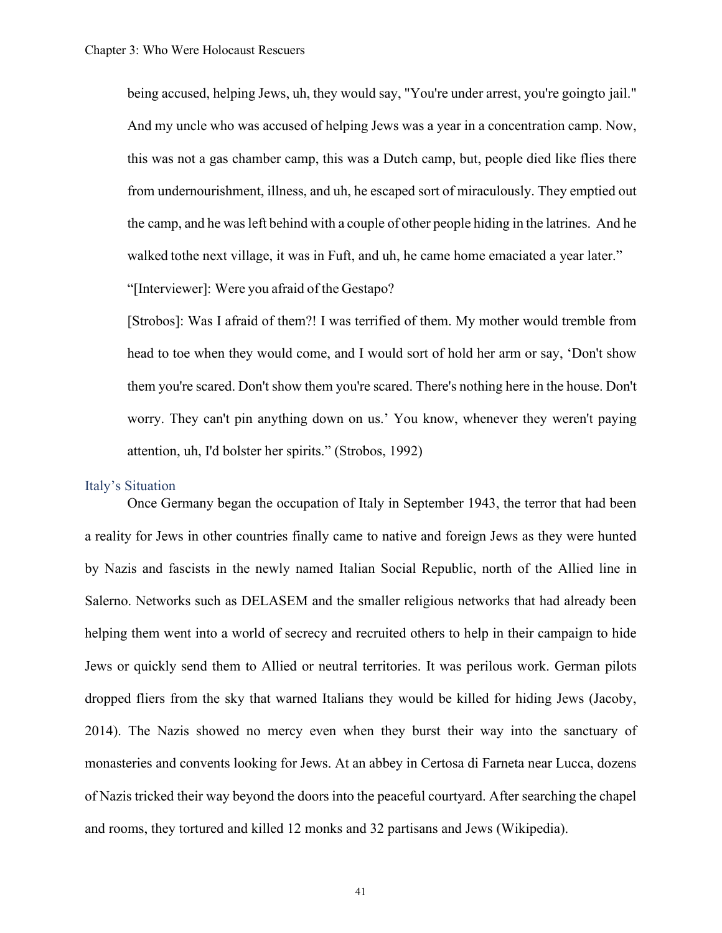being accused, helping Jews, uh, they would say, "You're under arrest, you're goingto jail." And my uncle who was accused of helping Jews was a year in a concentration camp. Now, this was not a gas chamber camp, this was a Dutch camp, but, people died like flies there from undernourishment, illness, and uh, he escaped sort of miraculously. They emptied out the camp, and he wasleft behind with a couple of other people hiding in the latrines. And he walked tothe next village, it was in Fuft, and uh, he came home emaciated a year later."

"[Interviewer]: Were you afraid of the Gestapo?

[Strobos]: Was I afraid of them?! I was terrified of them. My mother would tremble from head to toe when they would come, and I would sort of hold her arm or say, 'Don't show them you're scared. Don't show them you're scared. There's nothing here in the house. Don't worry. They can't pin anything down on us.' You know, whenever they weren't paying attention, uh, I'd bolster her spirits." (Strobos, 1992)

## Italy's Situation

Once Germany began the occupation of Italy in September 1943, the terror that had been a reality for Jews in other countries finally came to native and foreign Jews as they were hunted by Nazis and fascists in the newly named Italian Social Republic, north of the Allied line in Salerno. Networks such as DELASEM and the smaller religious networks that had already been helping them went into a world of secrecy and recruited others to help in their campaign to hide Jews or quickly send them to Allied or neutral territories. It was perilous work. German pilots dropped fliers from the sky that warned Italians they would be killed for hiding Jews (Jacoby, 2014). The Nazis showed no mercy even when they burst their way into the sanctuary of monasteries and convents looking for Jews. At an abbey in Certosa di Farneta near Lucca, dozens of Nazis tricked their way beyond the doors into the peaceful courtyard. After searching the chapel and rooms, they tortured and killed 12 monks and 32 partisans and Jews (Wikipedia).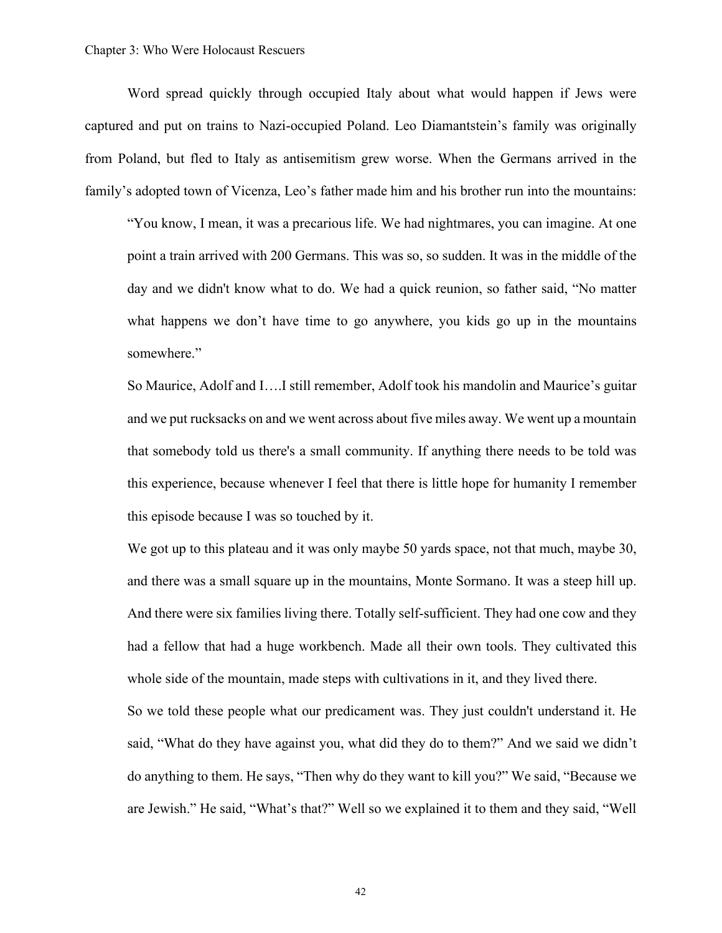Word spread quickly through occupied Italy about what would happen if Jews were captured and put on trains to Nazi-occupied Poland. Leo Diamantstein's family was originally from Poland, but fled to Italy as antisemitism grew worse. When the Germans arrived in the family's adopted town of Vicenza, Leo's father made him and his brother run into the mountains:

"You know, I mean, it was a precarious life. We had nightmares, you can imagine. At one point a train arrived with 200 Germans. This was so, so sudden. It was in the middle of the day and we didn't know what to do. We had a quick reunion, so father said, "No matter what happens we don't have time to go anywhere, you kids go up in the mountains somewhere."

So Maurice, Adolf and I….I still remember, Adolf took his mandolin and Maurice's guitar and we put rucksacks on and we went across about five miles away. We went up a mountain that somebody told us there's a small community. If anything there needs to be told was this experience, because whenever I feel that there is little hope for humanity I remember this episode because I was so touched by it.

We got up to this plateau and it was only maybe 50 yards space, not that much, maybe 30, and there was a small square up in the mountains, Monte Sormano. It was a steep hill up. And there were six families living there. Totally self-sufficient. They had one cow and they had a fellow that had a huge workbench. Made all their own tools. They cultivated this whole side of the mountain, made steps with cultivations in it, and they lived there.

So we told these people what our predicament was. They just couldn't understand it. He said, "What do they have against you, what did they do to them?" And we said we didn't do anything to them. He says, "Then why do they want to kill you?" We said, "Because we are Jewish." He said, "What's that?" Well so we explained it to them and they said, "Well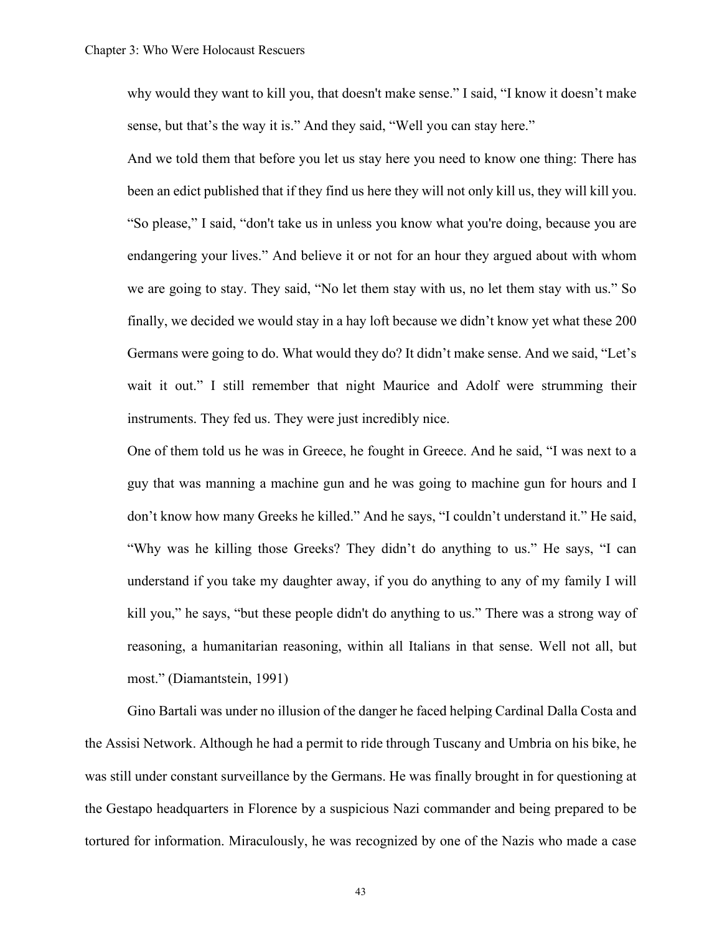why would they want to kill you, that doesn't make sense." I said, "I know it doesn't make sense, but that's the way it is." And they said, "Well you can stay here."

And we told them that before you let us stay here you need to know one thing: There has been an edict published that if they find us here they will not only kill us, they will kill you. "So please," I said, "don't take us in unless you know what you're doing, because you are endangering your lives." And believe it or not for an hour they argued about with whom we are going to stay. They said, "No let them stay with us, no let them stay with us." So finally, we decided we would stay in a hay loft because we didn't know yet what these 200 Germans were going to do. What would they do? It didn't make sense. And we said, "Let's wait it out." I still remember that night Maurice and Adolf were strumming their instruments. They fed us. They were just incredibly nice.

One of them told us he was in Greece, he fought in Greece. And he said, "I was next to a guy that was manning a machine gun and he was going to machine gun for hours and I don't know how many Greeks he killed." And he says, "I couldn't understand it." He said, "Why was he killing those Greeks? They didn't do anything to us." He says, "I can understand if you take my daughter away, if you do anything to any of my family I will kill you," he says, "but these people didn't do anything to us." There was a strong way of reasoning, a humanitarian reasoning, within all Italians in that sense. Well not all, but most." (Diamantstein, 1991)

Gino Bartali was under no illusion of the danger he faced helping Cardinal Dalla Costa and the Assisi Network. Although he had a permit to ride through Tuscany and Umbria on his bike, he was still under constant surveillance by the Germans. He was finally brought in for questioning at the Gestapo headquarters in Florence by a suspicious Nazi commander and being prepared to be tortured for information. Miraculously, he was recognized by one of the Nazis who made a case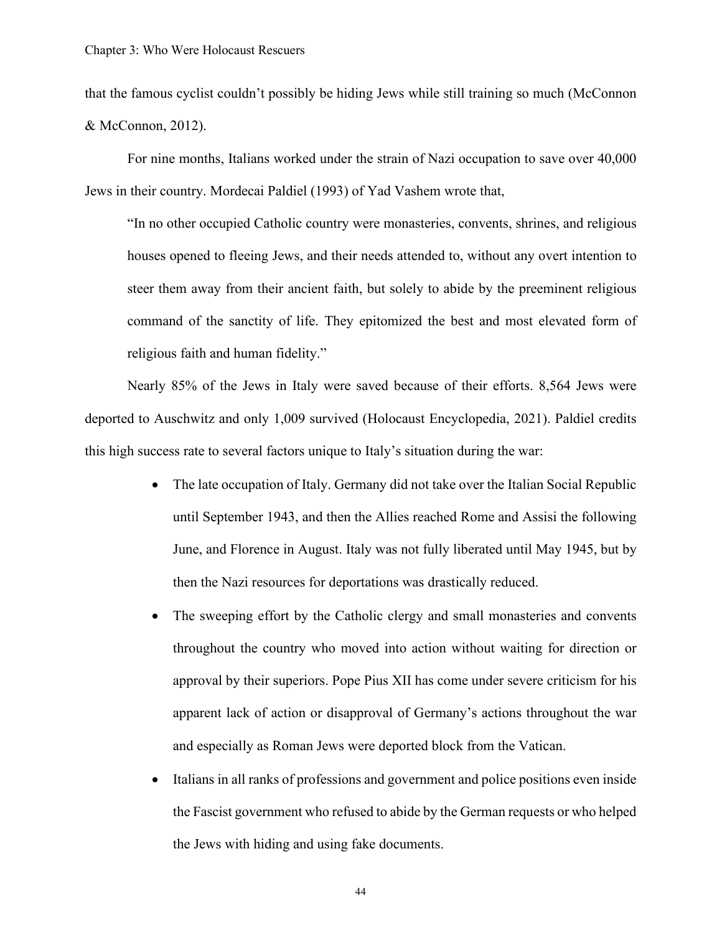that the famous cyclist couldn't possibly be hiding Jews while still training so much (McConnon & McConnon, 2012).

For nine months, Italians worked under the strain of Nazi occupation to save over 40,000 Jews in their country. Mordecai Paldiel (1993) of Yad Vashem wrote that,

"In no other occupied Catholic country were monasteries, convents, shrines, and religious houses opened to fleeing Jews, and their needs attended to, without any overt intention to steer them away from their ancient faith, but solely to abide by the preeminent religious command of the sanctity of life. They epitomized the best and most elevated form of religious faith and human fidelity."

Nearly 85% of the Jews in Italy were saved because of their efforts. 8,564 Jews were deported to Auschwitz and only 1,009 survived (Holocaust Encyclopedia, 2021). Paldiel credits this high success rate to several factors unique to Italy's situation during the war:

- The late occupation of Italy. Germany did not take over the Italian Social Republic until September 1943, and then the Allies reached Rome and Assisi the following June, and Florence in August. Italy was not fully liberated until May 1945, but by then the Nazi resources for deportations was drastically reduced.
- The sweeping effort by the Catholic clergy and small monasteries and convents throughout the country who moved into action without waiting for direction or approval by their superiors. Pope Pius XII has come under severe criticism for his apparent lack of action or disapproval of Germany's actions throughout the war and especially as Roman Jews were deported block from the Vatican.
- Italians in all ranks of professions and government and police positions even inside the Fascist government who refused to abide by the German requests or who helped the Jews with hiding and using fake documents.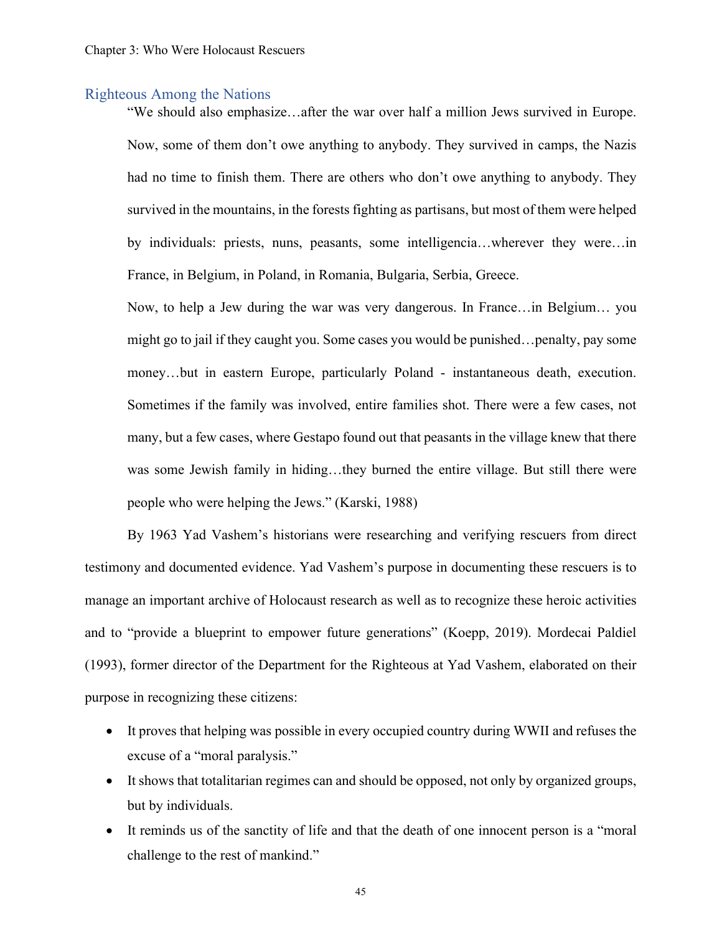#### Righteous Among the Nations

"We should also emphasize…after the war over half a million Jews survived in Europe. Now, some of them don't owe anything to anybody. They survived in camps, the Nazis had no time to finish them. There are others who don't owe anything to anybody. They survived in the mountains, in the forests fighting as partisans, but most of them were helped by individuals: priests, nuns, peasants, some intelligencia…wherever they were…in France, in Belgium, in Poland, in Romania, Bulgaria, Serbia, Greece.

Now, to help a Jew during the war was very dangerous. In France…in Belgium… you might go to jail if they caught you. Some cases you would be punished…penalty, pay some money…but in eastern Europe, particularly Poland - instantaneous death, execution. Sometimes if the family was involved, entire families shot. There were a few cases, not many, but a few cases, where Gestapo found out that peasants in the village knew that there was some Jewish family in hiding…they burned the entire village. But still there were people who were helping the Jews." (Karski, 1988)

By 1963 Yad Vashem's historians were researching and verifying rescuers from direct testimony and documented evidence. Yad Vashem's purpose in documenting these rescuers is to manage an important archive of Holocaust research as well as to recognize these heroic activities and to "provide a blueprint to empower future generations" (Koepp, 2019). Mordecai Paldiel (1993), former director of the Department for the Righteous at Yad Vashem, elaborated on their purpose in recognizing these citizens:

- It proves that helping was possible in every occupied country during WWII and refuses the excuse of a "moral paralysis."
- It shows that totalitarian regimes can and should be opposed, not only by organized groups, but by individuals.
- It reminds us of the sanctity of life and that the death of one innocent person is a "moral challenge to the rest of mankind."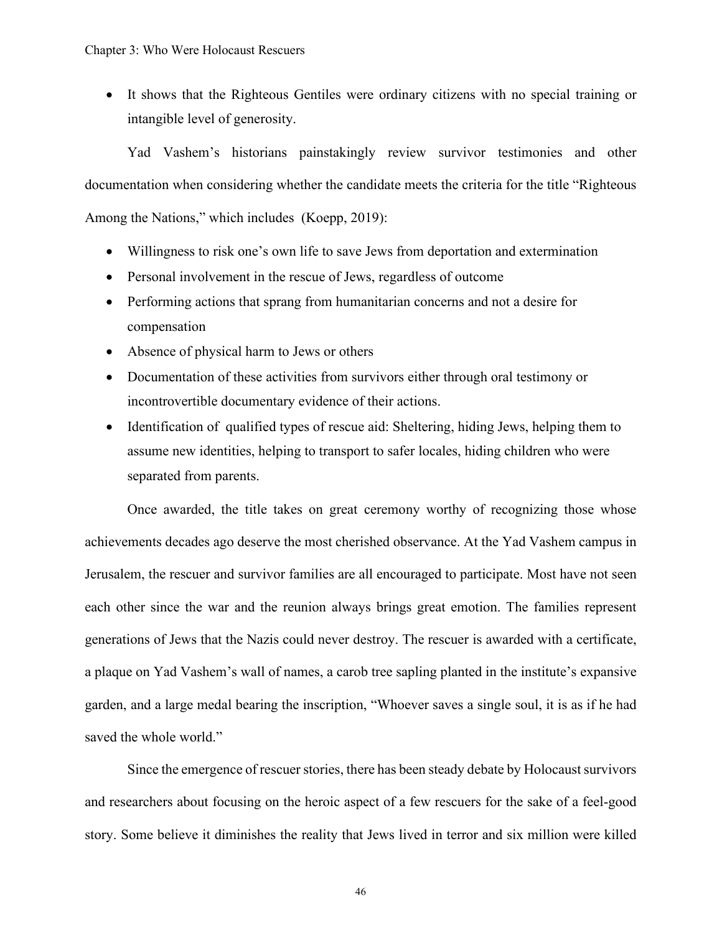• It shows that the Righteous Gentiles were ordinary citizens with no special training or intangible level of generosity.

Yad Vashem's historians painstakingly review survivor testimonies and other documentation when considering whether the candidate meets the criteria for the title "Righteous Among the Nations," which includes (Koepp, 2019):

- Willingness to risk one's own life to save Jews from deportation and extermination
- Personal involvement in the rescue of Jews, regardless of outcome
- Performing actions that sprang from humanitarian concerns and not a desire for compensation
- Absence of physical harm to Jews or others
- Documentation of these activities from survivors either through oral testimony or incontrovertible documentary evidence of their actions.
- Identification of qualified types of rescue aid: Sheltering, hiding Jews, helping them to assume new identities, helping to transport to safer locales, hiding children who were separated from parents.

Once awarded, the title takes on great ceremony worthy of recognizing those whose achievements decades ago deserve the most cherished observance. At the Yad Vashem campus in Jerusalem, the rescuer and survivor families are all encouraged to participate. Most have not seen each other since the war and the reunion always brings great emotion. The families represent generations of Jews that the Nazis could never destroy. The rescuer is awarded with a certificate, a plaque on Yad Vashem's wall of names, a carob tree sapling planted in the institute's expansive garden, and a large medal bearing the inscription, "Whoever saves a single soul, it is as if he had saved the whole world."

Since the emergence of rescuer stories, there has been steady debate by Holocaust survivors and researchers about focusing on the heroic aspect of a few rescuers for the sake of a feel-good story. Some believe it diminishes the reality that Jews lived in terror and six million were killed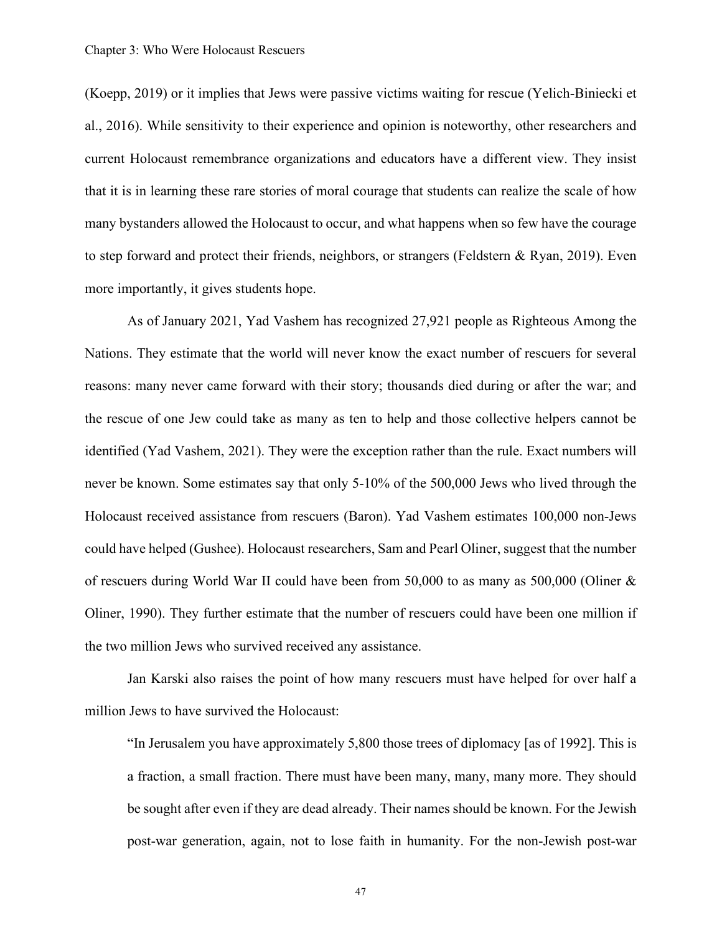(Koepp, 2019) or it implies that Jews were passive victims waiting for rescue (Yelich-Biniecki et al., 2016). While sensitivity to their experience and opinion is noteworthy, other researchers and current Holocaust remembrance organizations and educators have a different view. They insist that it is in learning these rare stories of moral courage that students can realize the scale of how many bystanders allowed the Holocaust to occur, and what happens when so few have the courage to step forward and protect their friends, neighbors, or strangers (Feldstern & Ryan, 2019). Even more importantly, it gives students hope.

As of January 2021, Yad Vashem has recognized 27,921 people as Righteous Among the Nations. They estimate that the world will never know the exact number of rescuers for several reasons: many never came forward with their story; thousands died during or after the war; and the rescue of one Jew could take as many as ten to help and those collective helpers cannot be identified (Yad Vashem, 2021). They were the exception rather than the rule. Exact numbers will never be known. Some estimates say that only 5-10% of the 500,000 Jews who lived through the Holocaust received assistance from rescuers (Baron). Yad Vashem estimates 100,000 non-Jews could have helped (Gushee). Holocaust researchers, Sam and Pearl Oliner, suggest that the number of rescuers during World War II could have been from 50,000 to as many as 500,000 (Oliner & Oliner, 1990). They further estimate that the number of rescuers could have been one million if the two million Jews who survived received any assistance.

Jan Karski also raises the point of how many rescuers must have helped for over half a million Jews to have survived the Holocaust:

"In Jerusalem you have approximately 5,800 those trees of diplomacy [as of 1992]. This is a fraction, a small fraction. There must have been many, many, many more. They should be sought after even if they are dead already. Their names should be known. For the Jewish post-war generation, again, not to lose faith in humanity. For the non-Jewish post-war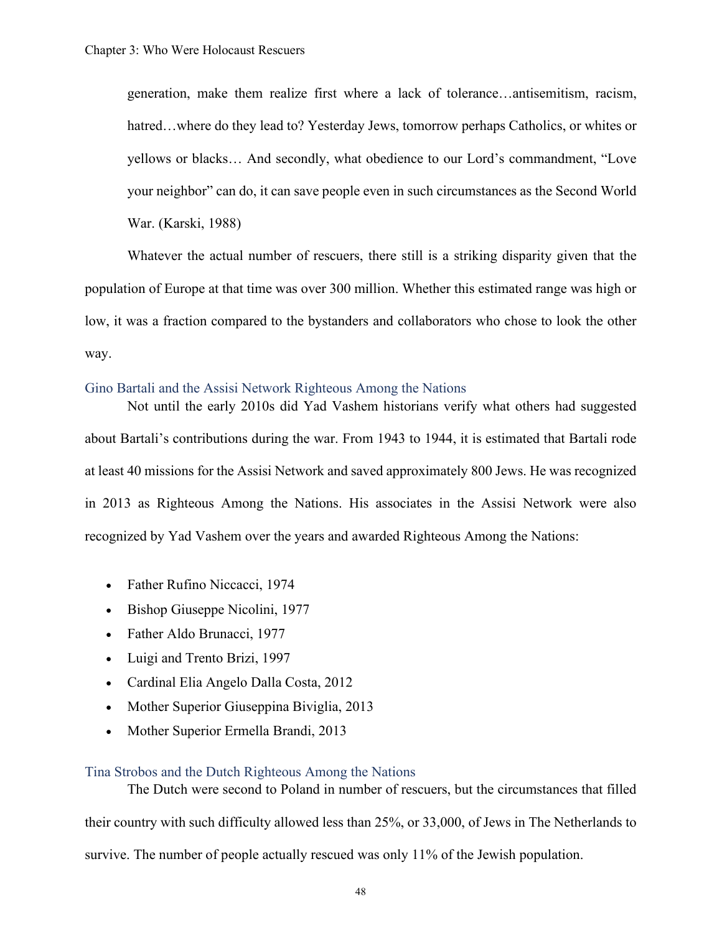generation, make them realize first where a lack of tolerance…antisemitism, racism, hatred...where do they lead to? Yesterday Jews, tomorrow perhaps Catholics, or whites or yellows or blacks… And secondly, what obedience to our Lord's commandment, "Love your neighbor" can do, it can save people even in such circumstances as the Second World War. (Karski, 1988)

Whatever the actual number of rescuers, there still is a striking disparity given that the population of Europe at that time was over 300 million. Whether this estimated range was high or low, it was a fraction compared to the bystanders and collaborators who chose to look the other way.

#### Gino Bartali and the Assisi Network Righteous Among the Nations

Not until the early 2010s did Yad Vashem historians verify what others had suggested about Bartali's contributions during the war. From 1943 to 1944, it is estimated that Bartali rode at least 40 missions for the Assisi Network and saved approximately 800 Jews. He was recognized in 2013 as Righteous Among the Nations. His associates in the Assisi Network were also recognized by Yad Vashem over the years and awarded Righteous Among the Nations:

- Father Rufino Niccacci, 1974
- Bishop Giuseppe Nicolini, 1977
- Father Aldo Brunacci, 1977
- Luigi and Trento Brizi, 1997
- Cardinal Elia Angelo Dalla Costa, 2012
- Mother Superior Giuseppina Biviglia, 2013
- Mother Superior Ermella Brandi, 2013

## Tina Strobos and the Dutch Righteous Among the Nations

The Dutch were second to Poland in number of rescuers, but the circumstances that filled their country with such difficulty allowed less than 25%, or 33,000, of Jews in The Netherlands to survive. The number of people actually rescued was only 11% of the Jewish population.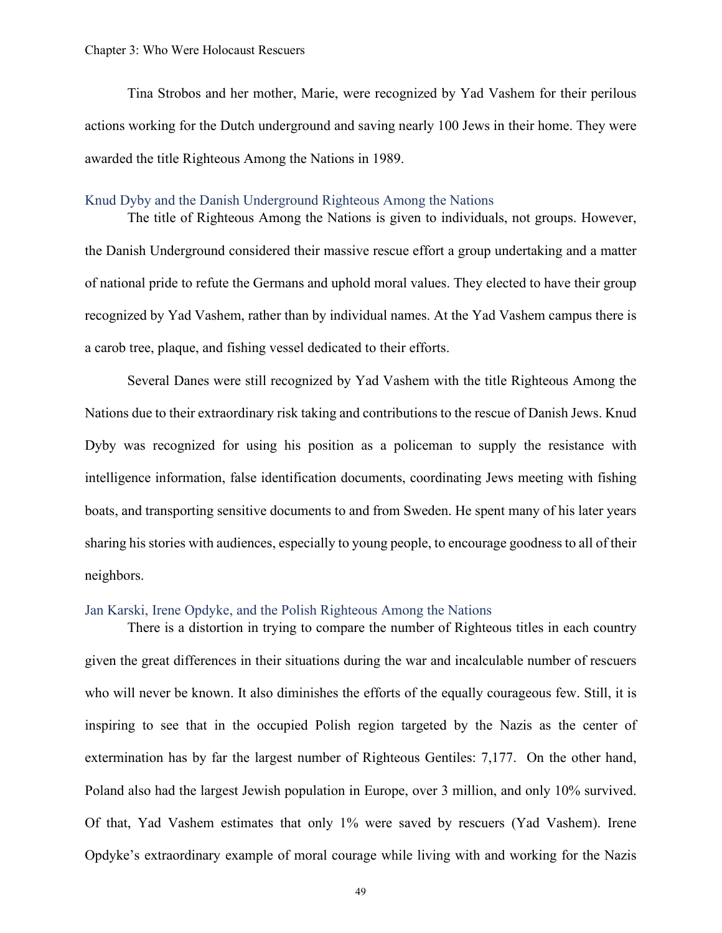Tina Strobos and her mother, Marie, were recognized by Yad Vashem for their perilous actions working for the Dutch underground and saving nearly 100 Jews in their home. They were awarded the title Righteous Among the Nations in 1989.

#### Knud Dyby and the Danish Underground Righteous Among the Nations

The title of Righteous Among the Nations is given to individuals, not groups. However, the Danish Underground considered their massive rescue effort a group undertaking and a matter of national pride to refute the Germans and uphold moral values. They elected to have their group recognized by Yad Vashem, rather than by individual names. At the Yad Vashem campus there is a carob tree, plaque, and fishing vessel dedicated to their efforts.

Several Danes were still recognized by Yad Vashem with the title Righteous Among the Nations due to their extraordinary risk taking and contributions to the rescue of Danish Jews. Knud Dyby was recognized for using his position as a policeman to supply the resistance with intelligence information, false identification documents, coordinating Jews meeting with fishing boats, and transporting sensitive documents to and from Sweden. He spent many of his later years sharing his stories with audiences, especially to young people, to encourage goodness to all of their neighbors.

## Jan Karski, Irene Opdyke, and the Polish Righteous Among the Nations

There is a distortion in trying to compare the number of Righteous titles in each country given the great differences in their situations during the war and incalculable number of rescuers who will never be known. It also diminishes the efforts of the equally courageous few. Still, it is inspiring to see that in the occupied Polish region targeted by the Nazis as the center of extermination has by far the largest number of Righteous Gentiles: 7,177. On the other hand, Poland also had the largest Jewish population in Europe, over 3 million, and only 10% survived. Of that, Yad Vashem estimates that only 1% were saved by rescuers (Yad Vashem). Irene Opdyke's extraordinary example of moral courage while living with and working for the Nazis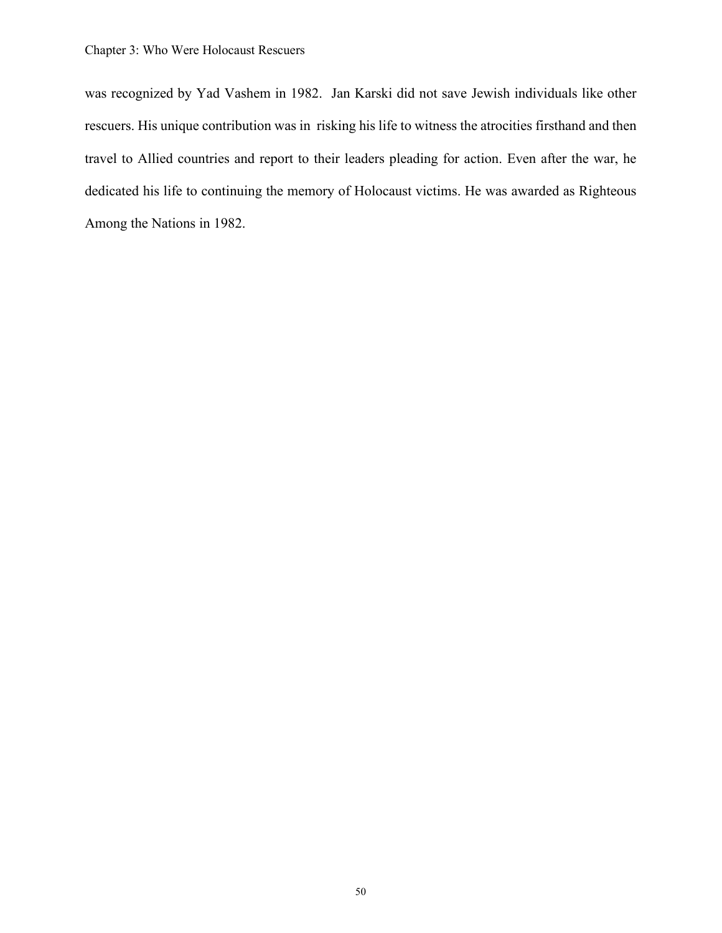was recognized by Yad Vashem in 1982. Jan Karski did not save Jewish individuals like other rescuers. His unique contribution was in risking his life to witness the atrocities firsthand and then travel to Allied countries and report to their leaders pleading for action. Even after the war, he dedicated his life to continuing the memory of Holocaust victims. He was awarded as Righteous Among the Nations in 1982.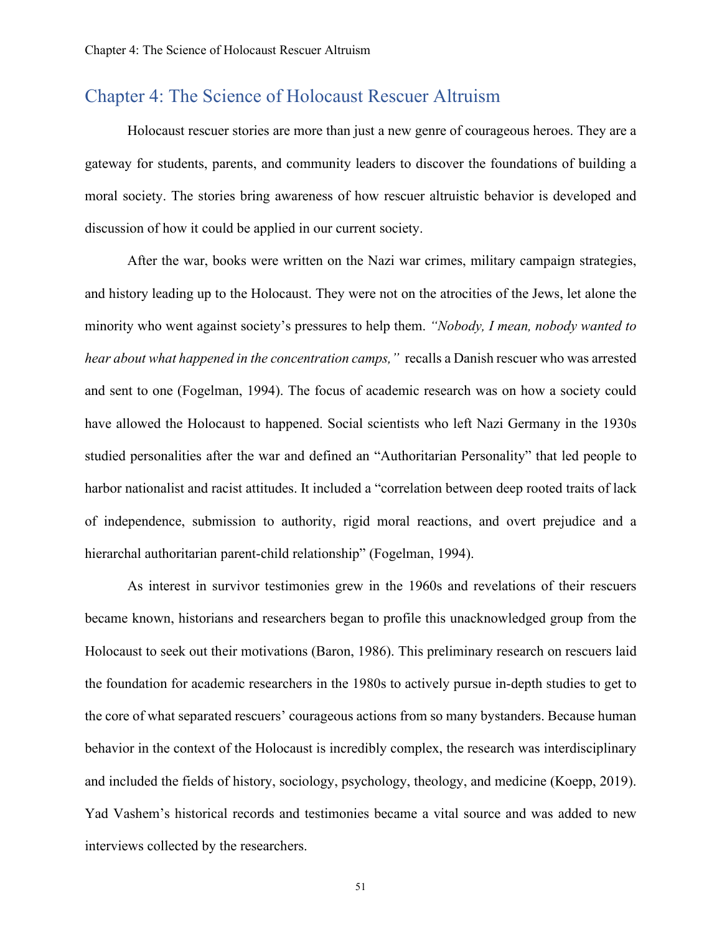# Chapter 4: The Science of Holocaust Rescuer Altruism

Holocaust rescuer stories are more than just a new genre of courageous heroes. They are a gateway for students, parents, and community leaders to discover the foundations of building a moral society. The stories bring awareness of how rescuer altruistic behavior is developed and discussion of how it could be applied in our current society.

After the war, books were written on the Nazi war crimes, military campaign strategies, and history leading up to the Holocaust. They were not on the atrocities of the Jews, let alone the minority who went against society's pressures to help them. *"Nobody, I mean, nobody wanted to hear about what happened in the concentration camps,"* recalls a Danish rescuer who was arrested and sent to one (Fogelman, 1994). The focus of academic research was on how a society could have allowed the Holocaust to happened. Social scientists who left Nazi Germany in the 1930s studied personalities after the war and defined an "Authoritarian Personality" that led people to harbor nationalist and racist attitudes. It included a "correlation between deep rooted traits of lack of independence, submission to authority, rigid moral reactions, and overt prejudice and a hierarchal authoritarian parent-child relationship" (Fogelman, 1994).

As interest in survivor testimonies grew in the 1960s and revelations of their rescuers became known, historians and researchers began to profile this unacknowledged group from the Holocaust to seek out their motivations (Baron, 1986). This preliminary research on rescuers laid the foundation for academic researchers in the 1980s to actively pursue in-depth studies to get to the core of what separated rescuers' courageous actions from so many bystanders. Because human behavior in the context of the Holocaust is incredibly complex, the research was interdisciplinary and included the fields of history, sociology, psychology, theology, and medicine (Koepp, 2019). Yad Vashem's historical records and testimonies became a vital source and was added to new interviews collected by the researchers.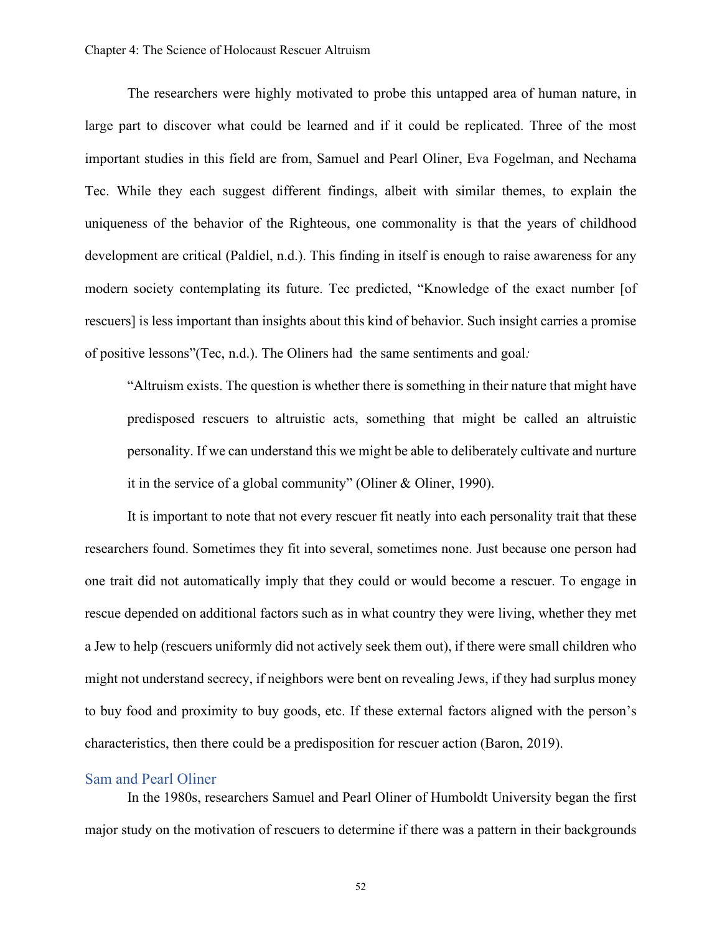The researchers were highly motivated to probe this untapped area of human nature, in large part to discover what could be learned and if it could be replicated. Three of the most important studies in this field are from, Samuel and Pearl Oliner, Eva Fogelman, and Nechama Tec. While they each suggest different findings, albeit with similar themes, to explain the uniqueness of the behavior of the Righteous, one commonality is that the years of childhood development are critical (Paldiel, n.d.). This finding in itself is enough to raise awareness for any modern society contemplating its future. Tec predicted, "Knowledge of the exact number [of rescuers] is less important than insights about this kind of behavior. Such insight carries a promise of positive lessons"(Tec, n.d.). The Oliners had the same sentiments and goal*:* 

"Altruism exists. The question is whether there is something in their nature that might have predisposed rescuers to altruistic acts, something that might be called an altruistic personality. If we can understand this we might be able to deliberately cultivate and nurture it in the service of a global community" (Oliner & Oliner, 1990).

It is important to note that not every rescuer fit neatly into each personality trait that these researchers found. Sometimes they fit into several, sometimes none. Just because one person had one trait did not automatically imply that they could or would become a rescuer. To engage in rescue depended on additional factors such as in what country they were living, whether they met a Jew to help (rescuers uniformly did not actively seek them out), if there were small children who might not understand secrecy, if neighbors were bent on revealing Jews, if they had surplus money to buy food and proximity to buy goods, etc. If these external factors aligned with the person's characteristics, then there could be a predisposition for rescuer action (Baron, 2019).

# Sam and Pearl Oliner

In the 1980s, researchers Samuel and Pearl Oliner of Humboldt University began the first major study on the motivation of rescuers to determine if there was a pattern in their backgrounds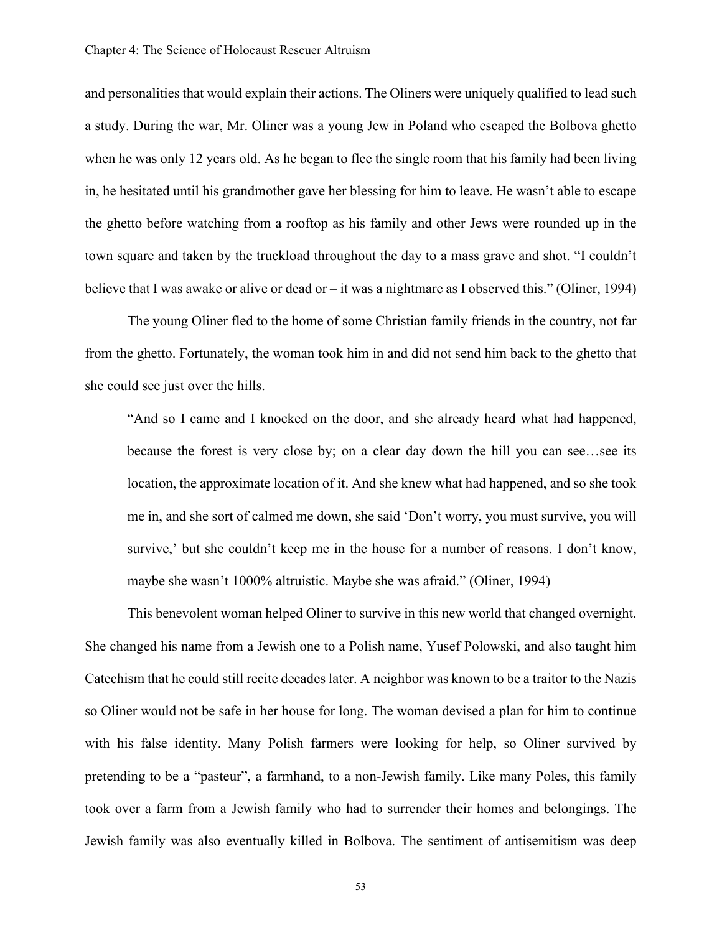and personalities that would explain their actions. The Oliners were uniquely qualified to lead such a study. During the war, Mr. Oliner was a young Jew in Poland who escaped the Bolbova ghetto when he was only 12 years old. As he began to flee the single room that his family had been living in, he hesitated until his grandmother gave her blessing for him to leave. He wasn't able to escape the ghetto before watching from a rooftop as his family and other Jews were rounded up in the town square and taken by the truckload throughout the day to a mass grave and shot. "I couldn't believe that I was awake or alive or dead or – it was a nightmare as I observed this." (Oliner, 1994)

The young Oliner fled to the home of some Christian family friends in the country, not far from the ghetto. Fortunately, the woman took him in and did not send him back to the ghetto that she could see just over the hills.

"And so I came and I knocked on the door, and she already heard what had happened, because the forest is very close by; on a clear day down the hill you can see…see its location, the approximate location of it. And she knew what had happened, and so she took me in, and she sort of calmed me down, she said 'Don't worry, you must survive, you will survive,' but she couldn't keep me in the house for a number of reasons. I don't know, maybe she wasn't 1000% altruistic. Maybe she was afraid." (Oliner, 1994)

This benevolent woman helped Oliner to survive in this new world that changed overnight. She changed his name from a Jewish one to a Polish name, Yusef Polowski, and also taught him Catechism that he could still recite decades later. A neighbor was known to be a traitor to the Nazis so Oliner would not be safe in her house for long. The woman devised a plan for him to continue with his false identity. Many Polish farmers were looking for help, so Oliner survived by pretending to be a "pasteur", a farmhand, to a non-Jewish family. Like many Poles, this family took over a farm from a Jewish family who had to surrender their homes and belongings. The Jewish family was also eventually killed in Bolbova. The sentiment of antisemitism was deep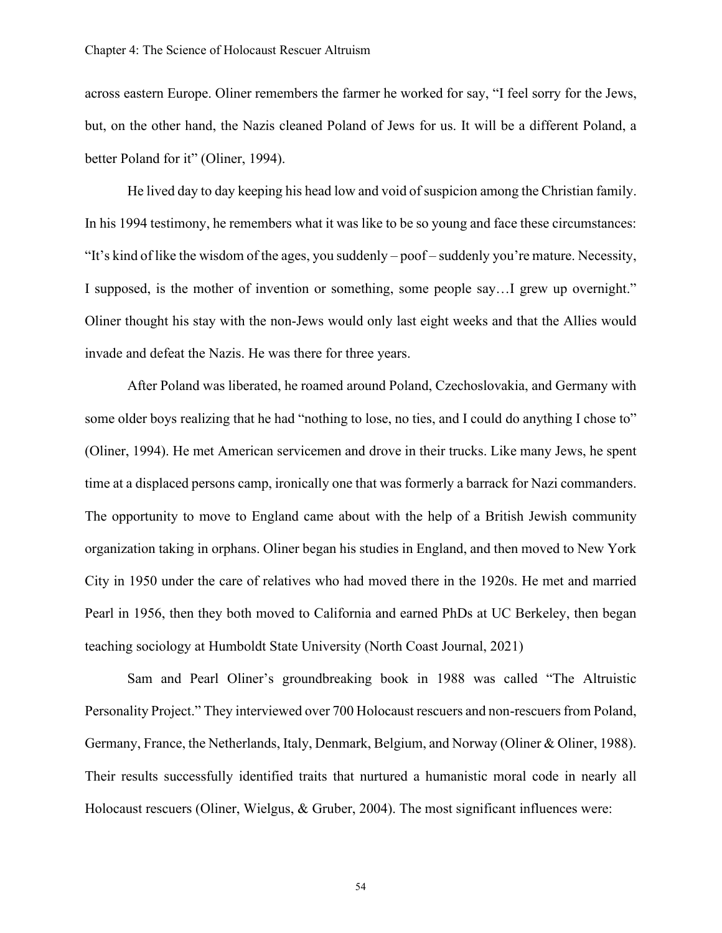across eastern Europe. Oliner remembers the farmer he worked for say, "I feel sorry for the Jews, but, on the other hand, the Nazis cleaned Poland of Jews for us. It will be a different Poland, a better Poland for it" (Oliner, 1994).

He lived day to day keeping his head low and void of suspicion among the Christian family. In his 1994 testimony, he remembers what it was like to be so young and face these circumstances: "It's kind of like the wisdom of the ages, you suddenly – poof – suddenly you're mature. Necessity, I supposed, is the mother of invention or something, some people say…I grew up overnight." Oliner thought his stay with the non-Jews would only last eight weeks and that the Allies would invade and defeat the Nazis. He was there for three years.

After Poland was liberated, he roamed around Poland, Czechoslovakia, and Germany with some older boys realizing that he had "nothing to lose, no ties, and I could do anything I chose to" (Oliner, 1994). He met American servicemen and drove in their trucks. Like many Jews, he spent time at a displaced persons camp, ironically one that was formerly a barrack for Nazi commanders. The opportunity to move to England came about with the help of a British Jewish community organization taking in orphans. Oliner began his studies in England, and then moved to New York City in 1950 under the care of relatives who had moved there in the 1920s. He met and married Pearl in 1956, then they both moved to California and earned PhDs at UC Berkeley, then began teaching sociology at Humboldt State University (North Coast Journal, 2021)

Sam and Pearl Oliner's groundbreaking book in 1988 was called "The Altruistic Personality Project." They interviewed over 700 Holocaust rescuers and non-rescuers from Poland, Germany, France, the Netherlands, Italy, Denmark, Belgium, and Norway (Oliner & Oliner, 1988). Their results successfully identified traits that nurtured a humanistic moral code in nearly all Holocaust rescuers (Oliner, Wielgus, & Gruber, 2004). The most significant influences were: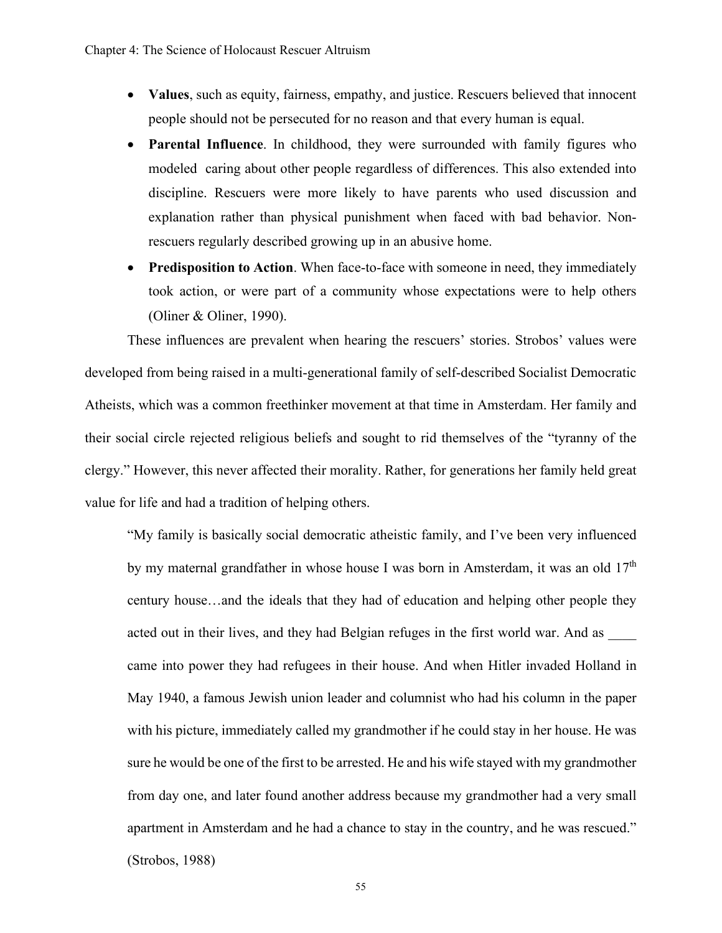- **Values**, such as equity, fairness, empathy, and justice. Rescuers believed that innocent people should not be persecuted for no reason and that every human is equal.
- **Parental Influence**. In childhood, they were surrounded with family figures who modeled caring about other people regardless of differences. This also extended into discipline. Rescuers were more likely to have parents who used discussion and explanation rather than physical punishment when faced with bad behavior. Nonrescuers regularly described growing up in an abusive home.
- **Predisposition to Action**. When face-to-face with someone in need, they immediately took action, or were part of a community whose expectations were to help others (Oliner & Oliner, 1990).

These influences are prevalent when hearing the rescuers' stories. Strobos' values were developed from being raised in a multi-generational family of self-described Socialist Democratic Atheists, which was a common freethinker movement at that time in Amsterdam. Her family and their social circle rejected religious beliefs and sought to rid themselves of the "tyranny of the clergy." However, this never affected their morality. Rather, for generations her family held great value for life and had a tradition of helping others.

"My family is basically social democratic atheistic family, and I've been very influenced by my maternal grandfather in whose house I was born in Amsterdam, it was an old 17<sup>th</sup> century house…and the ideals that they had of education and helping other people they acted out in their lives, and they had Belgian refuges in the first world war. And as came into power they had refugees in their house. And when Hitler invaded Holland in May 1940, a famous Jewish union leader and columnist who had his column in the paper with his picture, immediately called my grandmother if he could stay in her house. He was sure he would be one of the first to be arrested. He and his wife stayed with my grandmother from day one, and later found another address because my grandmother had a very small apartment in Amsterdam and he had a chance to stay in the country, and he was rescued."

(Strobos, 1988)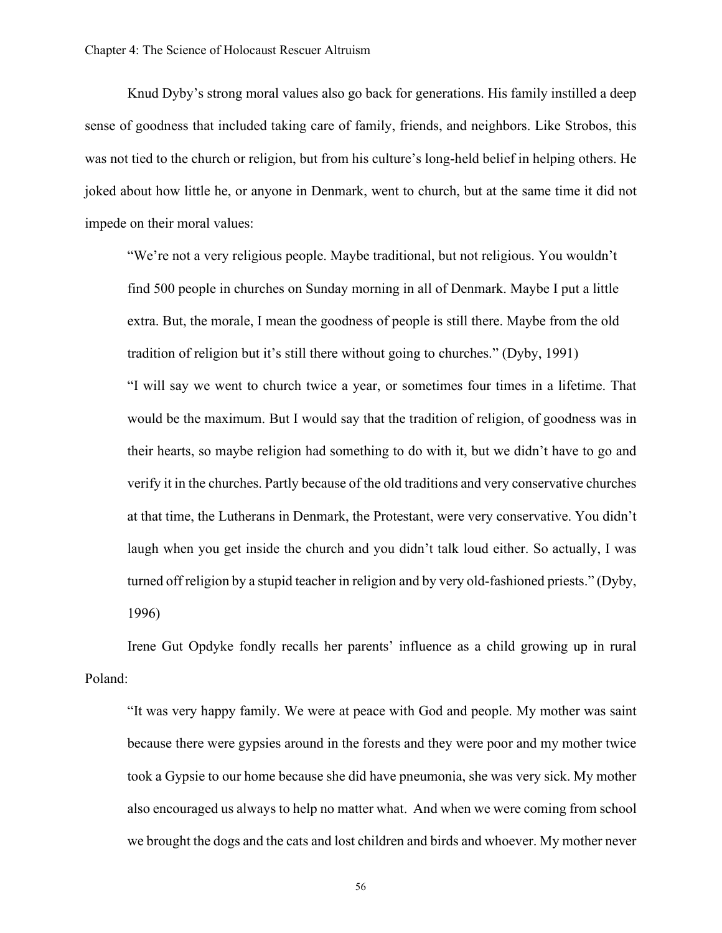Knud Dyby's strong moral values also go back for generations. His family instilled a deep sense of goodness that included taking care of family, friends, and neighbors. Like Strobos, this was not tied to the church or religion, but from his culture's long-held belief in helping others. He joked about how little he, or anyone in Denmark, went to church, but at the same time it did not impede on their moral values:

"We're not a very religious people. Maybe traditional, but not religious. You wouldn't find 500 people in churches on Sunday morning in all of Denmark. Maybe I put a little extra. But, the morale, I mean the goodness of people is still there. Maybe from the old tradition of religion but it's still there without going to churches." (Dyby, 1991) "I will say we went to church twice a year, or sometimes four times in a lifetime. That would be the maximum. But I would say that the tradition of religion, of goodness was in their hearts, so maybe religion had something to do with it, but we didn't have to go and verify it in the churches. Partly because of the old traditions and very conservative churches at that time, the Lutherans in Denmark, the Protestant, were very conservative. You didn't laugh when you get inside the church and you didn't talk loud either. So actually, I was turned off religion by a stupid teacher in religion and by very old-fashioned priests." (Dyby, 1996)

Irene Gut Opdyke fondly recalls her parents' influence as a child growing up in rural Poland:

"It was very happy family. We were at peace with God and people. My mother was saint because there were gypsies around in the forests and they were poor and my mother twice took a Gypsie to our home because she did have pneumonia, she was very sick. My mother also encouraged us always to help no matter what. And when we were coming from school we brought the dogs and the cats and lost children and birds and whoever. My mother never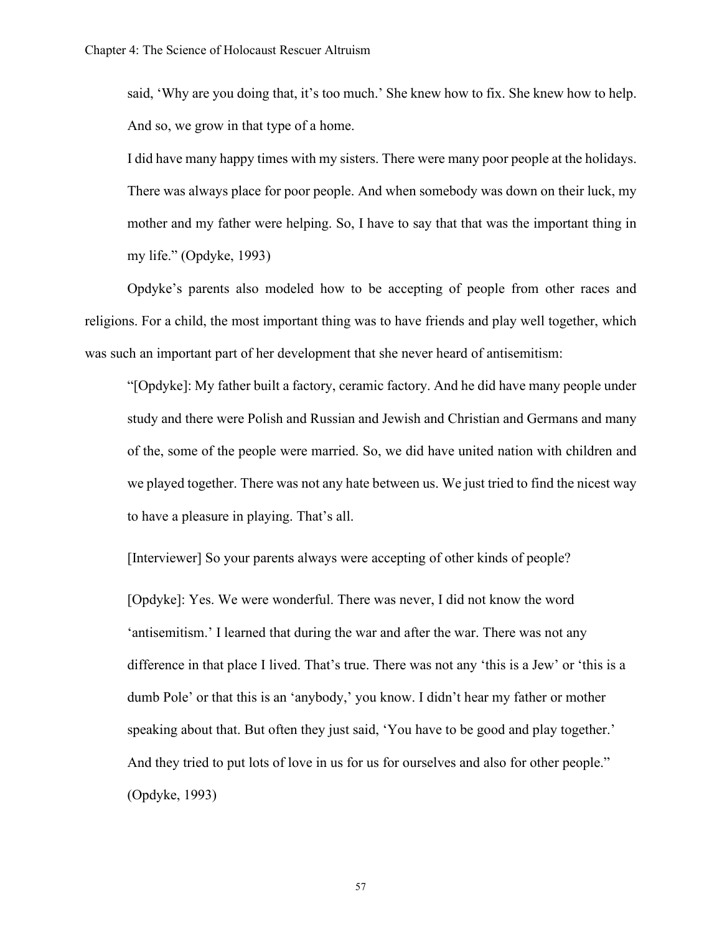said, 'Why are you doing that, it's too much.' She knew how to fix. She knew how to help. And so, we grow in that type of a home.

I did have many happy times with my sisters. There were many poor people at the holidays. There was always place for poor people. And when somebody was down on their luck, my mother and my father were helping. So, I have to say that that was the important thing in my life." (Opdyke, 1993)

Opdyke's parents also modeled how to be accepting of people from other races and religions. For a child, the most important thing was to have friends and play well together, which was such an important part of her development that she never heard of antisemitism:

"[Opdyke]: My father built a factory, ceramic factory. And he did have many people under study and there were Polish and Russian and Jewish and Christian and Germans and many of the, some of the people were married. So, we did have united nation with children and we played together. There was not any hate between us. We just tried to find the nicest way to have a pleasure in playing. That's all.

[Interviewer] So your parents always were accepting of other kinds of people?

[Opdyke]: Yes. We were wonderful. There was never, I did not know the word 'antisemitism.' I learned that during the war and after the war. There was not any difference in that place I lived. That's true. There was not any 'this is a Jew' or 'this is a dumb Pole' or that this is an 'anybody,' you know. I didn't hear my father or mother speaking about that. But often they just said, 'You have to be good and play together.' And they tried to put lots of love in us for us for ourselves and also for other people." (Opdyke, 1993)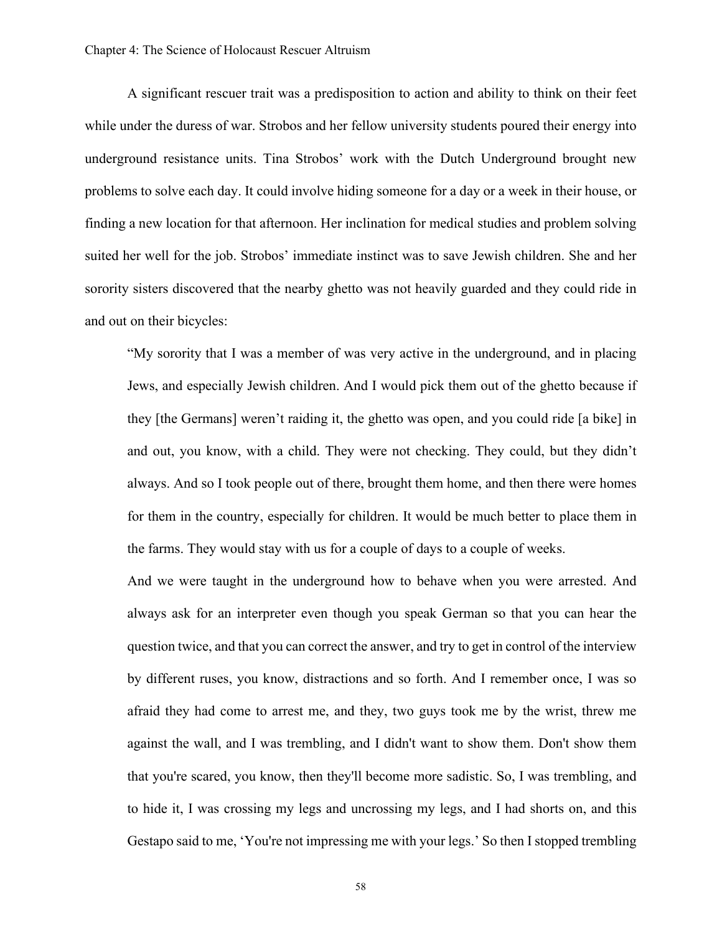A significant rescuer trait was a predisposition to action and ability to think on their feet while under the duress of war. Strobos and her fellow university students poured their energy into underground resistance units. Tina Strobos' work with the Dutch Underground brought new problems to solve each day. It could involve hiding someone for a day or a week in their house, or finding a new location for that afternoon. Her inclination for medical studies and problem solving suited her well for the job. Strobos' immediate instinct was to save Jewish children. She and her sorority sisters discovered that the nearby ghetto was not heavily guarded and they could ride in and out on their bicycles:

"My sorority that I was a member of was very active in the underground, and in placing Jews, and especially Jewish children. And I would pick them out of the ghetto because if they [the Germans] weren't raiding it, the ghetto was open, and you could ride [a bike] in and out, you know, with a child. They were not checking. They could, but they didn't always. And so I took people out of there, brought them home, and then there were homes for them in the country, especially for children. It would be much better to place them in the farms. They would stay with us for a couple of days to a couple of weeks.

And we were taught in the underground how to behave when you were arrested. And always ask for an interpreter even though you speak German so that you can hear the question twice, and that you can correct the answer, and try to get in control of the interview by different ruses, you know, distractions and so forth. And I remember once, I was so afraid they had come to arrest me, and they, two guys took me by the wrist, threw me against the wall, and I was trembling, and I didn't want to show them. Don't show them that you're scared, you know, then they'll become more sadistic. So, I was trembling, and to hide it, I was crossing my legs and uncrossing my legs, and I had shorts on, and this Gestapo said to me, 'You're not impressing me with your legs.' So then I stopped trembling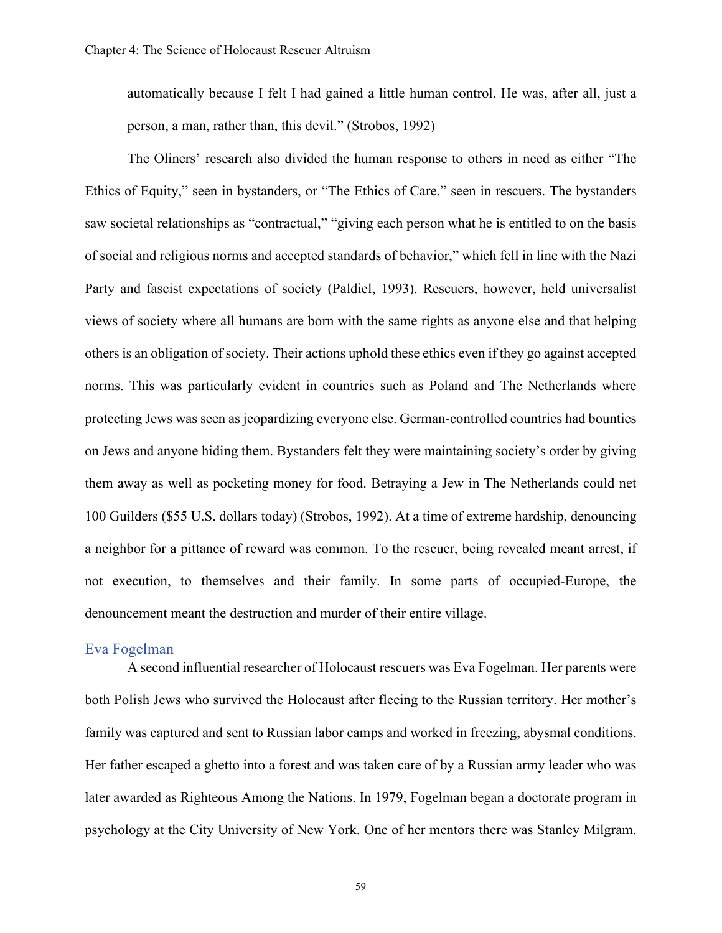automatically because I felt I had gained a little human control. He was, after all, just a person, a man, rather than, this devil." (Strobos, 1992)

The Oliners' research also divided the human response to others in need as either "The Ethics of Equity," seen in bystanders, or "The Ethics of Care," seen in rescuers. The bystanders saw societal relationships as "contractual," "giving each person what he is entitled to on the basis of social and religious norms and accepted standards of behavior," which fell in line with the Nazi Party and fascist expectations of society (Paldiel, 1993). Rescuers, however, held universalist views of society where all humans are born with the same rights as anyone else and that helping others is an obligation of society. Their actions uphold these ethics even if they go against accepted norms. This was particularly evident in countries such as Poland and The Netherlands where protecting Jews was seen as jeopardizing everyone else. German-controlled countries had bounties on Jews and anyone hiding them. Bystanders felt they were maintaining society's order by giving them away as well as pocketing money for food. Betraying a Jew in The Netherlands could net 100 Guilders (\$55 U.S. dollars today) (Strobos, 1992). At a time of extreme hardship, denouncing a neighbor for a pittance of reward was common. To the rescuer, being revealed meant arrest, if not execution, to themselves and their family. In some parts of occupied-Europe, the denouncement meant the destruction and murder of their entire village.

#### Eva Fogelman

A second influential researcher of Holocaust rescuers was Eva Fogelman. Her parents were both Polish Jews who survived the Holocaust after fleeing to the Russian territory. Her mother's family was captured and sent to Russian labor camps and worked in freezing, abysmal conditions. Her father escaped a ghetto into a forest and was taken care of by a Russian army leader who was later awarded as Righteous Among the Nations. In 1979, Fogelman began a doctorate program in psychology at the City University of New York. One of her mentors there was Stanley Milgram.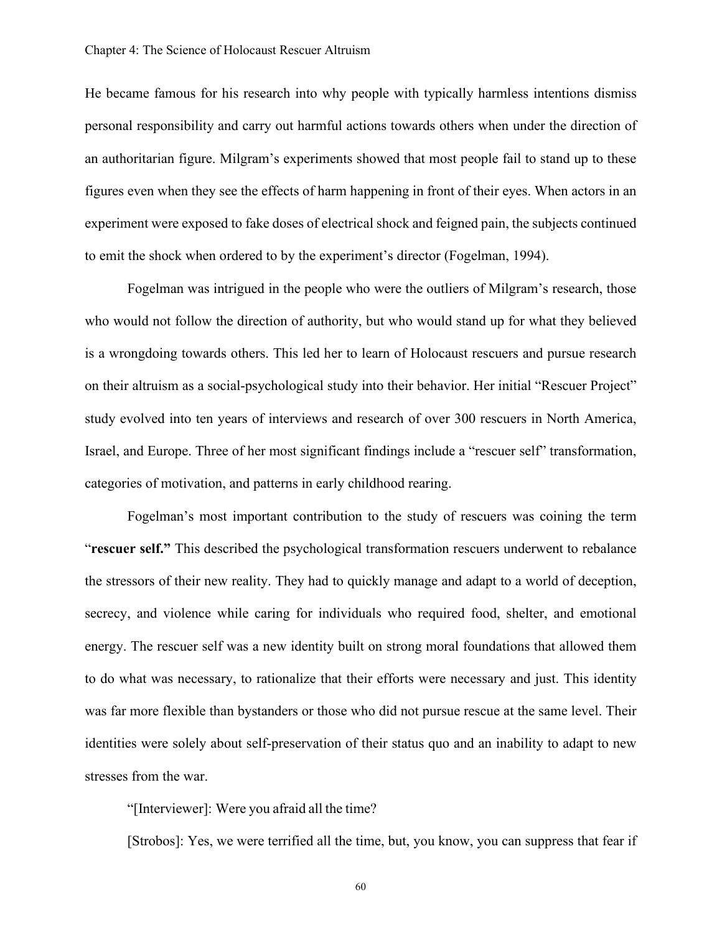He became famous for his research into why people with typically harmless intentions dismiss personal responsibility and carry out harmful actions towards others when under the direction of an authoritarian figure. Milgram's experiments showed that most people fail to stand up to these figures even when they see the effects of harm happening in front of their eyes. When actors in an experiment were exposed to fake doses of electrical shock and feigned pain, the subjects continued to emit the shock when ordered to by the experiment's director (Fogelman, 1994).

Fogelman was intrigued in the people who were the outliers of Milgram's research, those who would not follow the direction of authority, but who would stand up for what they believed is a wrongdoing towards others. This led her to learn of Holocaust rescuers and pursue research on their altruism as a social-psychological study into their behavior. Her initial "Rescuer Project" study evolved into ten years of interviews and research of over 300 rescuers in North America, Israel, and Europe. Three of her most significant findings include a "rescuer self" transformation, categories of motivation, and patterns in early childhood rearing.

Fogelman's most important contribution to the study of rescuers was coining the term "**rescuer self."** This described the psychological transformation rescuers underwent to rebalance the stressors of their new reality. They had to quickly manage and adapt to a world of deception, secrecy, and violence while caring for individuals who required food, shelter, and emotional energy. The rescuer self was a new identity built on strong moral foundations that allowed them to do what was necessary, to rationalize that their efforts were necessary and just. This identity was far more flexible than bystanders or those who did not pursue rescue at the same level. Their identities were solely about self-preservation of their status quo and an inability to adapt to new stresses from the war.

"[Interviewer]: Were you afraid all the time?

[Strobos]: Yes, we were terrified all the time, but, you know, you can suppress that fear if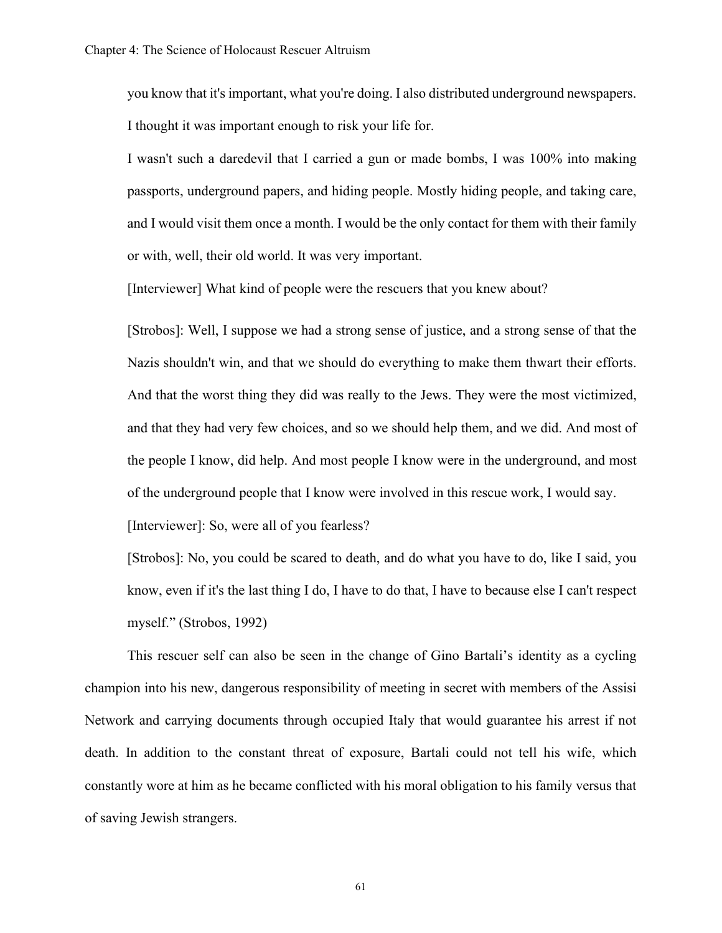you know that it's important, what you're doing. I also distributed underground newspapers. I thought it was important enough to risk your life for.

I wasn't such a daredevil that I carried a gun or made bombs, I was 100% into making passports, underground papers, and hiding people. Mostly hiding people, and taking care, and I would visit them once a month. I would be the only contact for them with their family or with, well, their old world. It was very important.

[Interviewer] What kind of people were the rescuers that you knew about?

[Strobos]: Well, I suppose we had a strong sense of justice, and a strong sense of that the Nazis shouldn't win, and that we should do everything to make them thwart their efforts. And that the worst thing they did was really to the Jews. They were the most victimized, and that they had very few choices, and so we should help them, and we did. And most of the people I know, did help. And most people I know were in the underground, and most of the underground people that I know were involved in this rescue work, I would say.

[Interviewer]: So, were all of you fearless?

[Strobos]: No, you could be scared to death, and do what you have to do, like I said, you know, even if it's the last thing I do, I have to do that, I have to because else I can't respect myself." (Strobos, 1992)

This rescuer self can also be seen in the change of Gino Bartali's identity as a cycling champion into his new, dangerous responsibility of meeting in secret with members of the Assisi Network and carrying documents through occupied Italy that would guarantee his arrest if not death. In addition to the constant threat of exposure, Bartali could not tell his wife, which constantly wore at him as he became conflicted with his moral obligation to his family versus that of saving Jewish strangers.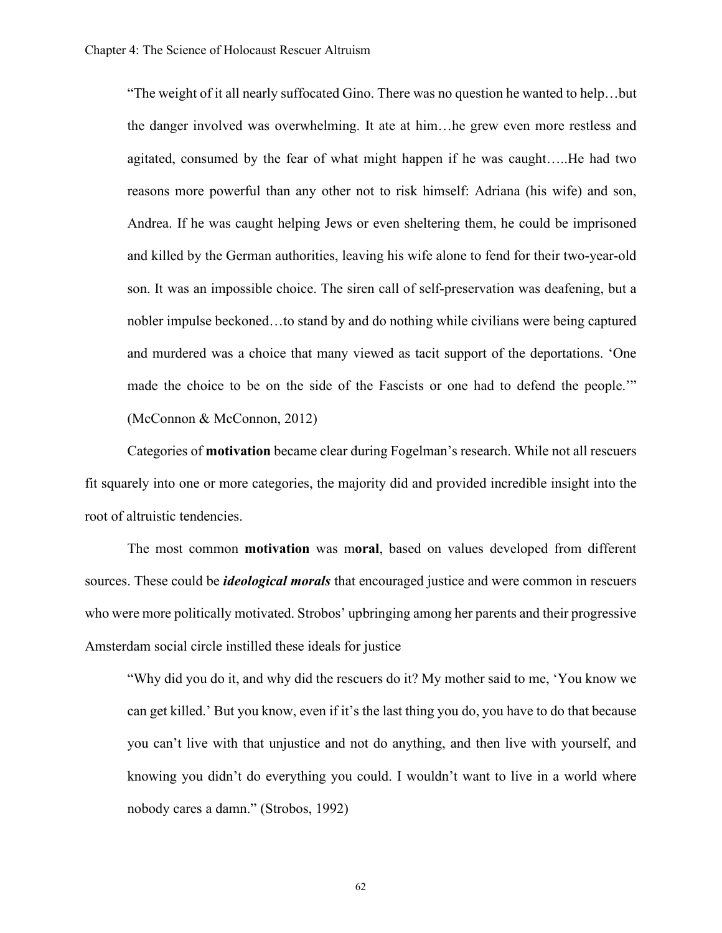"The weight of it all nearly suffocated Gino. There was no question he wanted to help…but the danger involved was overwhelming. It ate at him…he grew even more restless and agitated, consumed by the fear of what might happen if he was caught…..He had two reasons more powerful than any other not to risk himself: Adriana (his wife) and son, Andrea. If he was caught helping Jews or even sheltering them, he could be imprisoned and killed by the German authorities, leaving his wife alone to fend for their two-year-old son. It was an impossible choice. The siren call of self-preservation was deafening, but a nobler impulse beckoned…to stand by and do nothing while civilians were being captured and murdered was a choice that many viewed as tacit support of the deportations. 'One made the choice to be on the side of the Fascists or one had to defend the people.'" (McConnon & McConnon, 2012)

Categories of **motivation** became clear during Fogelman's research. While not all rescuers fit squarely into one or more categories, the majority did and provided incredible insight into the root of altruistic tendencies.

The most common **motivation** was m**oral**, based on values developed from different sources. These could be *ideological morals* that encouraged justice and were common in rescuers who were more politically motivated. Strobos' upbringing among her parents and their progressive Amsterdam social circle instilled these ideals for justice

"Why did you do it, and why did the rescuers do it? My mother said to me, 'You know we can get killed.' But you know, even if it's the last thing you do, you have to do that because you can't live with that unjustice and not do anything, and then live with yourself, and knowing you didn't do everything you could. I wouldn't want to live in a world where nobody cares a damn." (Strobos, 1992)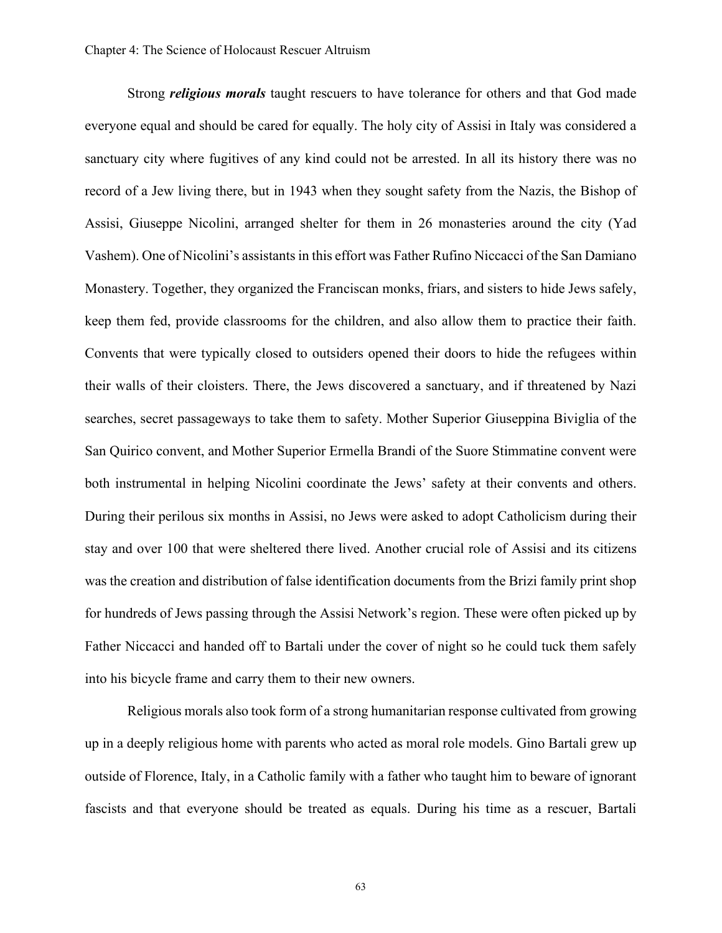Strong *religious morals* taught rescuers to have tolerance for others and that God made everyone equal and should be cared for equally. The holy city of Assisi in Italy was considered a sanctuary city where fugitives of any kind could not be arrested. In all its history there was no record of a Jew living there, but in 1943 when they sought safety from the Nazis, the Bishop of Assisi, Giuseppe Nicolini, arranged shelter for them in 26 monasteries around the city (Yad Vashem). One of Nicolini's assistants in this effort was Father Rufino Niccacci of the San Damiano Monastery. Together, they organized the Franciscan monks, friars, and sisters to hide Jews safely, keep them fed, provide classrooms for the children, and also allow them to practice their faith. Convents that were typically closed to outsiders opened their doors to hide the refugees within their walls of their cloisters. There, the Jews discovered a sanctuary, and if threatened by Nazi searches, secret passageways to take them to safety. Mother Superior Giuseppina Biviglia of the San Quirico convent, and Mother Superior Ermella Brandi of the Suore Stimmatine convent were both instrumental in helping Nicolini coordinate the Jews' safety at their convents and others. During their perilous six months in Assisi, no Jews were asked to adopt Catholicism during their stay and over 100 that were sheltered there lived. Another crucial role of Assisi and its citizens was the creation and distribution of false identification documents from the Brizi family print shop for hundreds of Jews passing through the Assisi Network's region. These were often picked up by Father Niccacci and handed off to Bartali under the cover of night so he could tuck them safely into his bicycle frame and carry them to their new owners.

Religious morals also took form of a strong humanitarian response cultivated from growing up in a deeply religious home with parents who acted as moral role models. Gino Bartali grew up outside of Florence, Italy, in a Catholic family with a father who taught him to beware of ignorant fascists and that everyone should be treated as equals. During his time as a rescuer, Bartali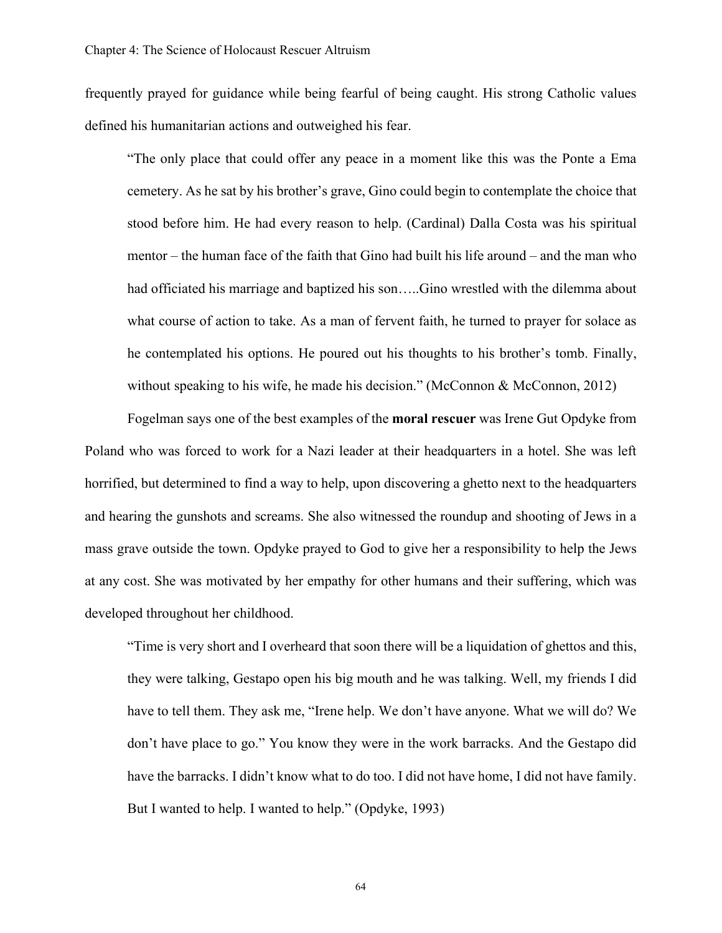frequently prayed for guidance while being fearful of being caught. His strong Catholic values defined his humanitarian actions and outweighed his fear.

"The only place that could offer any peace in a moment like this was the Ponte a Ema cemetery. As he sat by his brother's grave, Gino could begin to contemplate the choice that stood before him. He had every reason to help. (Cardinal) Dalla Costa was his spiritual mentor – the human face of the faith that Gino had built his life around – and the man who had officiated his marriage and baptized his son…..Gino wrestled with the dilemma about what course of action to take. As a man of fervent faith, he turned to prayer for solace as he contemplated his options. He poured out his thoughts to his brother's tomb. Finally, without speaking to his wife, he made his decision." (McConnon & McConnon, 2012)

Fogelman says one of the best examples of the **moral rescuer** was Irene Gut Opdyke from Poland who was forced to work for a Nazi leader at their headquarters in a hotel. She was left horrified, but determined to find a way to help, upon discovering a ghetto next to the headquarters and hearing the gunshots and screams. She also witnessed the roundup and shooting of Jews in a mass grave outside the town. Opdyke prayed to God to give her a responsibility to help the Jews at any cost. She was motivated by her empathy for other humans and their suffering, which was developed throughout her childhood.

"Time is very short and I overheard that soon there will be a liquidation of ghettos and this, they were talking, Gestapo open his big mouth and he was talking. Well, my friends I did have to tell them. They ask me, "Irene help. We don't have anyone. What we will do? We don't have place to go." You know they were in the work barracks. And the Gestapo did have the barracks. I didn't know what to do too. I did not have home, I did not have family. But I wanted to help. I wanted to help." (Opdyke, 1993)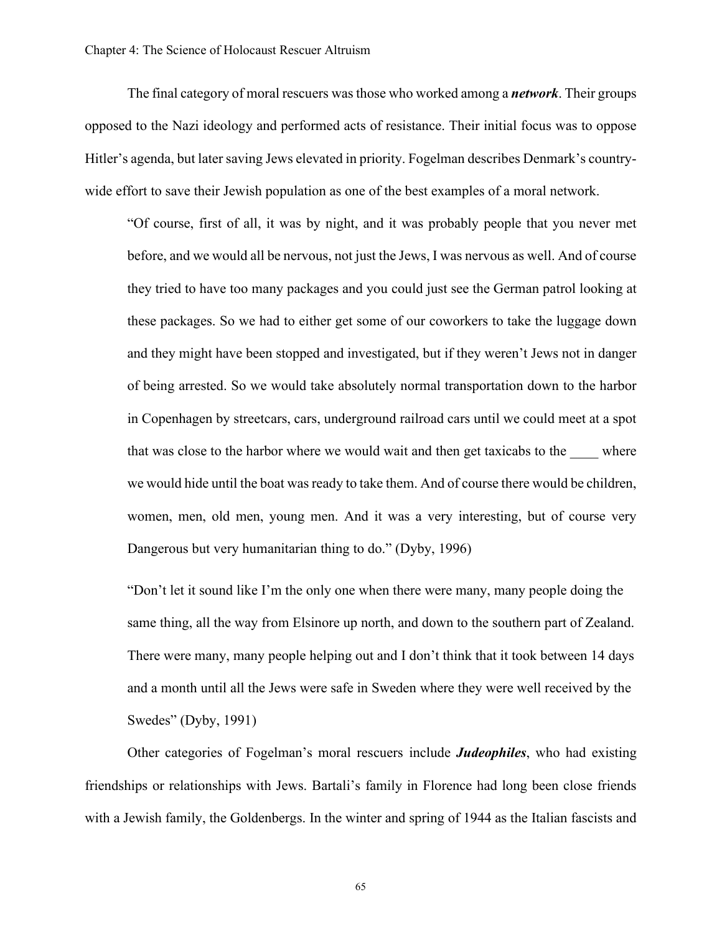The final category of moral rescuers wasthose who worked among a *network*. Their groups opposed to the Nazi ideology and performed acts of resistance. Their initial focus was to oppose Hitler's agenda, but later saving Jews elevated in priority. Fogelman describes Denmark's countrywide effort to save their Jewish population as one of the best examples of a moral network.

"Of course, first of all, it was by night, and it was probably people that you never met before, and we would all be nervous, not just the Jews, I was nervous as well. And of course they tried to have too many packages and you could just see the German patrol looking at these packages. So we had to either get some of our coworkers to take the luggage down and they might have been stopped and investigated, but if they weren't Jews not in danger of being arrested. So we would take absolutely normal transportation down to the harbor in Copenhagen by streetcars, cars, underground railroad cars until we could meet at a spot that was close to the harbor where we would wait and then get taxicabs to the where we would hide until the boat was ready to take them. And of course there would be children, women, men, old men, young men. And it was a very interesting, but of course very Dangerous but very humanitarian thing to do." (Dyby, 1996)

"Don't let it sound like I'm the only one when there were many, many people doing the same thing, all the way from Elsinore up north, and down to the southern part of Zealand. There were many, many people helping out and I don't think that it took between 14 days and a month until all the Jews were safe in Sweden where they were well received by the Swedes" (Dyby, 1991)

Other categories of Fogelman's moral rescuers include *Judeophiles*, who had existing friendships or relationships with Jews. Bartali's family in Florence had long been close friends with a Jewish family, the Goldenbergs. In the winter and spring of 1944 as the Italian fascists and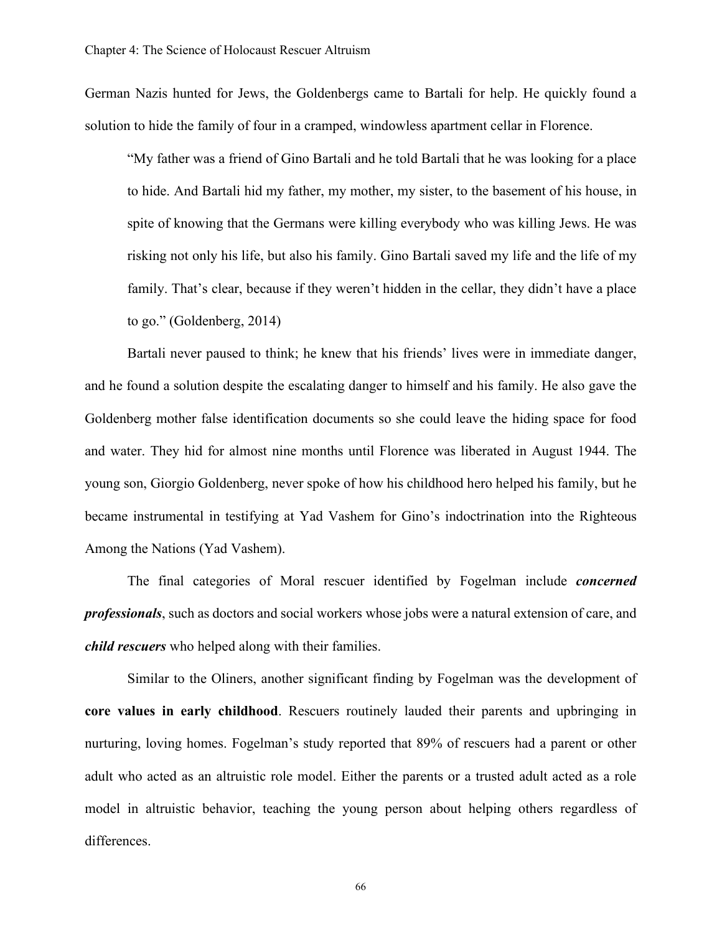German Nazis hunted for Jews, the Goldenbergs came to Bartali for help. He quickly found a solution to hide the family of four in a cramped, windowless apartment cellar in Florence.

"My father was a friend of Gino Bartali and he told Bartali that he was looking for a place to hide. And Bartali hid my father, my mother, my sister, to the basement of his house, in spite of knowing that the Germans were killing everybody who was killing Jews. He was risking not only his life, but also his family. Gino Bartali saved my life and the life of my family. That's clear, because if they weren't hidden in the cellar, they didn't have a place to go." (Goldenberg, 2014)

Bartali never paused to think; he knew that his friends' lives were in immediate danger, and he found a solution despite the escalating danger to himself and his family. He also gave the Goldenberg mother false identification documents so she could leave the hiding space for food and water. They hid for almost nine months until Florence was liberated in August 1944. The young son, Giorgio Goldenberg, never spoke of how his childhood hero helped his family, but he became instrumental in testifying at Yad Vashem for Gino's indoctrination into the Righteous Among the Nations (Yad Vashem).

The final categories of Moral rescuer identified by Fogelman include *concerned professionals*, such as doctors and social workers whose jobs were a natural extension of care, and *child rescuers* who helped along with their families.

Similar to the Oliners, another significant finding by Fogelman was the development of **core values in early childhood**. Rescuers routinely lauded their parents and upbringing in nurturing, loving homes. Fogelman's study reported that 89% of rescuers had a parent or other adult who acted as an altruistic role model. Either the parents or a trusted adult acted as a role model in altruistic behavior, teaching the young person about helping others regardless of differences.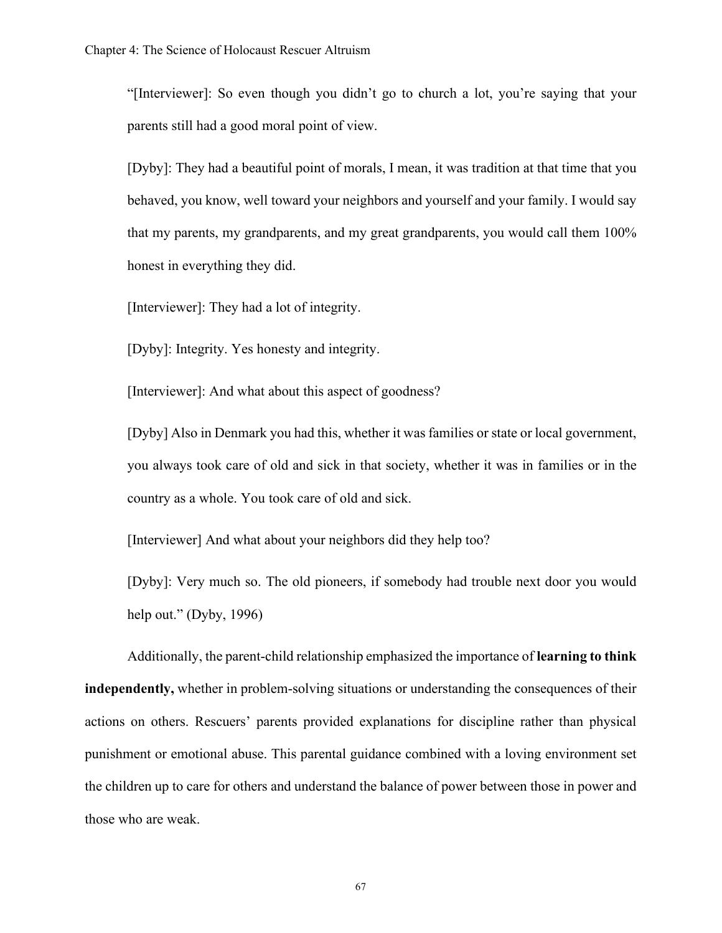"[Interviewer]: So even though you didn't go to church a lot, you're saying that your parents still had a good moral point of view.

[Dyby]: They had a beautiful point of morals, I mean, it was tradition at that time that you behaved, you know, well toward your neighbors and yourself and your family. I would say that my parents, my grandparents, and my great grandparents, you would call them 100% honest in everything they did.

[Interviewer]: They had a lot of integrity.

[Dyby]: Integrity. Yes honesty and integrity.

[Interviewer]: And what about this aspect of goodness?

[Dyby] Also in Denmark you had this, whether it was families or state or local government, you always took care of old and sick in that society, whether it was in families or in the country as a whole. You took care of old and sick.

[Interviewer] And what about your neighbors did they help too?

[Dyby]: Very much so. The old pioneers, if somebody had trouble next door you would help out." (Dyby, 1996)

Additionally, the parent-child relationship emphasized the importance of **learning to think independently,** whether in problem-solving situations or understanding the consequences of their actions on others. Rescuers' parents provided explanations for discipline rather than physical punishment or emotional abuse. This parental guidance combined with a loving environment set the children up to care for others and understand the balance of power between those in power and those who are weak.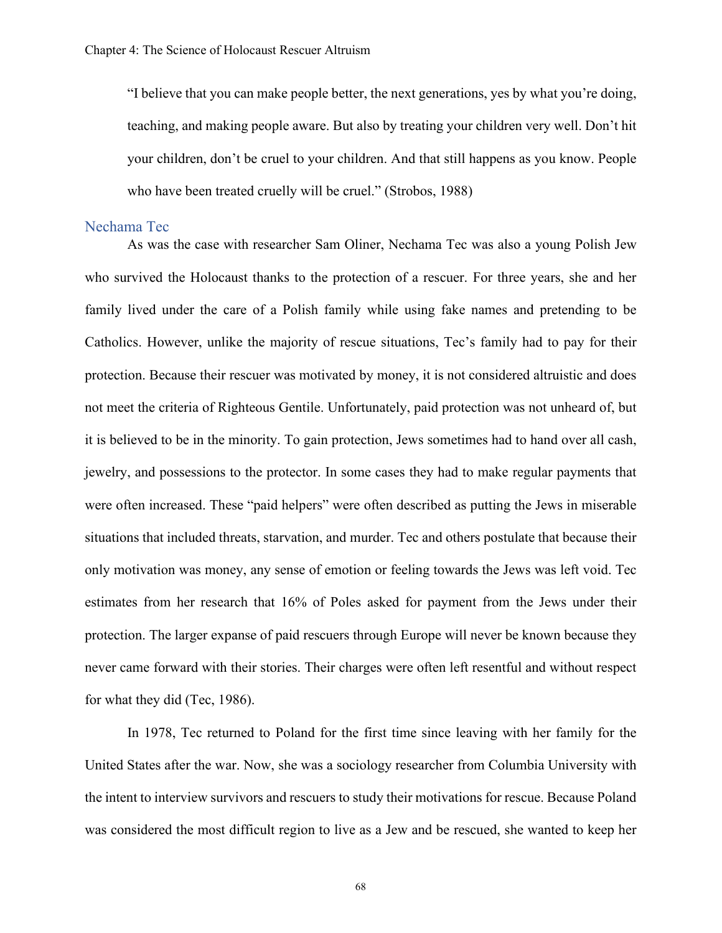"I believe that you can make people better, the next generations, yes by what you're doing, teaching, and making people aware. But also by treating your children very well. Don't hit your children, don't be cruel to your children. And that still happens as you know. People who have been treated cruelly will be cruel." (Strobos, 1988)

#### Nechama Tec

As was the case with researcher Sam Oliner, Nechama Tec was also a young Polish Jew who survived the Holocaust thanks to the protection of a rescuer. For three years, she and her family lived under the care of a Polish family while using fake names and pretending to be Catholics. However, unlike the majority of rescue situations, Tec's family had to pay for their protection. Because their rescuer was motivated by money, it is not considered altruistic and does not meet the criteria of Righteous Gentile. Unfortunately, paid protection was not unheard of, but it is believed to be in the minority. To gain protection, Jews sometimes had to hand over all cash, jewelry, and possessions to the protector. In some cases they had to make regular payments that were often increased. These "paid helpers" were often described as putting the Jews in miserable situations that included threats, starvation, and murder. Tec and others postulate that because their only motivation was money, any sense of emotion or feeling towards the Jews was left void. Tec estimates from her research that 16% of Poles asked for payment from the Jews under their protection. The larger expanse of paid rescuers through Europe will never be known because they never came forward with their stories. Their charges were often left resentful and without respect for what they did (Tec, 1986).

In 1978, Tec returned to Poland for the first time since leaving with her family for the United States after the war. Now, she was a sociology researcher from Columbia University with the intent to interview survivors and rescuers to study their motivations for rescue. Because Poland was considered the most difficult region to live as a Jew and be rescued, she wanted to keep her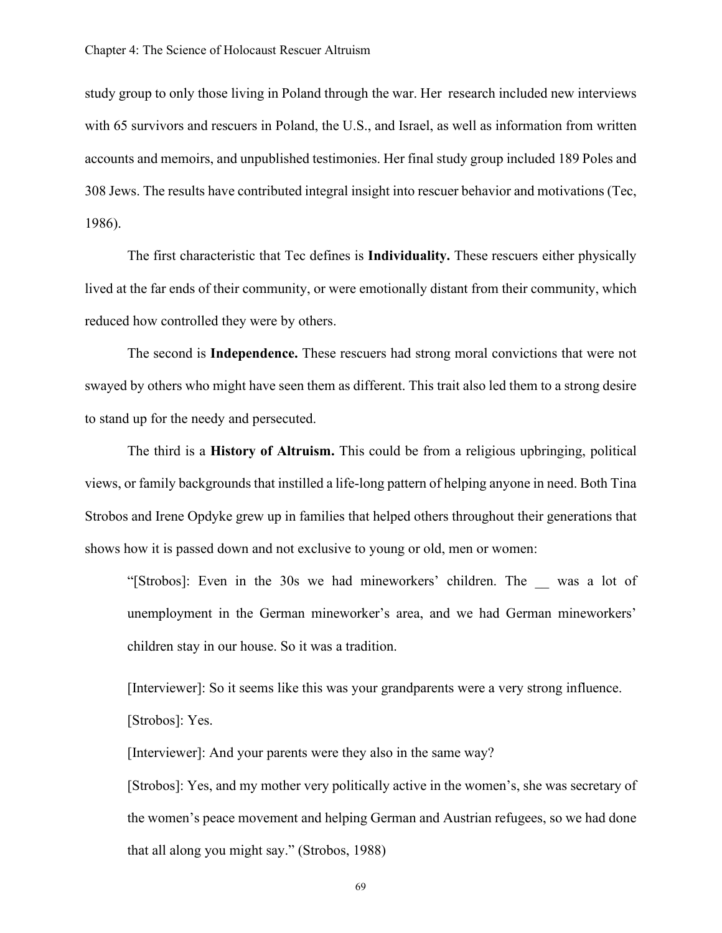study group to only those living in Poland through the war. Her research included new interviews with 65 survivors and rescuers in Poland, the U.S., and Israel, as well as information from written accounts and memoirs, and unpublished testimonies. Her final study group included 189 Poles and 308 Jews. The results have contributed integral insight into rescuer behavior and motivations (Tec, 1986).

The first characteristic that Tec defines is **Individuality.** These rescuers either physically lived at the far ends of their community, or were emotionally distant from their community, which reduced how controlled they were by others.

The second is **Independence.** These rescuers had strong moral convictions that were not swayed by others who might have seen them as different. This trait also led them to a strong desire to stand up for the needy and persecuted.

The third is a **History of Altruism.** This could be from a religious upbringing, political views, or family backgrounds that instilled a life-long pattern of helping anyone in need. Both Tina Strobos and Irene Opdyke grew up in families that helped others throughout their generations that shows how it is passed down and not exclusive to young or old, men or women:

"[Strobos]: Even in the 30s we had mineworkers' children. The \_\_ was a lot of unemployment in the German mineworker's area, and we had German mineworkers' children stay in our house. So it was a tradition.

[Interviewer]: So it seems like this was your grandparents were a very strong influence. [Strobos]: Yes.

[Interviewer]: And your parents were they also in the same way?

[Strobos]: Yes, and my mother very politically active in the women's, she was secretary of the women's peace movement and helping German and Austrian refugees, so we had done that all along you might say." (Strobos, 1988)

69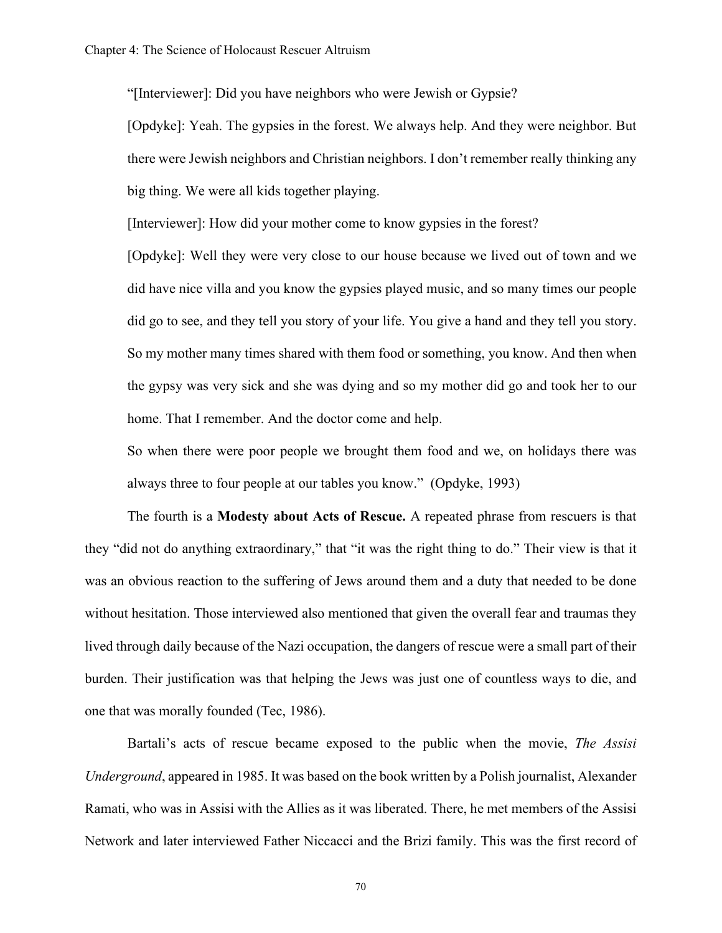"[Interviewer]: Did you have neighbors who were Jewish or Gypsie?

[Opdyke]: Yeah. The gypsies in the forest. We always help. And they were neighbor. But there were Jewish neighbors and Christian neighbors. I don't remember really thinking any big thing. We were all kids together playing.

[Interviewer]: How did your mother come to know gypsies in the forest?

[Opdyke]: Well they were very close to our house because we lived out of town and we did have nice villa and you know the gypsies played music, and so many times our people did go to see, and they tell you story of your life. You give a hand and they tell you story. So my mother many times shared with them food or something, you know. And then when the gypsy was very sick and she was dying and so my mother did go and took her to our home. That I remember. And the doctor come and help.

So when there were poor people we brought them food and we, on holidays there was always three to four people at our tables you know." (Opdyke, 1993)

The fourth is a **Modesty about Acts of Rescue.** A repeated phrase from rescuers is that they "did not do anything extraordinary," that "it was the right thing to do." Their view is that it was an obvious reaction to the suffering of Jews around them and a duty that needed to be done without hesitation. Those interviewed also mentioned that given the overall fear and traumas they lived through daily because of the Nazi occupation, the dangers of rescue were a small part of their burden. Their justification was that helping the Jews was just one of countless ways to die, and one that was morally founded (Tec, 1986).

Bartali's acts of rescue became exposed to the public when the movie, *The Assisi Underground*, appeared in 1985. It was based on the book written by a Polish journalist, Alexander Ramati, who was in Assisi with the Allies as it was liberated. There, he met members of the Assisi Network and later interviewed Father Niccacci and the Brizi family. This was the first record of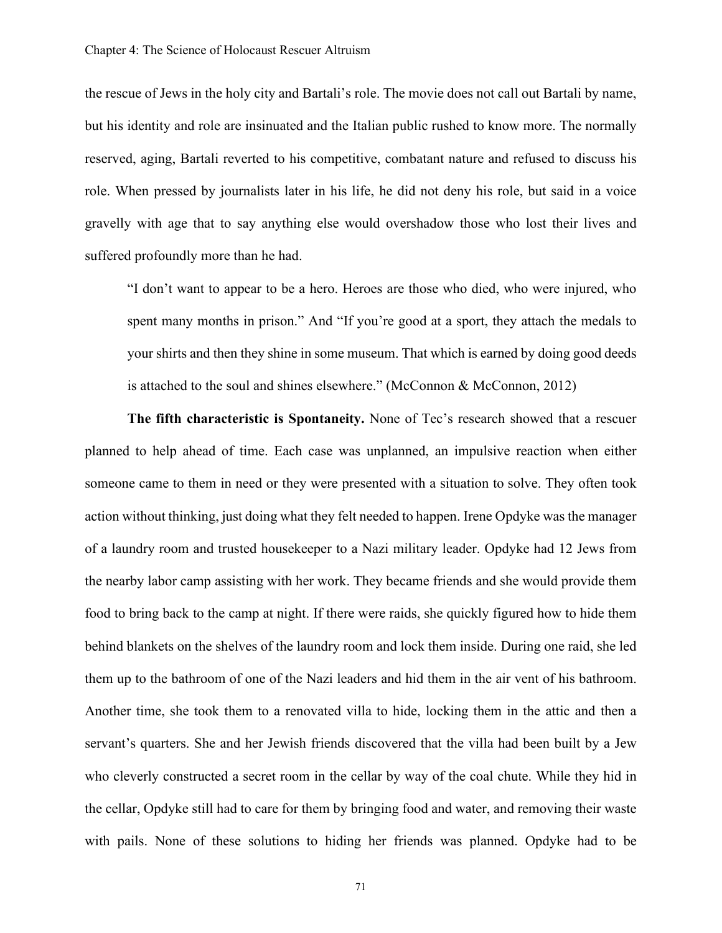the rescue of Jews in the holy city and Bartali's role. The movie does not call out Bartali by name, but his identity and role are insinuated and the Italian public rushed to know more. The normally reserved, aging, Bartali reverted to his competitive, combatant nature and refused to discuss his role. When pressed by journalists later in his life, he did not deny his role, but said in a voice gravelly with age that to say anything else would overshadow those who lost their lives and suffered profoundly more than he had.

"I don't want to appear to be a hero. Heroes are those who died, who were injured, who spent many months in prison." And "If you're good at a sport, they attach the medals to your shirts and then they shine in some museum. That which is earned by doing good deeds is attached to the soul and shines elsewhere." (McConnon & McConnon, 2012)

**The fifth characteristic is Spontaneity.** None of Tec's research showed that a rescuer planned to help ahead of time. Each case was unplanned, an impulsive reaction when either someone came to them in need or they were presented with a situation to solve. They often took action without thinking, just doing what they felt needed to happen. Irene Opdyke was the manager of a laundry room and trusted housekeeper to a Nazi military leader. Opdyke had 12 Jews from the nearby labor camp assisting with her work. They became friends and she would provide them food to bring back to the camp at night. If there were raids, she quickly figured how to hide them behind blankets on the shelves of the laundry room and lock them inside. During one raid, she led them up to the bathroom of one of the Nazi leaders and hid them in the air vent of his bathroom. Another time, she took them to a renovated villa to hide, locking them in the attic and then a servant's quarters. She and her Jewish friends discovered that the villa had been built by a Jew who cleverly constructed a secret room in the cellar by way of the coal chute. While they hid in the cellar, Opdyke still had to care for them by bringing food and water, and removing their waste with pails. None of these solutions to hiding her friends was planned. Opdyke had to be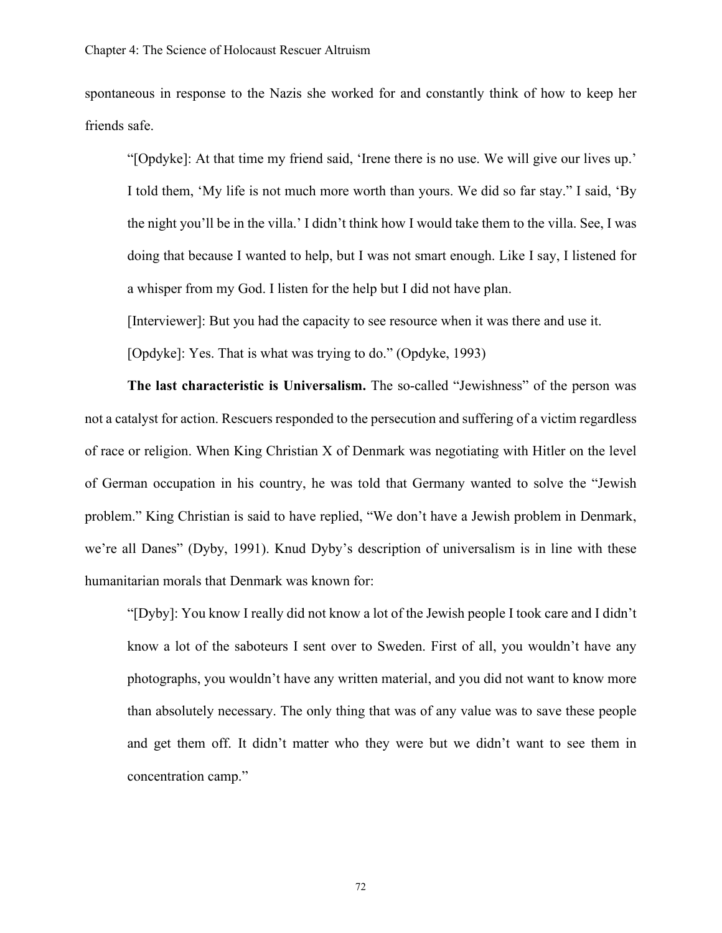spontaneous in response to the Nazis she worked for and constantly think of how to keep her friends safe.

"[Opdyke]: At that time my friend said, 'Irene there is no use. We will give our lives up.' I told them, 'My life is not much more worth than yours. We did so far stay." I said, 'By the night you'll be in the villa.' I didn't think how I would take them to the villa. See, I was doing that because I wanted to help, but I was not smart enough. Like I say, I listened for a whisper from my God. I listen for the help but I did not have plan.

[Interviewer]: But you had the capacity to see resource when it was there and use it.

[Opdyke]: Yes. That is what was trying to do." (Opdyke, 1993)

**The last characteristic is Universalism.** The so-called "Jewishness" of the person was not a catalyst for action. Rescuers responded to the persecution and suffering of a victim regardless of race or religion. When King Christian X of Denmark was negotiating with Hitler on the level of German occupation in his country, he was told that Germany wanted to solve the "Jewish problem." King Christian is said to have replied, "We don't have a Jewish problem in Denmark, we're all Danes" (Dyby, 1991). Knud Dyby's description of universalism is in line with these humanitarian morals that Denmark was known for:

"[Dyby]: You know I really did not know a lot of the Jewish people I took care and I didn't know a lot of the saboteurs I sent over to Sweden. First of all, you wouldn't have any photographs, you wouldn't have any written material, and you did not want to know more than absolutely necessary. The only thing that was of any value was to save these people and get them off. It didn't matter who they were but we didn't want to see them in concentration camp."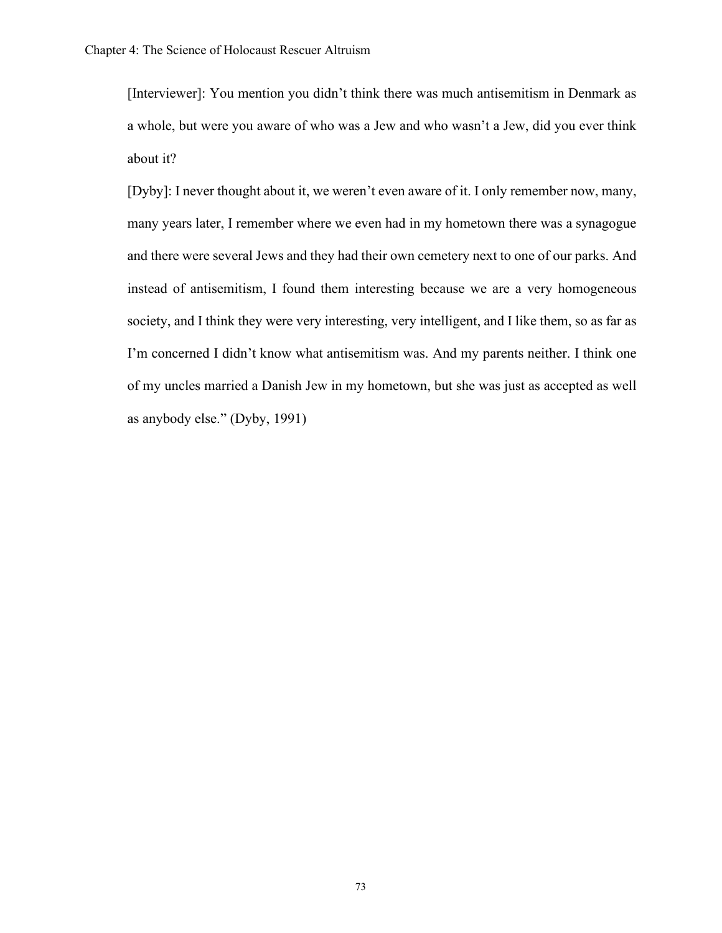[Interviewer]: You mention you didn't think there was much antisemitism in Denmark as a whole, but were you aware of who was a Jew and who wasn't a Jew, did you ever think about it?

[Dyby]: I never thought about it, we weren't even aware of it. I only remember now, many, many years later, I remember where we even had in my hometown there was a synagogue and there were several Jews and they had their own cemetery next to one of our parks. And instead of antisemitism, I found them interesting because we are a very homogeneous society, and I think they were very interesting, very intelligent, and I like them, so as far as I'm concerned I didn't know what antisemitism was. And my parents neither. I think one of my uncles married a Danish Jew in my hometown, but she was just as accepted as well as anybody else." (Dyby, 1991)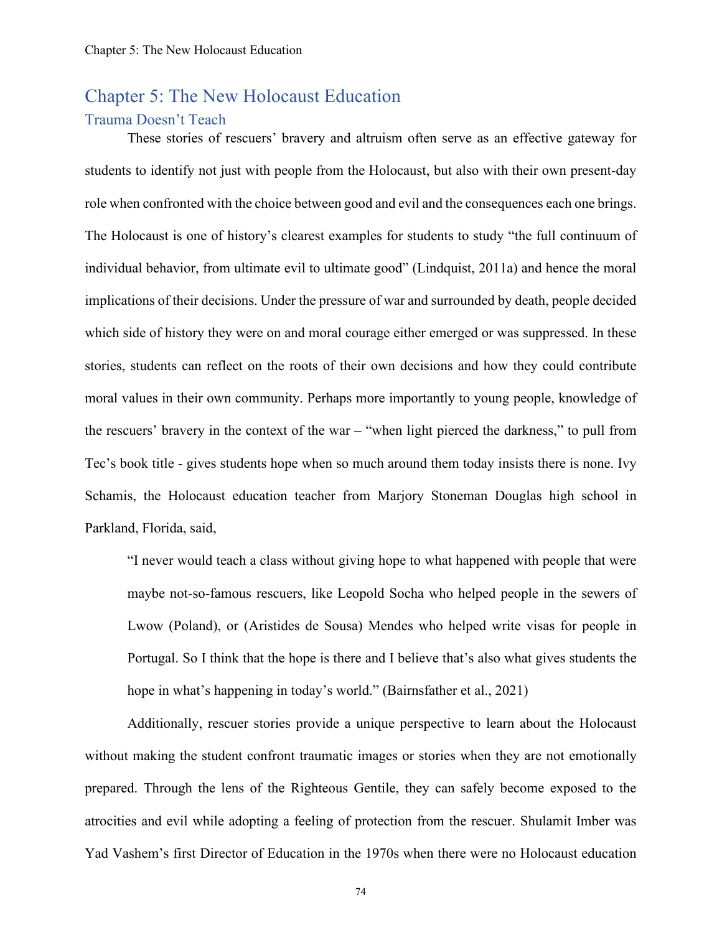# Chapter 5: The New Holocaust Education

### Trauma Doesn't Teach

These stories of rescuers' bravery and altruism often serve as an effective gateway for students to identify not just with people from the Holocaust, but also with their own present-day role when confronted with the choice between good and evil and the consequences each one brings. The Holocaust is one of history's clearest examples for students to study "the full continuum of individual behavior, from ultimate evil to ultimate good" (Lindquist, 2011a) and hence the moral implications of their decisions. Under the pressure of war and surrounded by death, people decided which side of history they were on and moral courage either emerged or was suppressed. In these stories, students can reflect on the roots of their own decisions and how they could contribute moral values in their own community. Perhaps more importantly to young people, knowledge of the rescuers' bravery in the context of the war – "when light pierced the darkness," to pull from Tec's book title - gives students hope when so much around them today insists there is none. Ivy Schamis, the Holocaust education teacher from Marjory Stoneman Douglas high school in Parkland, Florida, said,

"I never would teach a class without giving hope to what happened with people that were maybe not-so-famous rescuers, like Leopold Socha who helped people in the sewers of Lwow (Poland), or (Aristides de Sousa) Mendes who helped write visas for people in Portugal. So I think that the hope is there and I believe that's also what gives students the hope in what's happening in today's world." (Bairnsfather et al., 2021)

Additionally, rescuer stories provide a unique perspective to learn about the Holocaust without making the student confront traumatic images or stories when they are not emotionally prepared. Through the lens of the Righteous Gentile, they can safely become exposed to the atrocities and evil while adopting a feeling of protection from the rescuer. Shulamit Imber was Yad Vashem's first Director of Education in the 1970s when there were no Holocaust education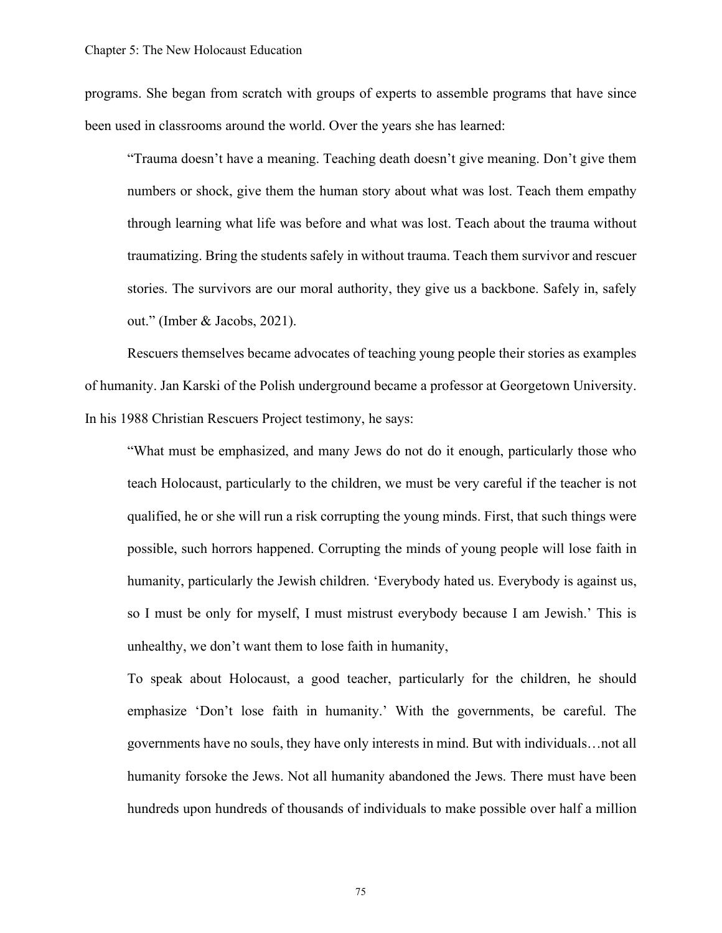programs. She began from scratch with groups of experts to assemble programs that have since been used in classrooms around the world. Over the years she has learned:

"Trauma doesn't have a meaning. Teaching death doesn't give meaning. Don't give them numbers or shock, give them the human story about what was lost. Teach them empathy through learning what life was before and what was lost. Teach about the trauma without traumatizing. Bring the students safely in without trauma. Teach them survivor and rescuer stories. The survivors are our moral authority, they give us a backbone. Safely in, safely out." (Imber & Jacobs, 2021).

Rescuers themselves became advocates of teaching young people their stories as examples of humanity. Jan Karski of the Polish underground became a professor at Georgetown University. In his 1988 Christian Rescuers Project testimony, he says:

"What must be emphasized, and many Jews do not do it enough, particularly those who teach Holocaust, particularly to the children, we must be very careful if the teacher is not qualified, he or she will run a risk corrupting the young minds. First, that such things were possible, such horrors happened. Corrupting the minds of young people will lose faith in humanity, particularly the Jewish children. 'Everybody hated us. Everybody is against us, so I must be only for myself, I must mistrust everybody because I am Jewish.' This is unhealthy, we don't want them to lose faith in humanity,

To speak about Holocaust, a good teacher, particularly for the children, he should emphasize 'Don't lose faith in humanity.' With the governments, be careful. The governments have no souls, they have only interests in mind. But with individuals…not all humanity forsoke the Jews. Not all humanity abandoned the Jews. There must have been hundreds upon hundreds of thousands of individuals to make possible over half a million

75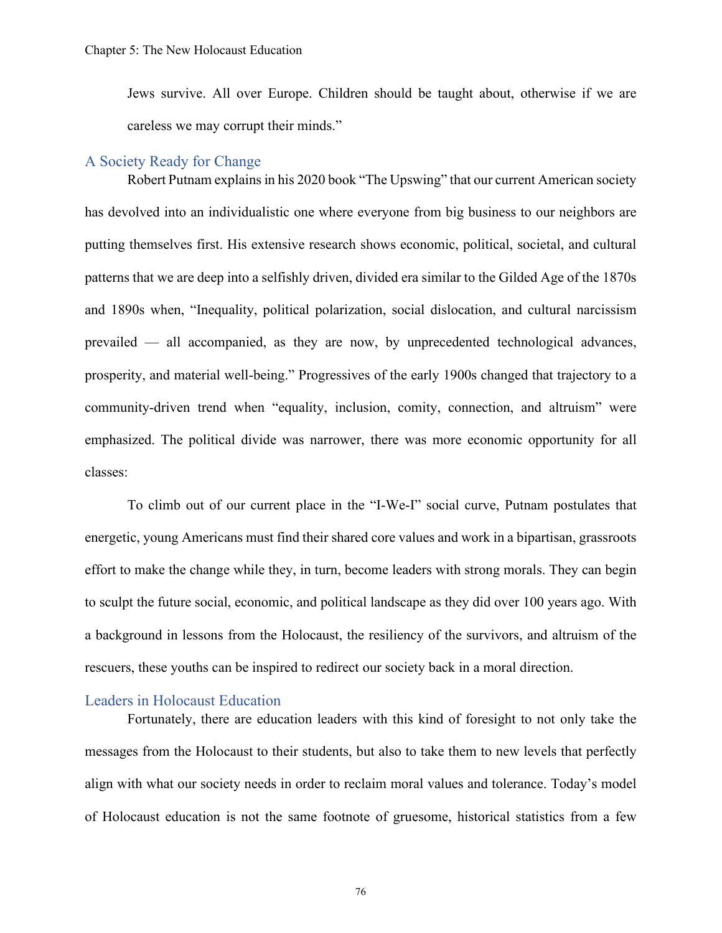Jews survive. All over Europe. Children should be taught about, otherwise if we are careless we may corrupt their minds."

#### A Society Ready for Change

Robert Putnam explains in his 2020 book "The Upswing" that our current American society has devolved into an individualistic one where everyone from big business to our neighbors are putting themselves first. His extensive research shows economic, political, societal, and cultural patterns that we are deep into a selfishly driven, divided era similar to the Gilded Age of the 1870s and 1890s when, "Inequality, political polarization, social dislocation, and cultural narcissism prevailed — all accompanied, as they are now, by unprecedented technological advances, prosperity, and material well-being." Progressives of the early 1900s changed that trajectory to a community-driven trend when "equality, inclusion, comity, connection, and altruism" were emphasized. The political divide was narrower, there was more economic opportunity for all classes:

To climb out of our current place in the "I-We-I" social curve, Putnam postulates that energetic, young Americans must find their shared core values and work in a bipartisan, grassroots effort to make the change while they, in turn, become leaders with strong morals. They can begin to sculpt the future social, economic, and political landscape as they did over 100 years ago. With a background in lessons from the Holocaust, the resiliency of the survivors, and altruism of the rescuers, these youths can be inspired to redirect our society back in a moral direction.

#### Leaders in Holocaust Education

Fortunately, there are education leaders with this kind of foresight to not only take the messages from the Holocaust to their students, but also to take them to new levels that perfectly align with what our society needs in order to reclaim moral values and tolerance. Today's model of Holocaust education is not the same footnote of gruesome, historical statistics from a few

76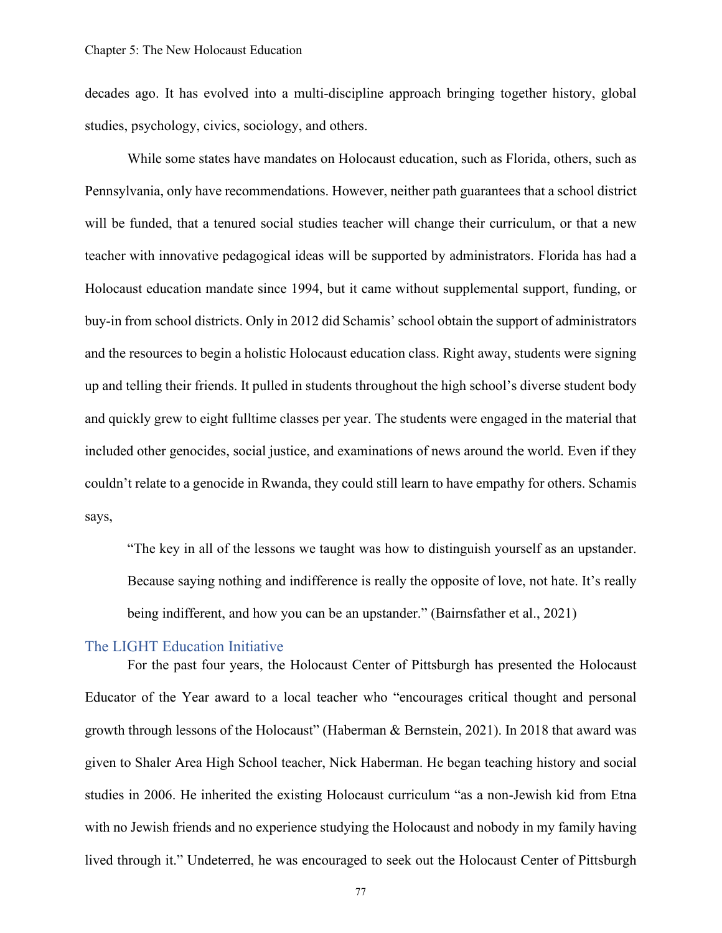decades ago. It has evolved into a multi-discipline approach bringing together history, global studies, psychology, civics, sociology, and others.

While some states have mandates on Holocaust education, such as Florida, others, such as Pennsylvania, only have recommendations. However, neither path guarantees that a school district will be funded, that a tenured social studies teacher will change their curriculum, or that a new teacher with innovative pedagogical ideas will be supported by administrators. Florida has had a Holocaust education mandate since 1994, but it came without supplemental support, funding, or buy-in from school districts. Only in 2012 did Schamis' school obtain the support of administrators and the resources to begin a holistic Holocaust education class. Right away, students were signing up and telling their friends. It pulled in students throughout the high school's diverse student body and quickly grew to eight fulltime classes per year. The students were engaged in the material that included other genocides, social justice, and examinations of news around the world. Even if they couldn't relate to a genocide in Rwanda, they could still learn to have empathy for others. Schamis says,

"The key in all of the lessons we taught was how to distinguish yourself as an upstander. Because saying nothing and indifference is really the opposite of love, not hate. It's really being indifferent, and how you can be an upstander." (Bairnsfather et al., 2021)

### The LIGHT Education Initiative

For the past four years, the Holocaust Center of Pittsburgh has presented the Holocaust Educator of the Year award to a local teacher who "encourages critical thought and personal growth through lessons of the Holocaust" (Haberman & Bernstein, 2021). In 2018 that award was given to Shaler Area High School teacher, Nick Haberman. He began teaching history and social studies in 2006. He inherited the existing Holocaust curriculum "as a non-Jewish kid from Etna with no Jewish friends and no experience studying the Holocaust and nobody in my family having lived through it." Undeterred, he was encouraged to seek out the Holocaust Center of Pittsburgh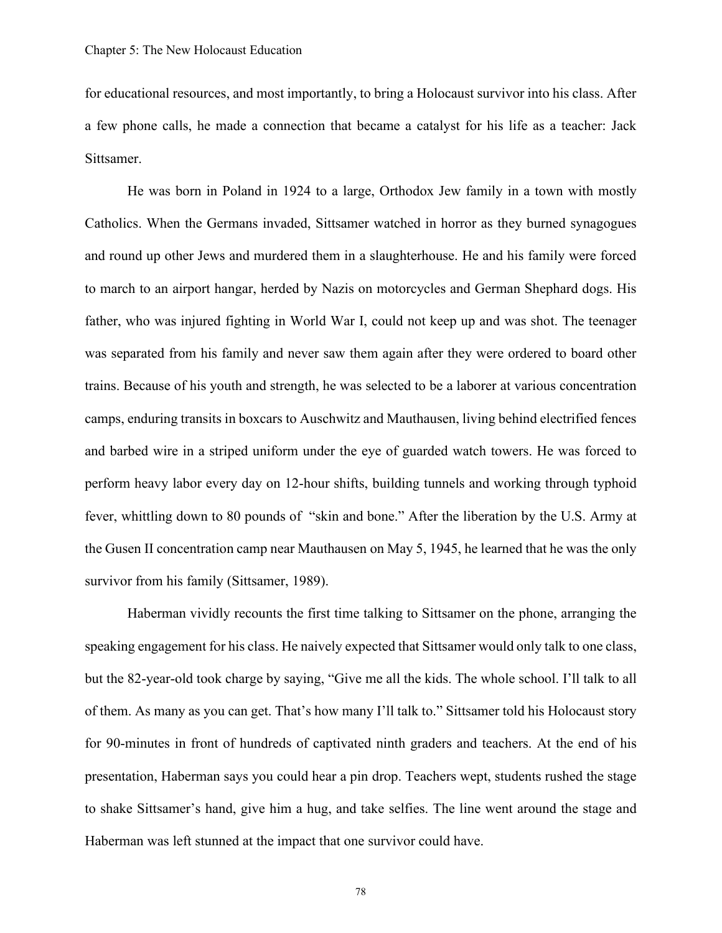for educational resources, and most importantly, to bring a Holocaust survivor into his class. After a few phone calls, he made a connection that became a catalyst for his life as a teacher: Jack Sittsamer.

He was born in Poland in 1924 to a large, Orthodox Jew family in a town with mostly Catholics. When the Germans invaded, Sittsamer watched in horror as they burned synagogues and round up other Jews and murdered them in a slaughterhouse. He and his family were forced to march to an airport hangar, herded by Nazis on motorcycles and German Shephard dogs. His father, who was injured fighting in World War I, could not keep up and was shot. The teenager was separated from his family and never saw them again after they were ordered to board other trains. Because of his youth and strength, he was selected to be a laborer at various concentration camps, enduring transits in boxcars to Auschwitz and Mauthausen, living behind electrified fences and barbed wire in a striped uniform under the eye of guarded watch towers. He was forced to perform heavy labor every day on 12-hour shifts, building tunnels and working through typhoid fever, whittling down to 80 pounds of "skin and bone." After the liberation by the U.S. Army at the Gusen II concentration camp near Mauthausen on May 5, 1945, he learned that he was the only survivor from his family (Sittsamer, 1989).

Haberman vividly recounts the first time talking to Sittsamer on the phone, arranging the speaking engagement for his class. He naively expected that Sittsamer would only talk to one class, but the 82-year-old took charge by saying, "Give me all the kids. The whole school. I'll talk to all of them. As many as you can get. That's how many I'll talk to." Sittsamer told his Holocaust story for 90-minutes in front of hundreds of captivated ninth graders and teachers. At the end of his presentation, Haberman says you could hear a pin drop. Teachers wept, students rushed the stage to shake Sittsamer's hand, give him a hug, and take selfies. The line went around the stage and Haberman was left stunned at the impact that one survivor could have.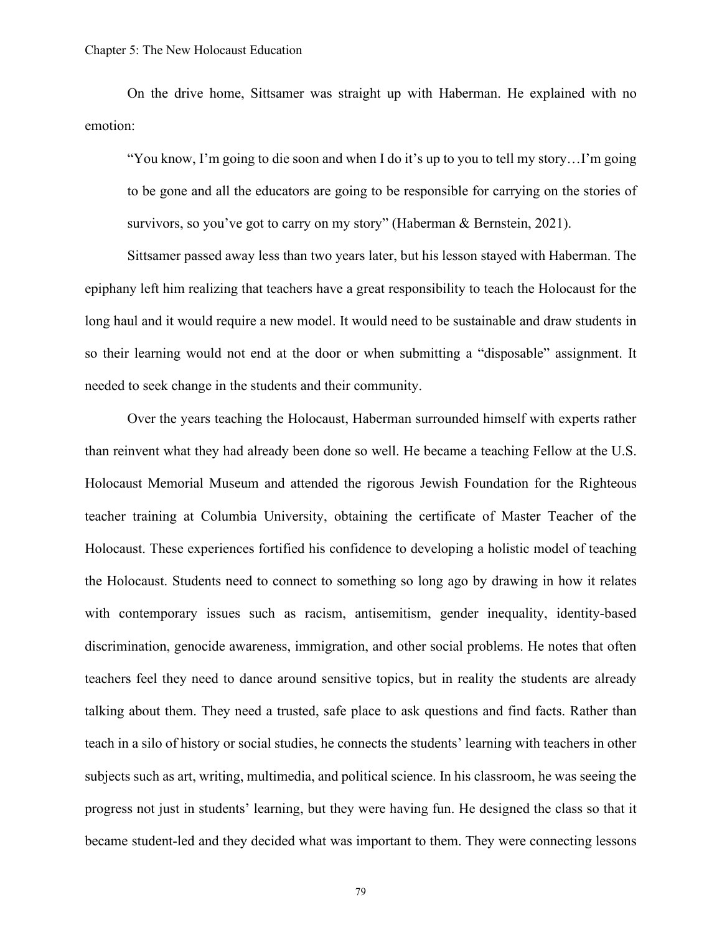On the drive home, Sittsamer was straight up with Haberman. He explained with no emotion:

"You know, I'm going to die soon and when I do it's up to you to tell my story…I'm going to be gone and all the educators are going to be responsible for carrying on the stories of survivors, so you've got to carry on my story" (Haberman & Bernstein, 2021).

Sittsamer passed away less than two years later, but his lesson stayed with Haberman. The epiphany left him realizing that teachers have a great responsibility to teach the Holocaust for the long haul and it would require a new model. It would need to be sustainable and draw students in so their learning would not end at the door or when submitting a "disposable" assignment. It needed to seek change in the students and their community.

Over the years teaching the Holocaust, Haberman surrounded himself with experts rather than reinvent what they had already been done so well. He became a teaching Fellow at the U.S. Holocaust Memorial Museum and attended the rigorous Jewish Foundation for the Righteous teacher training at Columbia University, obtaining the certificate of Master Teacher of the Holocaust. These experiences fortified his confidence to developing a holistic model of teaching the Holocaust. Students need to connect to something so long ago by drawing in how it relates with contemporary issues such as racism, antisemitism, gender inequality, identity-based discrimination, genocide awareness, immigration, and other social problems. He notes that often teachers feel they need to dance around sensitive topics, but in reality the students are already talking about them. They need a trusted, safe place to ask questions and find facts. Rather than teach in a silo of history or social studies, he connects the students' learning with teachers in other subjects such as art, writing, multimedia, and political science. In his classroom, he was seeing the progress not just in students' learning, but they were having fun. He designed the class so that it became student-led and they decided what was important to them. They were connecting lessons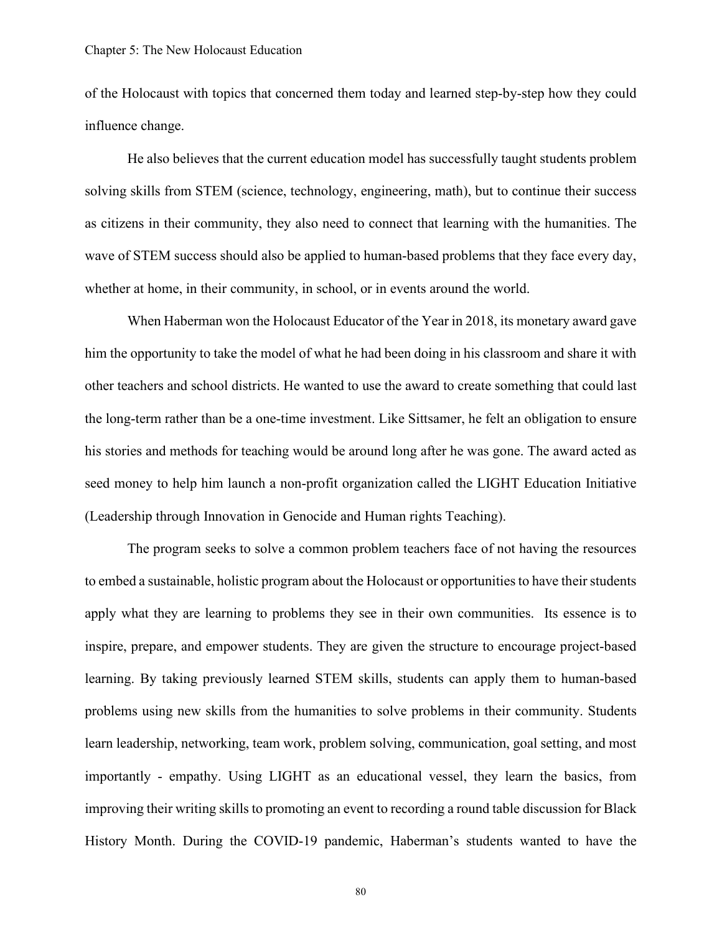of the Holocaust with topics that concerned them today and learned step-by-step how they could influence change.

He also believes that the current education model has successfully taught students problem solving skills from STEM (science, technology, engineering, math), but to continue their success as citizens in their community, they also need to connect that learning with the humanities. The wave of STEM success should also be applied to human-based problems that they face every day, whether at home, in their community, in school, or in events around the world.

When Haberman won the Holocaust Educator of the Year in 2018, its monetary award gave him the opportunity to take the model of what he had been doing in his classroom and share it with other teachers and school districts. He wanted to use the award to create something that could last the long-term rather than be a one-time investment. Like Sittsamer, he felt an obligation to ensure his stories and methods for teaching would be around long after he was gone. The award acted as seed money to help him launch a non-profit organization called the LIGHT Education Initiative (Leadership through Innovation in Genocide and Human rights Teaching).

The program seeks to solve a common problem teachers face of not having the resources to embed a sustainable, holistic program about the Holocaust or opportunities to have their students apply what they are learning to problems they see in their own communities. Its essence is to inspire, prepare, and empower students. They are given the structure to encourage project-based learning. By taking previously learned STEM skills, students can apply them to human-based problems using new skills from the humanities to solve problems in their community. Students learn leadership, networking, team work, problem solving, communication, goal setting, and most importantly - empathy. Using LIGHT as an educational vessel, they learn the basics, from improving their writing skills to promoting an event to recording a round table discussion for Black History Month. During the COVID-19 pandemic, Haberman's students wanted to have the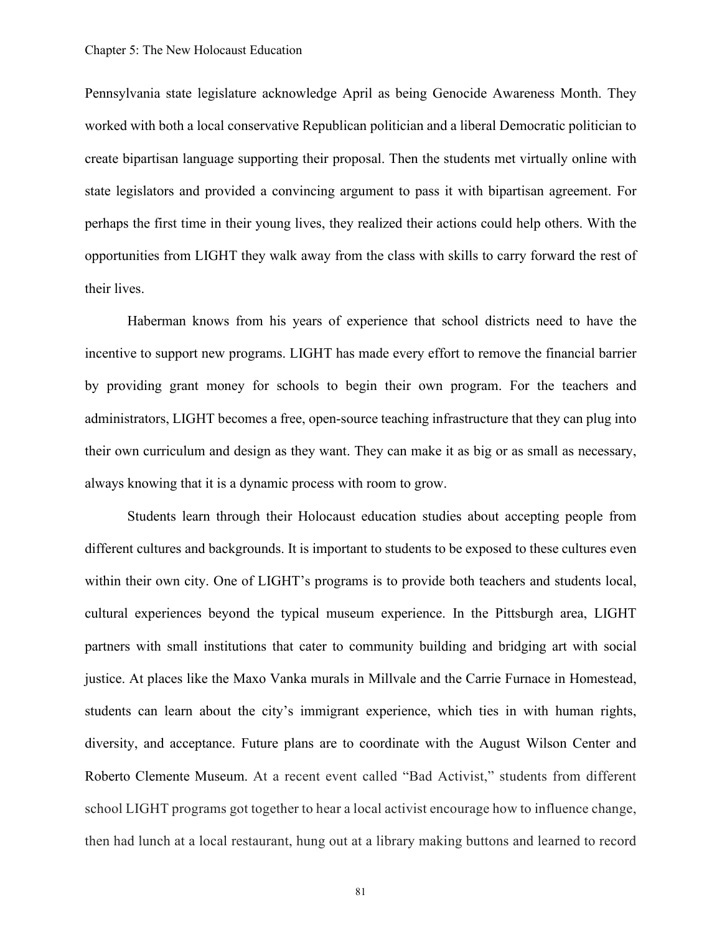Pennsylvania state legislature acknowledge April as being Genocide Awareness Month. They worked with both a local conservative Republican politician and a liberal Democratic politician to create bipartisan language supporting their proposal. Then the students met virtually online with state legislators and provided a convincing argument to pass it with bipartisan agreement. For perhaps the first time in their young lives, they realized their actions could help others. With the opportunities from LIGHT they walk away from the class with skills to carry forward the rest of their lives.

Haberman knows from his years of experience that school districts need to have the incentive to support new programs. LIGHT has made every effort to remove the financial barrier by providing grant money for schools to begin their own program. For the teachers and administrators, LIGHT becomes a free, open-source teaching infrastructure that they can plug into their own curriculum and design as they want. They can make it as big or as small as necessary, always knowing that it is a dynamic process with room to grow.

Students learn through their Holocaust education studies about accepting people from different cultures and backgrounds. It is important to students to be exposed to these cultures even within their own city. One of LIGHT's programs is to provide both teachers and students local, cultural experiences beyond the typical museum experience. In the Pittsburgh area, LIGHT partners with small institutions that cater to community building and bridging art with social justice. At places like the Maxo Vanka murals in Millvale and the Carrie Furnace in Homestead, students can learn about the city's immigrant experience, which ties in with human rights, diversity, and acceptance. Future plans are to coordinate with the August Wilson Center and Roberto Clemente Museum. At a recent event called "Bad Activist," students from different school LIGHT programs got together to hear a local activist encourage how to influence change, then had lunch at a local restaurant, hung out at a library making buttons and learned to record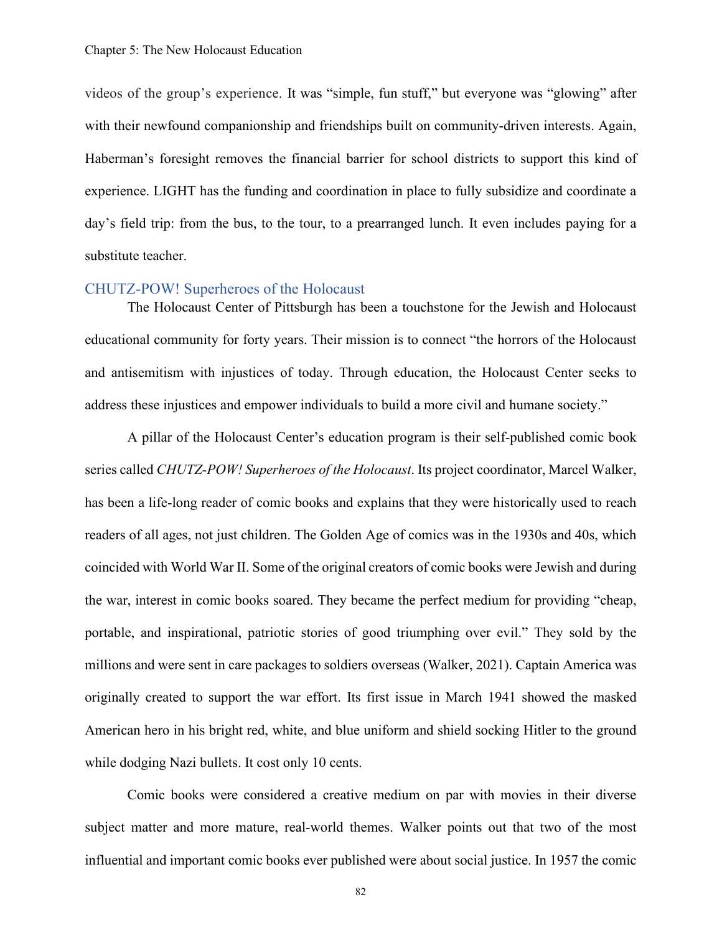videos of the group's experience. It was "simple, fun stuff," but everyone was "glowing" after with their newfound companionship and friendships built on community-driven interests. Again, Haberman's foresight removes the financial barrier for school districts to support this kind of experience. LIGHT has the funding and coordination in place to fully subsidize and coordinate a day's field trip: from the bus, to the tour, to a prearranged lunch. It even includes paying for a substitute teacher.

### CHUTZ-POW! Superheroes of the Holocaust

The Holocaust Center of Pittsburgh has been a touchstone for the Jewish and Holocaust educational community for forty years. Their mission is to connect "the horrors of the Holocaust and antisemitism with injustices of today. Through education, the Holocaust Center seeks to address these injustices and empower individuals to build a more civil and humane society."

A pillar of the Holocaust Center's education program is their self-published comic book series called *CHUTZ-POW! Superheroes of the Holocaust*. Its project coordinator, Marcel Walker, has been a life-long reader of comic books and explains that they were historically used to reach readers of all ages, not just children. The Golden Age of comics was in the 1930s and 40s, which coincided with World War II. Some of the original creators of comic books were Jewish and during the war, interest in comic books soared. They became the perfect medium for providing "cheap, portable, and inspirational, patriotic stories of good triumphing over evil." They sold by the millions and were sent in care packages to soldiers overseas (Walker, 2021). Captain America was originally created to support the war effort. Its first issue in March 1941 showed the masked American hero in his bright red, white, and blue uniform and shield socking Hitler to the ground while dodging Nazi bullets. It cost only 10 cents.

Comic books were considered a creative medium on par with movies in their diverse subject matter and more mature, real-world themes. Walker points out that two of the most influential and important comic books ever published were about social justice. In 1957 the comic

82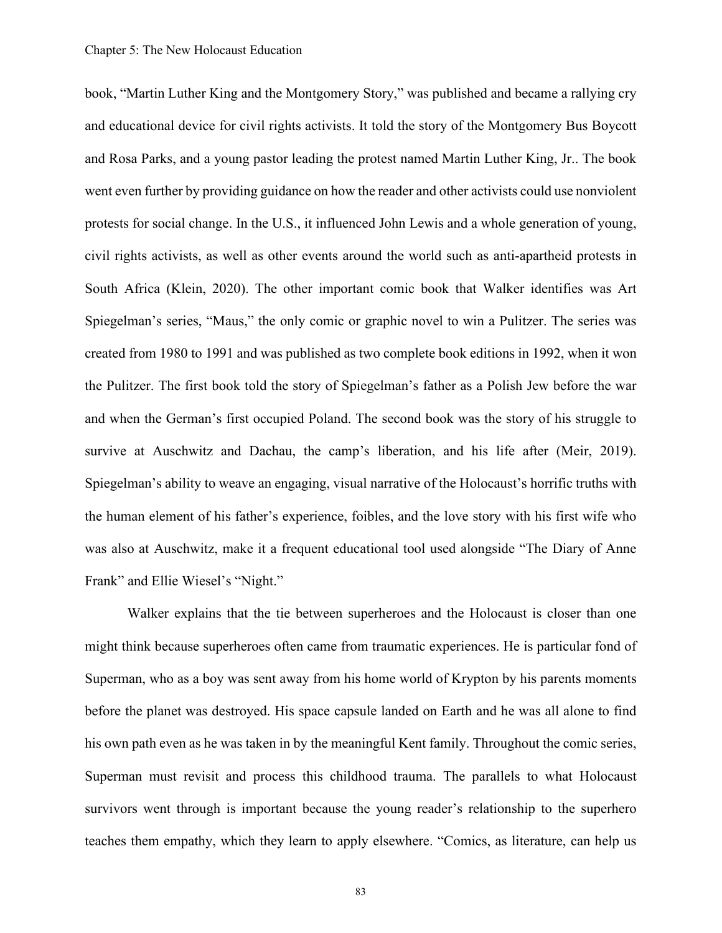book, "Martin Luther King and the Montgomery Story," was published and became a rallying cry and educational device for civil rights activists. It told the story of the Montgomery Bus Boycott and Rosa Parks, and a young pastor leading the protest named Martin Luther King, Jr.. The book went even further by providing guidance on how the reader and other activists could use nonviolent protests for social change. In the U.S., it influenced John Lewis and a whole generation of young, civil rights activists, as well as other events around the world such as anti-apartheid protests in South Africa (Klein, 2020). The other important comic book that Walker identifies was Art Spiegelman's series, "Maus," the only comic or graphic novel to win a Pulitzer. The series was created from 1980 to 1991 and was published as two complete book editions in 1992, when it won the Pulitzer. The first book told the story of Spiegelman's father as a Polish Jew before the war and when the German's first occupied Poland. The second book was the story of his struggle to survive at Auschwitz and Dachau, the camp's liberation, and his life after (Meir, 2019). Spiegelman's ability to weave an engaging, visual narrative of the Holocaust's horrific truths with the human element of his father's experience, foibles, and the love story with his first wife who was also at Auschwitz, make it a frequent educational tool used alongside "The Diary of Anne Frank" and Ellie Wiesel's "Night."

Walker explains that the tie between superheroes and the Holocaust is closer than one might think because superheroes often came from traumatic experiences. He is particular fond of Superman, who as a boy was sent away from his home world of Krypton by his parents moments before the planet was destroyed. His space capsule landed on Earth and he was all alone to find his own path even as he was taken in by the meaningful Kent family. Throughout the comic series, Superman must revisit and process this childhood trauma. The parallels to what Holocaust survivors went through is important because the young reader's relationship to the superhero teaches them empathy, which they learn to apply elsewhere. "Comics, as literature, can help us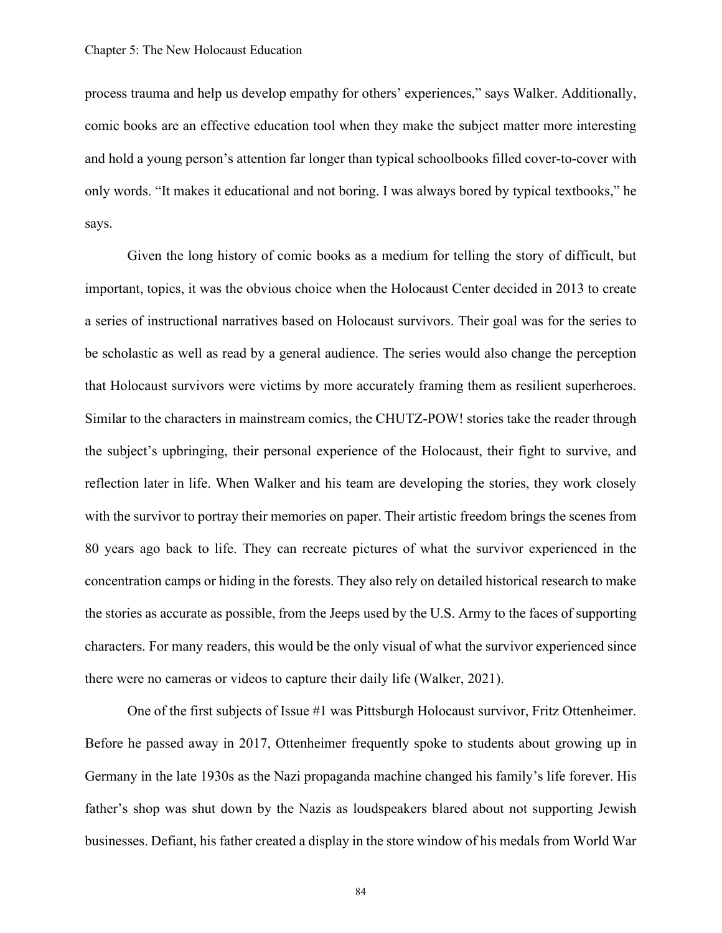process trauma and help us develop empathy for others' experiences," says Walker. Additionally, comic books are an effective education tool when they make the subject matter more interesting and hold a young person's attention far longer than typical schoolbooks filled cover-to-cover with only words. "It makes it educational and not boring. I was always bored by typical textbooks," he says.

Given the long history of comic books as a medium for telling the story of difficult, but important, topics, it was the obvious choice when the Holocaust Center decided in 2013 to create a series of instructional narratives based on Holocaust survivors. Their goal was for the series to be scholastic as well as read by a general audience. The series would also change the perception that Holocaust survivors were victims by more accurately framing them as resilient superheroes. Similar to the characters in mainstream comics, the CHUTZ-POW! stories take the reader through the subject's upbringing, their personal experience of the Holocaust, their fight to survive, and reflection later in life. When Walker and his team are developing the stories, they work closely with the survivor to portray their memories on paper. Their artistic freedom brings the scenes from 80 years ago back to life. They can recreate pictures of what the survivor experienced in the concentration camps or hiding in the forests. They also rely on detailed historical research to make the stories as accurate as possible, from the Jeeps used by the U.S. Army to the faces of supporting characters. For many readers, this would be the only visual of what the survivor experienced since there were no cameras or videos to capture their daily life (Walker, 2021).

One of the first subjects of Issue #1 was Pittsburgh Holocaust survivor, Fritz Ottenheimer. Before he passed away in 2017, Ottenheimer frequently spoke to students about growing up in Germany in the late 1930s as the Nazi propaganda machine changed his family's life forever. His father's shop was shut down by the Nazis as loudspeakers blared about not supporting Jewish businesses. Defiant, his father created a display in the store window of his medals from World War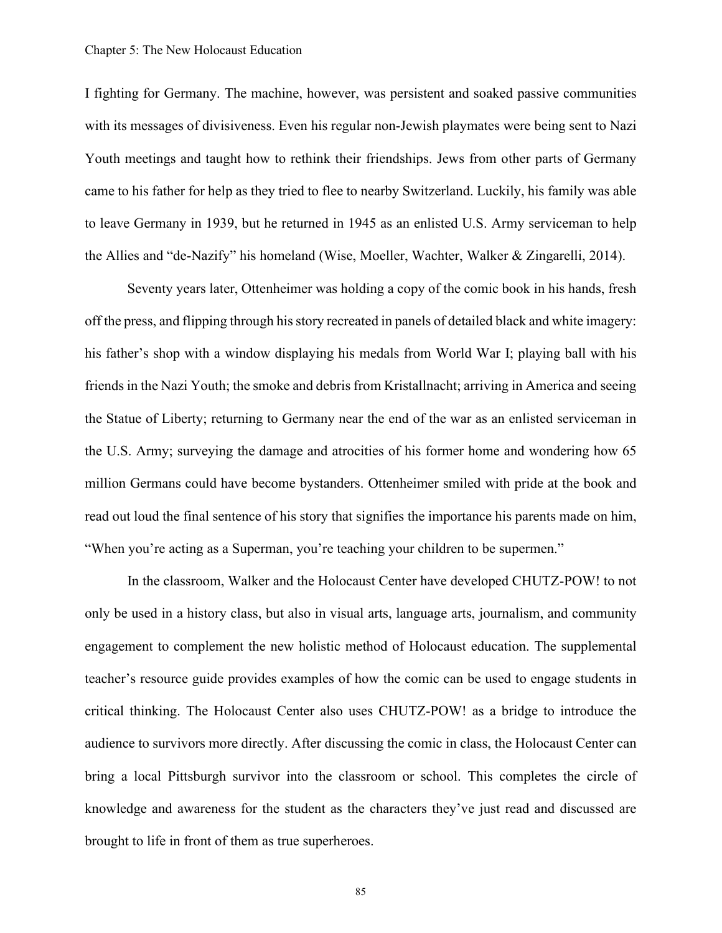I fighting for Germany. The machine, however, was persistent and soaked passive communities with its messages of divisiveness. Even his regular non-Jewish playmates were being sent to Nazi Youth meetings and taught how to rethink their friendships. Jews from other parts of Germany came to his father for help as they tried to flee to nearby Switzerland. Luckily, his family was able to leave Germany in 1939, but he returned in 1945 as an enlisted U.S. Army serviceman to help the Allies and "de-Nazify" his homeland (Wise, Moeller, Wachter, Walker & Zingarelli, 2014).

Seventy years later, Ottenheimer was holding a copy of the comic book in his hands, fresh off the press, and flipping through his story recreated in panels of detailed black and white imagery: his father's shop with a window displaying his medals from World War I; playing ball with his friends in the Nazi Youth; the smoke and debris from Kristallnacht; arriving in America and seeing the Statue of Liberty; returning to Germany near the end of the war as an enlisted serviceman in the U.S. Army; surveying the damage and atrocities of his former home and wondering how 65 million Germans could have become bystanders. Ottenheimer smiled with pride at the book and read out loud the final sentence of his story that signifies the importance his parents made on him, "When you're acting as a Superman, you're teaching your children to be supermen."

In the classroom, Walker and the Holocaust Center have developed CHUTZ-POW! to not only be used in a history class, but also in visual arts, language arts, journalism, and community engagement to complement the new holistic method of Holocaust education. The supplemental teacher's resource guide provides examples of how the comic can be used to engage students in critical thinking. The Holocaust Center also uses CHUTZ-POW! as a bridge to introduce the audience to survivors more directly. After discussing the comic in class, the Holocaust Center can bring a local Pittsburgh survivor into the classroom or school. This completes the circle of knowledge and awareness for the student as the characters they've just read and discussed are brought to life in front of them as true superheroes.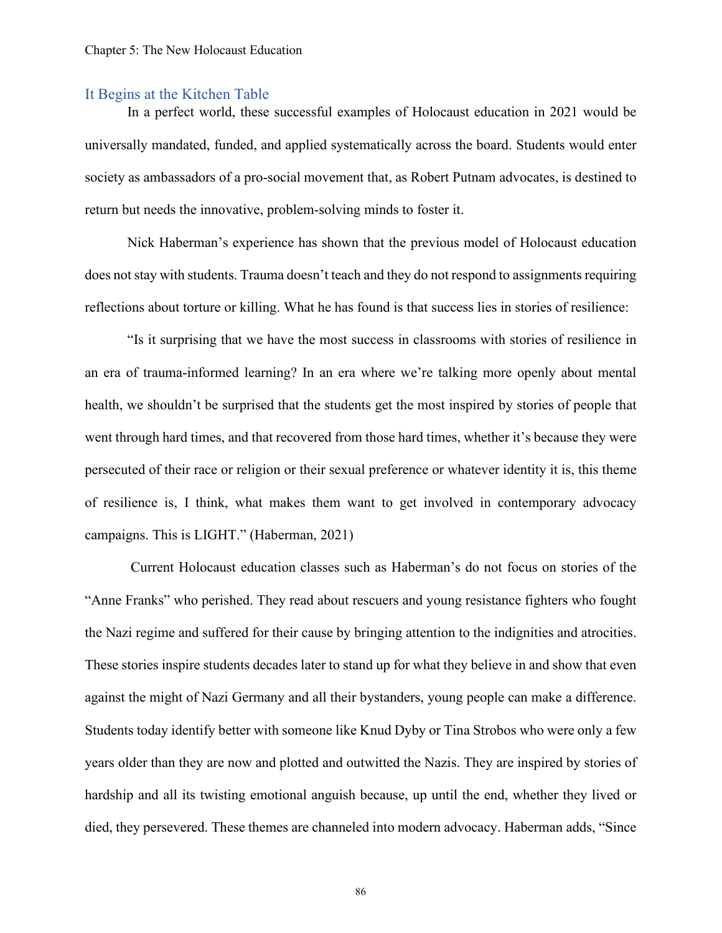### It Begins at the Kitchen Table

In a perfect world, these successful examples of Holocaust education in 2021 would be universally mandated, funded, and applied systematically across the board. Students would enter society as ambassadors of a pro-social movement that, as Robert Putnam advocates, is destined to return but needs the innovative, problem-solving minds to foster it.

Nick Haberman's experience has shown that the previous model of Holocaust education does not stay with students. Trauma doesn't teach and they do not respond to assignments requiring reflections about torture or killing. What he has found is that success lies in stories of resilience:

"Is it surprising that we have the most success in classrooms with stories of resilience in an era of trauma-informed learning? In an era where we're talking more openly about mental health, we shouldn't be surprised that the students get the most inspired by stories of people that went through hard times, and that recovered from those hard times, whether it's because they were persecuted of their race or religion or their sexual preference or whatever identity it is, this theme of resilience is, I think, what makes them want to get involved in contemporary advocacy campaigns. This is LIGHT." (Haberman, 2021)

Current Holocaust education classes such as Haberman's do not focus on stories of the "Anne Franks" who perished. They read about rescuers and young resistance fighters who fought the Nazi regime and suffered for their cause by bringing attention to the indignities and atrocities. These stories inspire students decades later to stand up for what they believe in and show that even against the might of Nazi Germany and all their bystanders, young people can make a difference. Students today identify better with someone like Knud Dyby or Tina Strobos who were only a few years older than they are now and plotted and outwitted the Nazis. They are inspired by stories of hardship and all its twisting emotional anguish because, up until the end, whether they lived or died, they persevered. These themes are channeled into modern advocacy. Haberman adds, "Since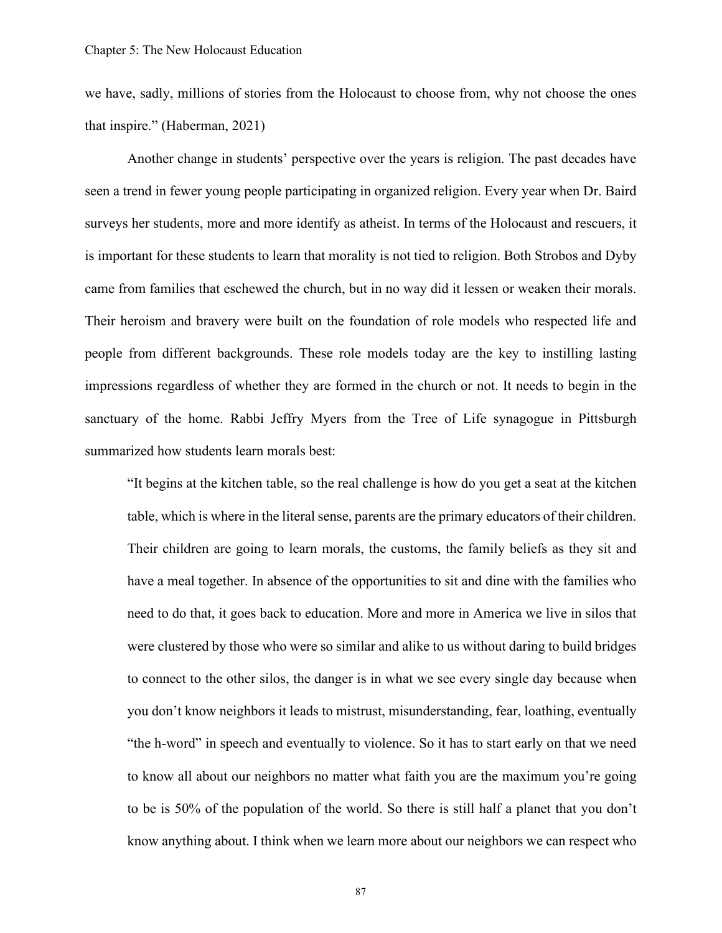we have, sadly, millions of stories from the Holocaust to choose from, why not choose the ones that inspire." (Haberman, 2021)

Another change in students' perspective over the years is religion. The past decades have seen a trend in fewer young people participating in organized religion. Every year when Dr. Baird surveys her students, more and more identify as atheist. In terms of the Holocaust and rescuers, it is important for these students to learn that morality is not tied to religion. Both Strobos and Dyby came from families that eschewed the church, but in no way did it lessen or weaken their morals. Their heroism and bravery were built on the foundation of role models who respected life and people from different backgrounds. These role models today are the key to instilling lasting impressions regardless of whether they are formed in the church or not. It needs to begin in the sanctuary of the home. Rabbi Jeffry Myers from the Tree of Life synagogue in Pittsburgh summarized how students learn morals best:

"It begins at the kitchen table, so the real challenge is how do you get a seat at the kitchen table, which is where in the literal sense, parents are the primary educators of their children. Their children are going to learn morals, the customs, the family beliefs as they sit and have a meal together. In absence of the opportunities to sit and dine with the families who need to do that, it goes back to education. More and more in America we live in silos that were clustered by those who were so similar and alike to us without daring to build bridges to connect to the other silos, the danger is in what we see every single day because when you don't know neighbors it leads to mistrust, misunderstanding, fear, loathing, eventually "the h-word" in speech and eventually to violence. So it has to start early on that we need to know all about our neighbors no matter what faith you are the maximum you're going to be is 50% of the population of the world. So there is still half a planet that you don't know anything about. I think when we learn more about our neighbors we can respect who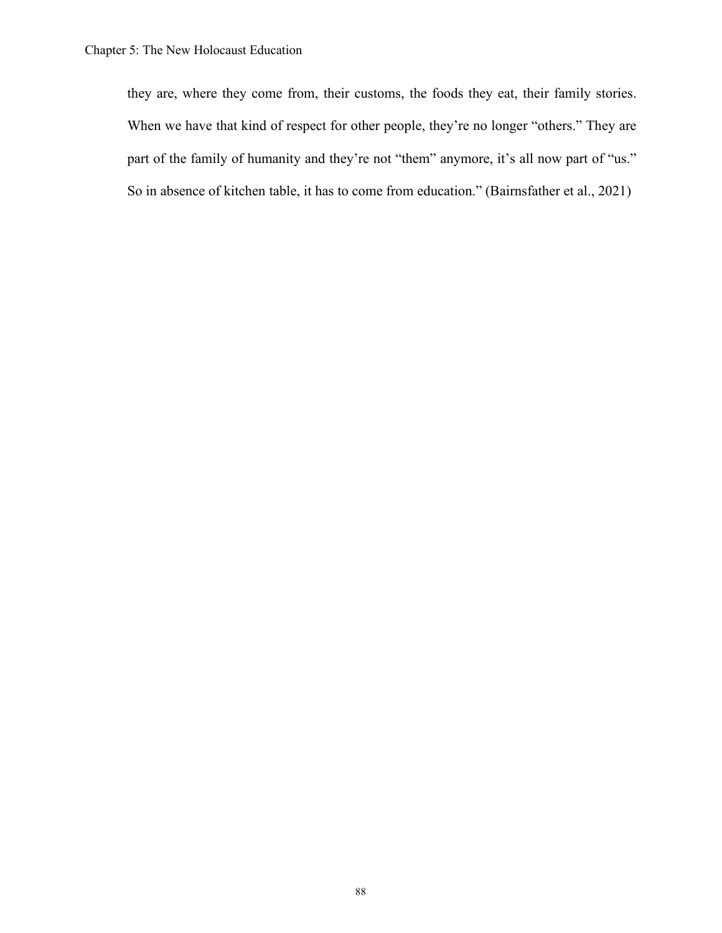they are, where they come from, their customs, the foods they eat, their family stories. When we have that kind of respect for other people, they're no longer "others." They are part of the family of humanity and they're not "them" anymore, it's all now part of "us." So in absence of kitchen table, it has to come from education." (Bairnsfather et al., 2021)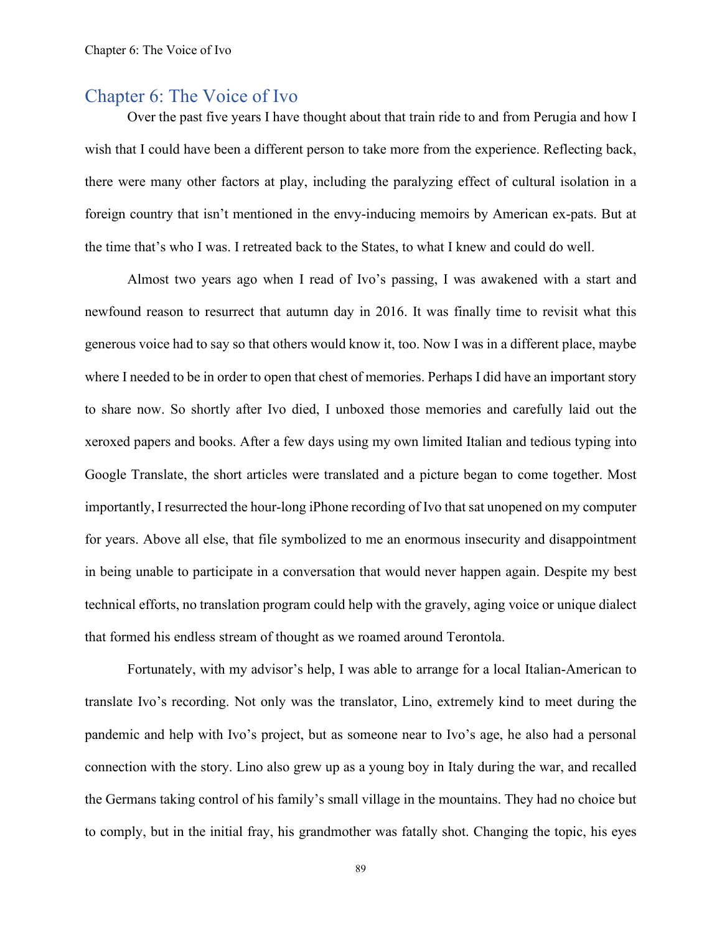### Chapter 6: The Voice of Ivo

Over the past five years I have thought about that train ride to and from Perugia and how I wish that I could have been a different person to take more from the experience. Reflecting back, there were many other factors at play, including the paralyzing effect of cultural isolation in a foreign country that isn't mentioned in the envy-inducing memoirs by American ex-pats. But at the time that's who I was. I retreated back to the States, to what I knew and could do well.

Almost two years ago when I read of Ivo's passing, I was awakened with a start and newfound reason to resurrect that autumn day in 2016. It was finally time to revisit what this generous voice had to say so that others would know it, too. Now I was in a different place, maybe where I needed to be in order to open that chest of memories. Perhaps I did have an important story to share now. So shortly after Ivo died, I unboxed those memories and carefully laid out the xeroxed papers and books. After a few days using my own limited Italian and tedious typing into Google Translate, the short articles were translated and a picture began to come together. Most importantly, I resurrected the hour-long iPhone recording of Ivo that sat unopened on my computer for years. Above all else, that file symbolized to me an enormous insecurity and disappointment in being unable to participate in a conversation that would never happen again. Despite my best technical efforts, no translation program could help with the gravely, aging voice or unique dialect that formed his endless stream of thought as we roamed around Terontola.

Fortunately, with my advisor's help, I was able to arrange for a local Italian-American to translate Ivo's recording. Not only was the translator, Lino, extremely kind to meet during the pandemic and help with Ivo's project, but as someone near to Ivo's age, he also had a personal connection with the story. Lino also grew up as a young boy in Italy during the war, and recalled the Germans taking control of his family's small village in the mountains. They had no choice but to comply, but in the initial fray, his grandmother was fatally shot. Changing the topic, his eyes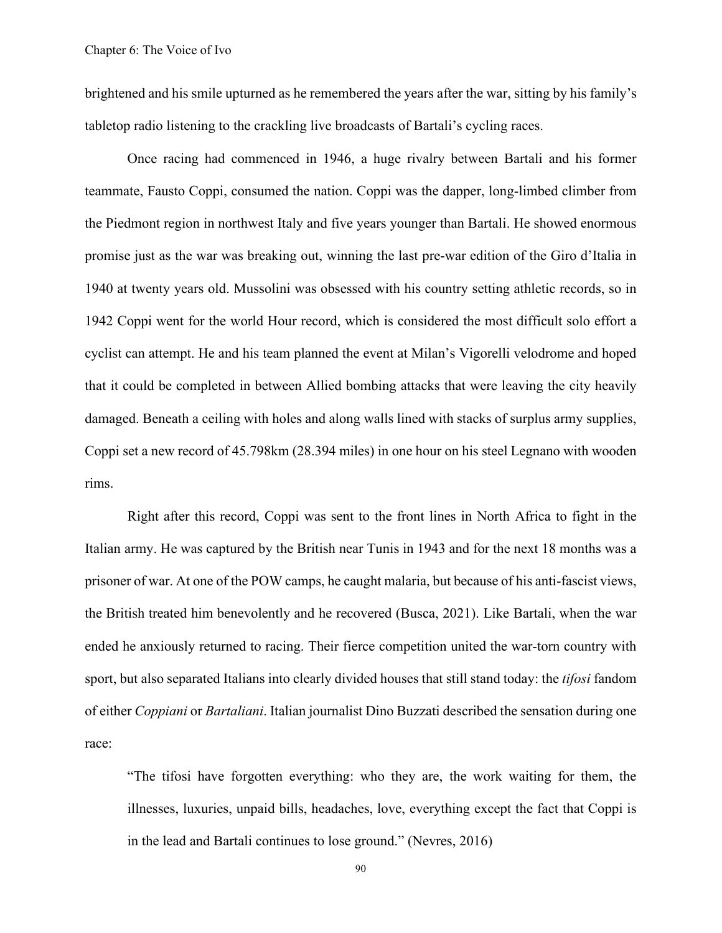brightened and his smile upturned as he remembered the years after the war, sitting by his family's tabletop radio listening to the crackling live broadcasts of Bartali's cycling races.

Once racing had commenced in 1946, a huge rivalry between Bartali and his former teammate, Fausto Coppi, consumed the nation. Coppi was the dapper, long-limbed climber from the Piedmont region in northwest Italy and five years younger than Bartali. He showed enormous promise just as the war was breaking out, winning the last pre-war edition of the Giro d'Italia in 1940 at twenty years old. Mussolini was obsessed with his country setting athletic records, so in 1942 Coppi went for the world Hour record, which is considered the most difficult solo effort a cyclist can attempt. He and his team planned the event at Milan's Vigorelli velodrome and hoped that it could be completed in between Allied bombing attacks that were leaving the city heavily damaged. Beneath a ceiling with holes and along walls lined with stacks of surplus army supplies, Coppi set a new record of 45.798km (28.394 miles) in one hour on his steel Legnano with wooden rims.

Right after this record, Coppi was sent to the front lines in North Africa to fight in the Italian army. He was captured by the British near Tunis in 1943 and for the next 18 months was a prisoner of war. At one of the POW camps, he caught malaria, but because of his anti-fascist views, the British treated him benevolently and he recovered (Busca, 2021). Like Bartali, when the war ended he anxiously returned to racing. Their fierce competition united the war-torn country with sport, but also separated Italians into clearly divided houses that still stand today: the *tifosi* fandom of either *Coppiani* or *Bartaliani*. Italian journalist Dino Buzzati described the sensation during one race:

"The tifosi have forgotten everything: who they are, the work waiting for them, the illnesses, luxuries, unpaid bills, headaches, love, everything except the fact that Coppi is in the lead and Bartali continues to lose ground." (Nevres, 2016)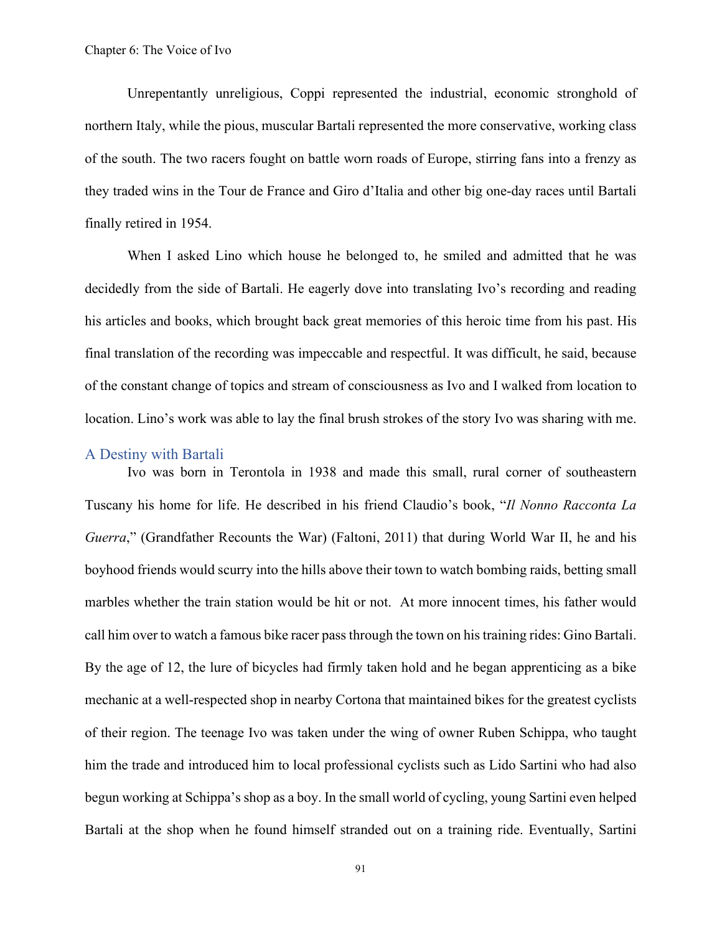Unrepentantly unreligious, Coppi represented the industrial, economic stronghold of northern Italy, while the pious, muscular Bartali represented the more conservative, working class of the south. The two racers fought on battle worn roads of Europe, stirring fans into a frenzy as they traded wins in the Tour de France and Giro d'Italia and other big one-day races until Bartali finally retired in 1954.

When I asked Lino which house he belonged to, he smiled and admitted that he was decidedly from the side of Bartali. He eagerly dove into translating Ivo's recording and reading his articles and books, which brought back great memories of this heroic time from his past. His final translation of the recording was impeccable and respectful. It was difficult, he said, because of the constant change of topics and stream of consciousness as Ivo and I walked from location to location. Lino's work was able to lay the final brush strokes of the story Ivo was sharing with me.

### A Destiny with Bartali

Ivo was born in Terontola in 1938 and made this small, rural corner of southeastern Tuscany his home for life. He described in his friend Claudio's book, "*Il Nonno Racconta La Guerra*," (Grandfather Recounts the War) (Faltoni, 2011) that during World War II, he and his boyhood friends would scurry into the hills above their town to watch bombing raids, betting small marbles whether the train station would be hit or not. At more innocent times, his father would call him over to watch a famous bike racer pass through the town on his training rides: Gino Bartali. By the age of 12, the lure of bicycles had firmly taken hold and he began apprenticing as a bike mechanic at a well-respected shop in nearby Cortona that maintained bikes for the greatest cyclists of their region. The teenage Ivo was taken under the wing of owner Ruben Schippa, who taught him the trade and introduced him to local professional cyclists such as Lido Sartini who had also begun working at Schippa's shop as a boy. In the small world of cycling, young Sartini even helped Bartali at the shop when he found himself stranded out on a training ride. Eventually, Sartini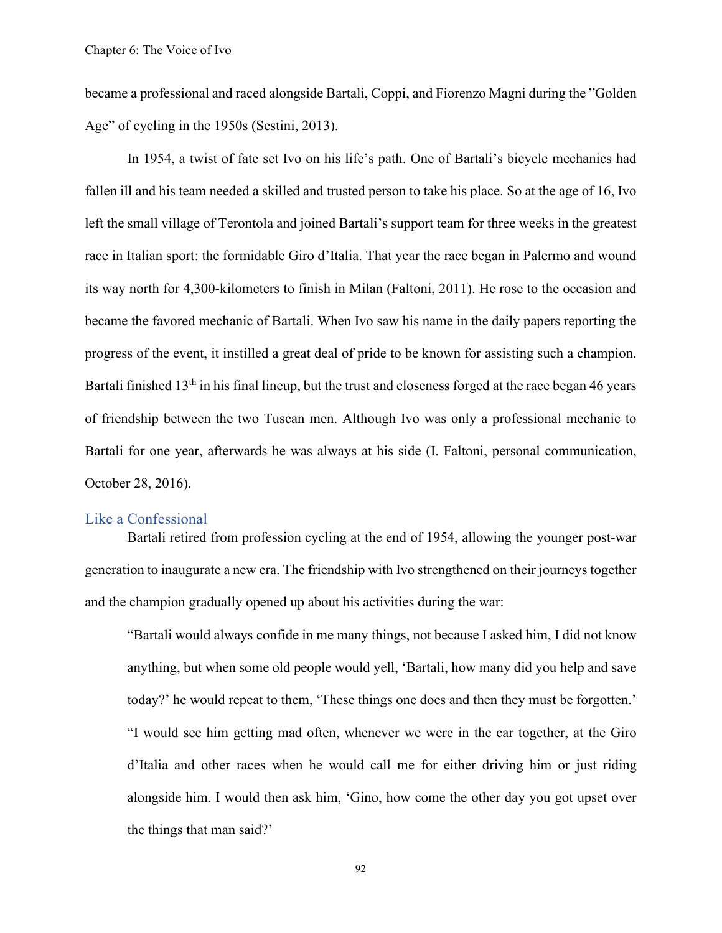became a professional and raced alongside Bartali, Coppi, and Fiorenzo Magni during the "Golden Age" of cycling in the 1950s (Sestini, 2013).

In 1954, a twist of fate set Ivo on his life's path. One of Bartali's bicycle mechanics had fallen ill and his team needed a skilled and trusted person to take his place. So at the age of 16, Ivo left the small village of Terontola and joined Bartali's support team for three weeks in the greatest race in Italian sport: the formidable Giro d'Italia. That year the race began in Palermo and wound its way north for 4,300-kilometers to finish in Milan (Faltoni, 2011). He rose to the occasion and became the favored mechanic of Bartali. When Ivo saw his name in the daily papers reporting the progress of the event, it instilled a great deal of pride to be known for assisting such a champion. Bartali finished  $13<sup>th</sup>$  in his final lineup, but the trust and closeness forged at the race began 46 years of friendship between the two Tuscan men. Although Ivo was only a professional mechanic to Bartali for one year, afterwards he was always at his side (I. Faltoni, personal communication, October 28, 2016).

### Like a Confessional

Bartali retired from profession cycling at the end of 1954, allowing the younger post-war generation to inaugurate a new era. The friendship with Ivo strengthened on their journeys together and the champion gradually opened up about his activities during the war:

"Bartali would always confide in me many things, not because I asked him, I did not know anything, but when some old people would yell, 'Bartali, how many did you help and save today?' he would repeat to them, 'These things one does and then they must be forgotten.' "I would see him getting mad often, whenever we were in the car together, at the Giro d'Italia and other races when he would call me for either driving him or just riding alongside him. I would then ask him, 'Gino, how come the other day you got upset over the things that man said?'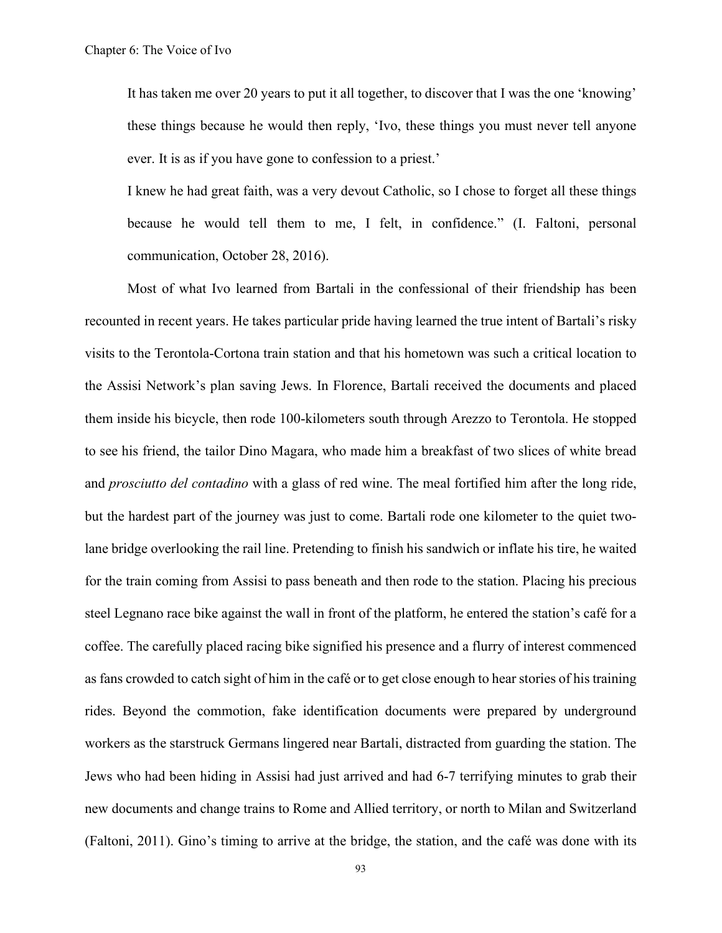It has taken me over 20 years to put it all together, to discover that I was the one 'knowing' these things because he would then reply, 'Ivo, these things you must never tell anyone ever. It is as if you have gone to confession to a priest.'

I knew he had great faith, was a very devout Catholic, so I chose to forget all these things because he would tell them to me, I felt, in confidence." (I. Faltoni, personal communication, October 28, 2016).

Most of what Ivo learned from Bartali in the confessional of their friendship has been recounted in recent years. He takes particular pride having learned the true intent of Bartali's risky visits to the Terontola-Cortona train station and that his hometown was such a critical location to the Assisi Network's plan saving Jews. In Florence, Bartali received the documents and placed them inside his bicycle, then rode 100-kilometers south through Arezzo to Terontola. He stopped to see his friend, the tailor Dino Magara, who made him a breakfast of two slices of white bread and *prosciutto del contadino* with a glass of red wine. The meal fortified him after the long ride, but the hardest part of the journey was just to come. Bartali rode one kilometer to the quiet twolane bridge overlooking the rail line. Pretending to finish his sandwich or inflate his tire, he waited for the train coming from Assisi to pass beneath and then rode to the station. Placing his precious steel Legnano race bike against the wall in front of the platform, he entered the station's café for a coffee. The carefully placed racing bike signified his presence and a flurry of interest commenced as fans crowded to catch sight of him in the café or to get close enough to hear stories of his training rides. Beyond the commotion, fake identification documents were prepared by underground workers as the starstruck Germans lingered near Bartali, distracted from guarding the station. The Jews who had been hiding in Assisi had just arrived and had 6-7 terrifying minutes to grab their new documents and change trains to Rome and Allied territory, or north to Milan and Switzerland (Faltoni, 2011). Gino's timing to arrive at the bridge, the station, and the café was done with its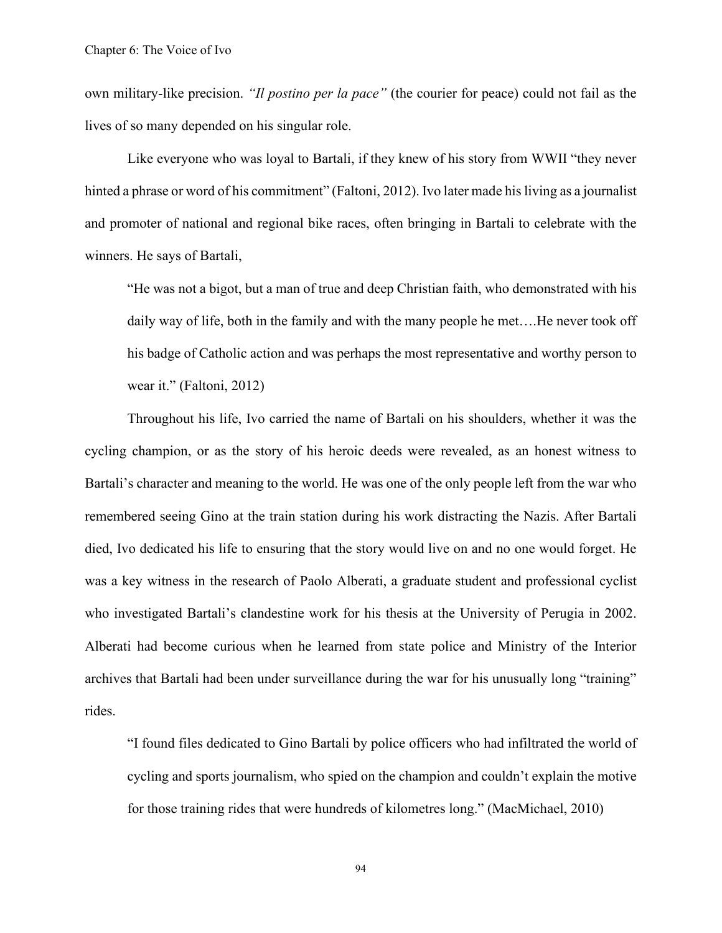own military-like precision. *"Il postino per la pace"* (the courier for peace) could not fail as the lives of so many depended on his singular role.

Like everyone who was loyal to Bartali, if they knew of his story from WWII "they never hinted a phrase or word of his commitment" (Faltoni, 2012). Ivo later made his living as a journalist and promoter of national and regional bike races, often bringing in Bartali to celebrate with the winners. He says of Bartali,

"He was not a bigot, but a man of true and deep Christian faith, who demonstrated with his daily way of life, both in the family and with the many people he met….He never took off his badge of Catholic action and was perhaps the most representative and worthy person to wear it." (Faltoni, 2012)

Throughout his life, Ivo carried the name of Bartali on his shoulders, whether it was the cycling champion, or as the story of his heroic deeds were revealed, as an honest witness to Bartali's character and meaning to the world. He was one of the only people left from the war who remembered seeing Gino at the train station during his work distracting the Nazis. After Bartali died, Ivo dedicated his life to ensuring that the story would live on and no one would forget. He was a key witness in the research of Paolo Alberati, a graduate student and professional cyclist who investigated Bartali's clandestine work for his thesis at the University of Perugia in 2002. Alberati had become curious when he learned from state police and Ministry of the Interior archives that Bartali had been under surveillance during the war for his unusually long "training" rides.

"I found files dedicated to Gino Bartali by police officers who had infiltrated the world of cycling and sports journalism, who spied on the champion and couldn't explain the motive for those training rides that were hundreds of kilometres long." (MacMichael, 2010)

94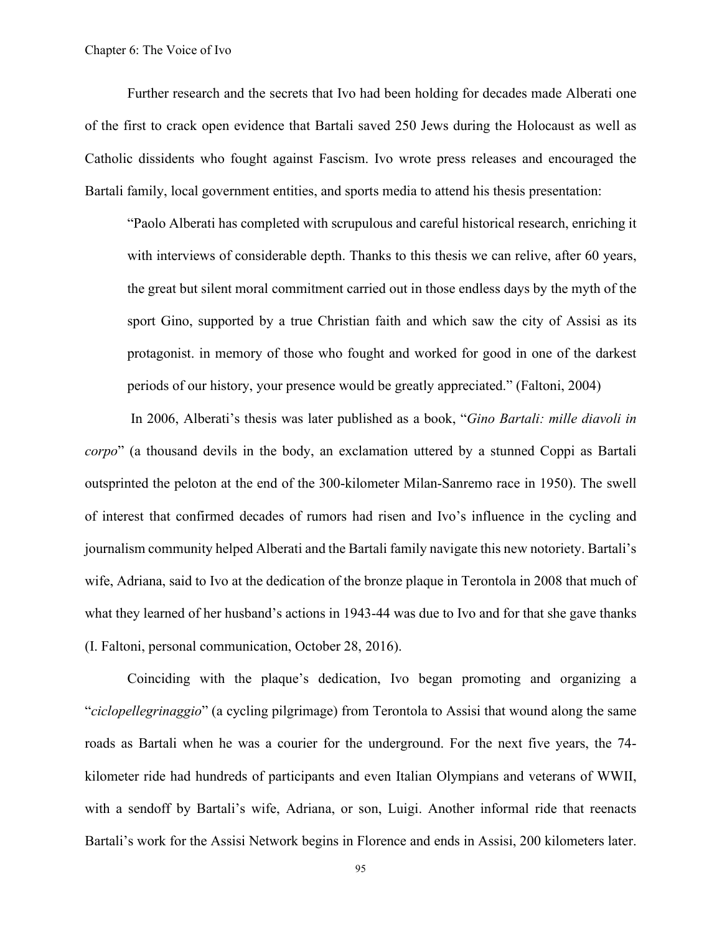Further research and the secrets that Ivo had been holding for decades made Alberati one of the first to crack open evidence that Bartali saved 250 Jews during the Holocaust as well as Catholic dissidents who fought against Fascism. Ivo wrote press releases and encouraged the Bartali family, local government entities, and sports media to attend his thesis presentation:

"Paolo Alberati has completed with scrupulous and careful historical research, enriching it with interviews of considerable depth. Thanks to this thesis we can relive, after 60 years, the great but silent moral commitment carried out in those endless days by the myth of the sport Gino, supported by a true Christian faith and which saw the city of Assisi as its protagonist. in memory of those who fought and worked for good in one of the darkest periods of our history, your presence would be greatly appreciated." (Faltoni, 2004)

In 2006, Alberati's thesis was later published as a book, "*Gino Bartali: mille diavoli in corpo*" (a thousand devils in the body, an exclamation uttered by a stunned Coppi as Bartali outsprinted the peloton at the end of the 300-kilometer Milan-Sanremo race in 1950). The swell of interest that confirmed decades of rumors had risen and Ivo's influence in the cycling and journalism community helped Alberati and the Bartali family navigate this new notoriety. Bartali's wife, Adriana, said to Ivo at the dedication of the bronze plaque in Terontola in 2008 that much of what they learned of her husband's actions in 1943-44 was due to Ivo and for that she gave thanks (I. Faltoni, personal communication, October 28, 2016).

Coinciding with the plaque's dedication, Ivo began promoting and organizing a "*ciclopellegrinaggio*" (a cycling pilgrimage) from Terontola to Assisi that wound along the same roads as Bartali when he was a courier for the underground. For the next five years, the 74 kilometer ride had hundreds of participants and even Italian Olympians and veterans of WWII, with a sendoff by Bartali's wife, Adriana, or son, Luigi. Another informal ride that reenacts Bartali's work for the Assisi Network begins in Florence and ends in Assisi, 200 kilometers later.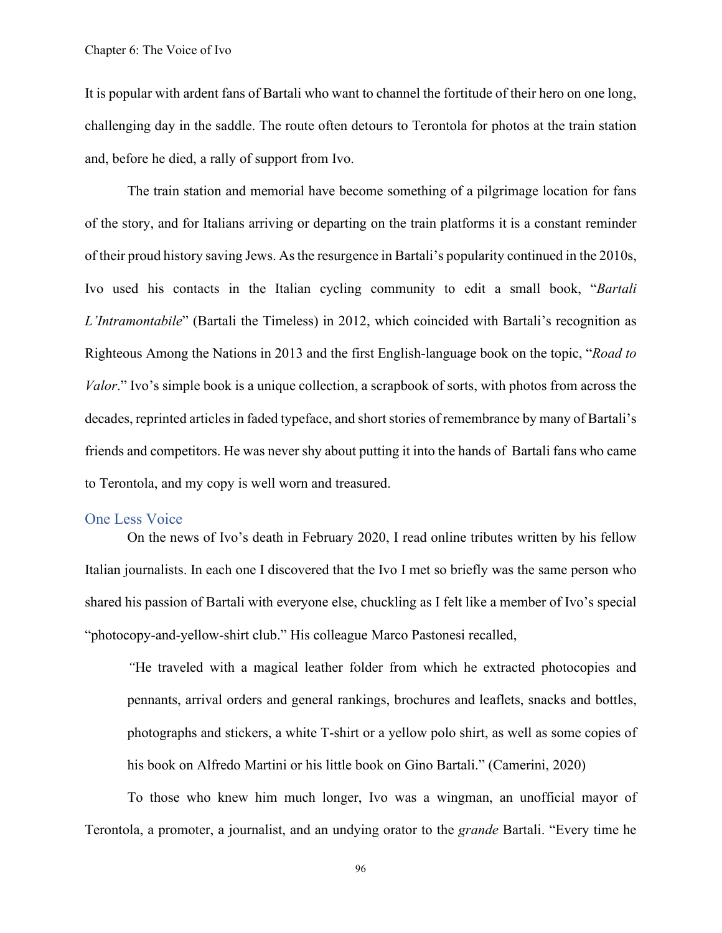It is popular with ardent fans of Bartali who want to channel the fortitude of their hero on one long, challenging day in the saddle. The route often detours to Terontola for photos at the train station and, before he died, a rally of support from Ivo.

The train station and memorial have become something of a pilgrimage location for fans of the story, and for Italians arriving or departing on the train platforms it is a constant reminder of their proud history saving Jews. As the resurgence in Bartali's popularity continued in the 2010s, Ivo used his contacts in the Italian cycling community to edit a small book, "*Bartali L'Intramontabile*" (Bartali the Timeless) in 2012, which coincided with Bartali's recognition as Righteous Among the Nations in 2013 and the first English-language book on the topic, "*Road to Valor*." Ivo's simple book is a unique collection, a scrapbook of sorts, with photos from across the decades, reprinted articles in faded typeface, and short stories of remembrance by many of Bartali's friends and competitors. He was never shy about putting it into the hands of Bartali fans who came to Terontola, and my copy is well worn and treasured.

### One Less Voice

On the news of Ivo's death in February 2020, I read online tributes written by his fellow Italian journalists. In each one I discovered that the Ivo I met so briefly was the same person who shared his passion of Bartali with everyone else, chuckling as I felt like a member of Ivo's special "photocopy-and-yellow-shirt club." His colleague Marco Pastonesi recalled,

*"*He traveled with a magical leather folder from which he extracted photocopies and pennants, arrival orders and general rankings, brochures and leaflets, snacks and bottles, photographs and stickers, a white T-shirt or a yellow polo shirt, as well as some copies of his book on Alfredo Martini or his little book on Gino Bartali." (Camerini, 2020)

To those who knew him much longer, Ivo was a wingman, an unofficial mayor of Terontola, a promoter, a journalist, and an undying orator to the *grande* Bartali. "Every time he

96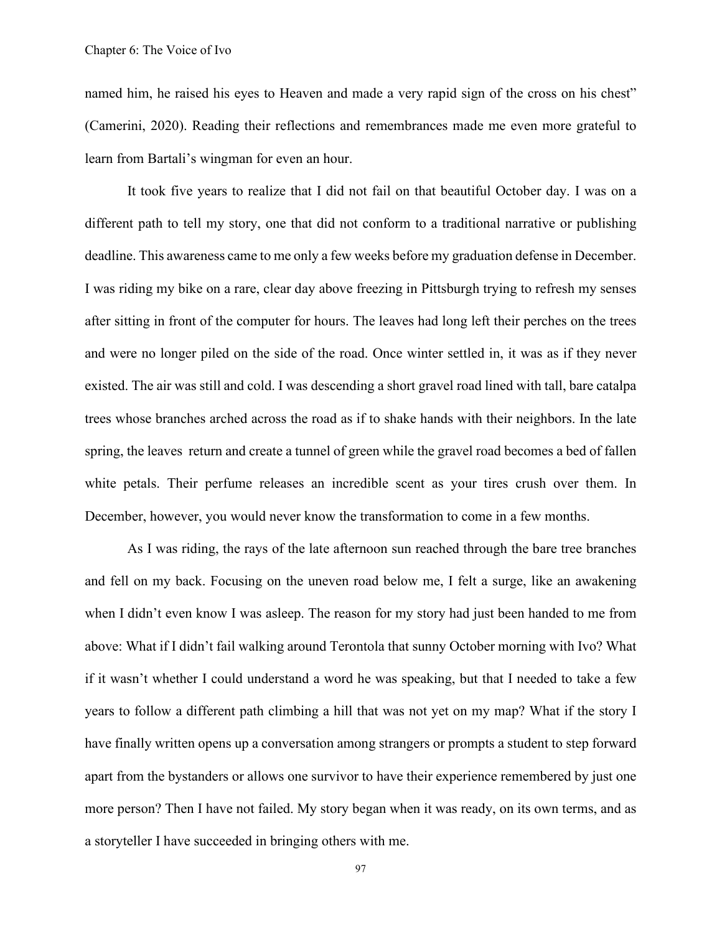named him, he raised his eyes to Heaven and made a very rapid sign of the cross on his chest" (Camerini, 2020). Reading their reflections and remembrances made me even more grateful to learn from Bartali's wingman for even an hour.

It took five years to realize that I did not fail on that beautiful October day. I was on a different path to tell my story, one that did not conform to a traditional narrative or publishing deadline. This awareness came to me only a few weeks before my graduation defense in December. I was riding my bike on a rare, clear day above freezing in Pittsburgh trying to refresh my senses after sitting in front of the computer for hours. The leaves had long left their perches on the trees and were no longer piled on the side of the road. Once winter settled in, it was as if they never existed. The air was still and cold. I was descending a short gravel road lined with tall, bare catalpa trees whose branches arched across the road as if to shake hands with their neighbors. In the late spring, the leaves return and create a tunnel of green while the gravel road becomes a bed of fallen white petals. Their perfume releases an incredible scent as your tires crush over them. In December, however, you would never know the transformation to come in a few months.

As I was riding, the rays of the late afternoon sun reached through the bare tree branches and fell on my back. Focusing on the uneven road below me, I felt a surge, like an awakening when I didn't even know I was asleep. The reason for my story had just been handed to me from above: What if I didn't fail walking around Terontola that sunny October morning with Ivo? What if it wasn't whether I could understand a word he was speaking, but that I needed to take a few years to follow a different path climbing a hill that was not yet on my map? What if the story I have finally written opens up a conversation among strangers or prompts a student to step forward apart from the bystanders or allows one survivor to have their experience remembered by just one more person? Then I have not failed. My story began when it was ready, on its own terms, and as a storyteller I have succeeded in bringing others with me.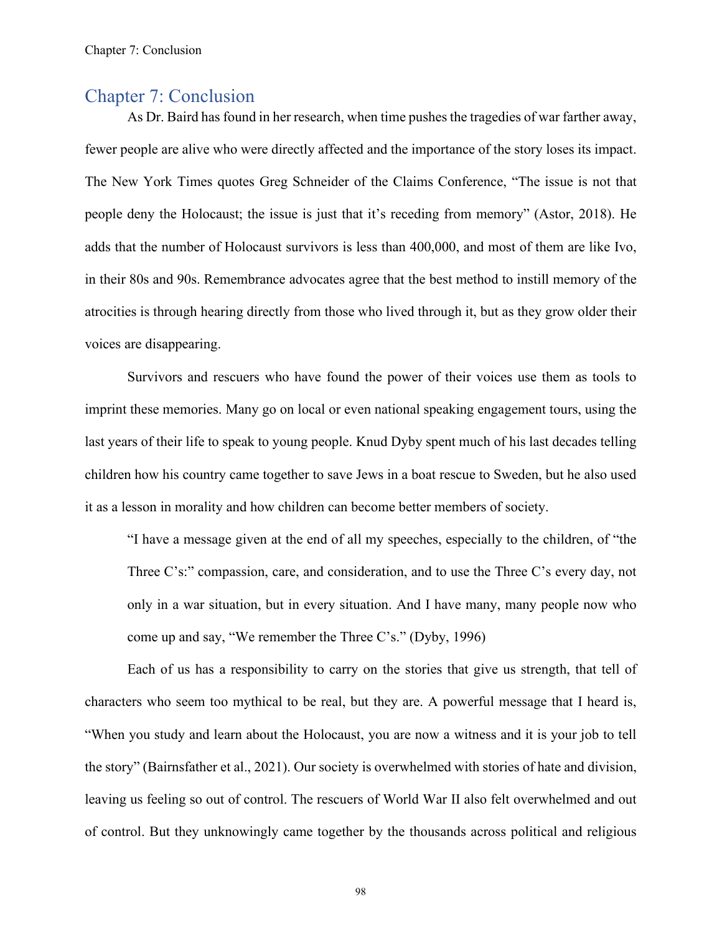### Chapter 7: Conclusion

As Dr. Baird has found in her research, when time pushes the tragedies of war farther away, fewer people are alive who were directly affected and the importance of the story loses its impact. The New York Times quotes Greg Schneider of the Claims Conference, "The issue is not that people deny the Holocaust; the issue is just that it's receding from memory" (Astor, 2018). He adds that the number of Holocaust survivors is less than 400,000, and most of them are like Ivo, in their 80s and 90s. Remembrance advocates agree that the best method to instill memory of the atrocities is through hearing directly from those who lived through it, but as they grow older their voices are disappearing.

Survivors and rescuers who have found the power of their voices use them as tools to imprint these memories. Many go on local or even national speaking engagement tours, using the last years of their life to speak to young people. Knud Dyby spent much of his last decades telling children how his country came together to save Jews in a boat rescue to Sweden, but he also used it as a lesson in morality and how children can become better members of society.

"I have a message given at the end of all my speeches, especially to the children, of "the Three C's:" compassion, care, and consideration, and to use the Three C's every day, not only in a war situation, but in every situation. And I have many, many people now who come up and say, "We remember the Three C's." (Dyby, 1996)

Each of us has a responsibility to carry on the stories that give us strength, that tell of characters who seem too mythical to be real, but they are. A powerful message that I heard is, "When you study and learn about the Holocaust, you are now a witness and it is your job to tell the story" (Bairnsfather et al., 2021). Our society is overwhelmed with stories of hate and division, leaving us feeling so out of control. The rescuers of World War II also felt overwhelmed and out of control. But they unknowingly came together by the thousands across political and religious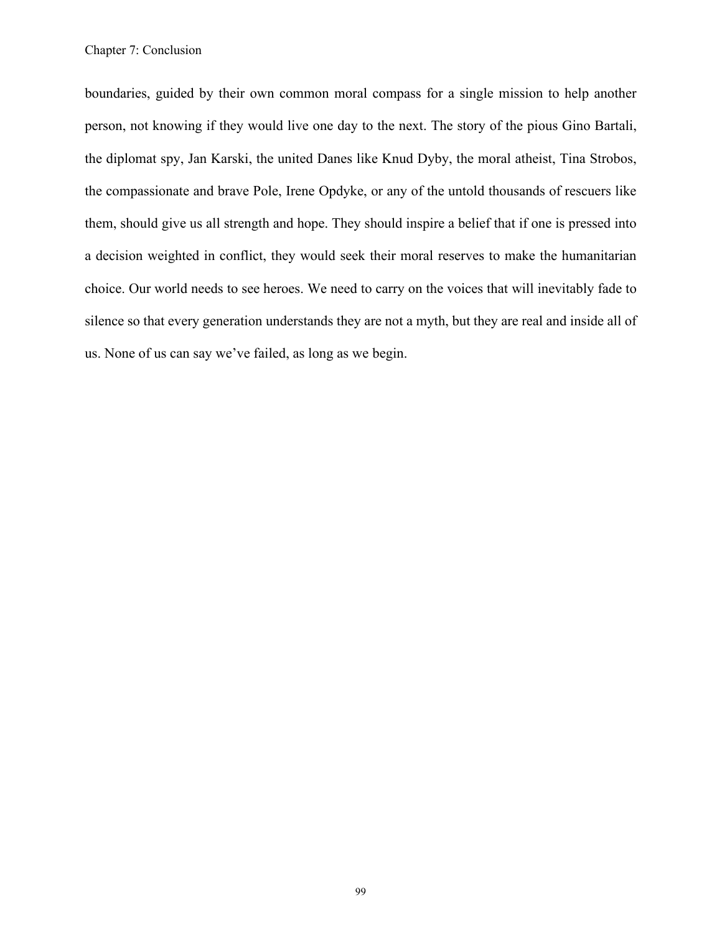boundaries, guided by their own common moral compass for a single mission to help another person, not knowing if they would live one day to the next. The story of the pious Gino Bartali, the diplomat spy, Jan Karski, the united Danes like Knud Dyby, the moral atheist, Tina Strobos, the compassionate and brave Pole, Irene Opdyke, or any of the untold thousands of rescuers like them, should give us all strength and hope. They should inspire a belief that if one is pressed into a decision weighted in conflict, they would seek their moral reserves to make the humanitarian choice. Our world needs to see heroes. We need to carry on the voices that will inevitably fade to silence so that every generation understands they are not a myth, but they are real and inside all of us. None of us can say we've failed, as long as we begin.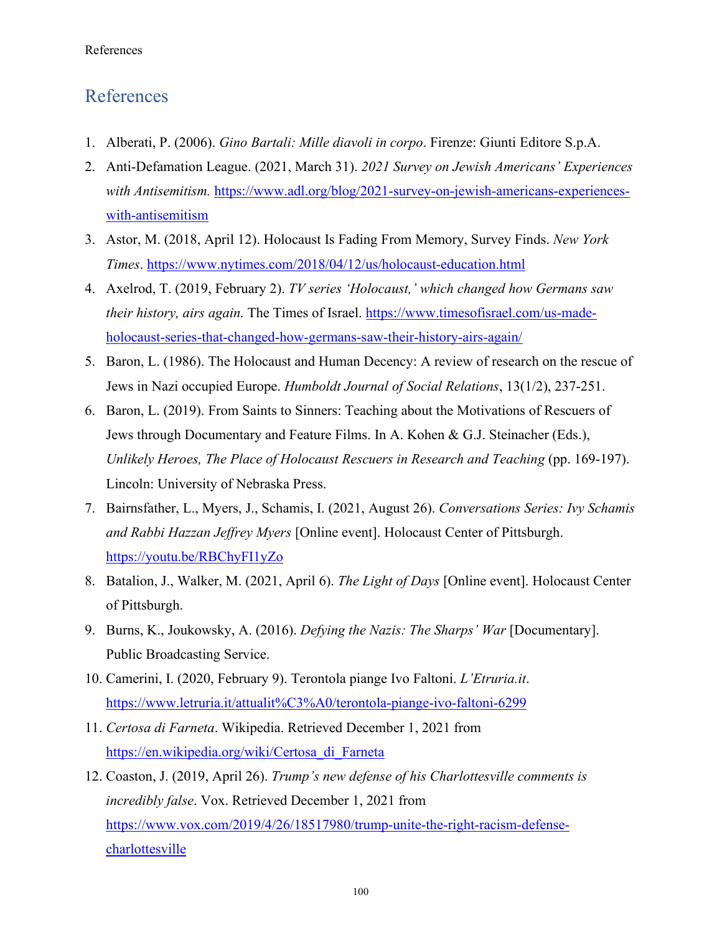## References

- 1. Alberati, P. (2006). *Gino Bartali: Mille diavoli in corpo*. Firenze: Giunti Editore S.p.A.
- 2. Anti-Defamation League. (2021, March 31). *2021 Survey on Jewish Americans' Experiences with Antisemitism.* [https://www.adl.org/blog/2021-survey-on-jewish-americans-experiences](https://www.adl.org/blog/2021-survey-on-jewish-americans-experiences-with-antisemitism)[with-antisemitism](https://www.adl.org/blog/2021-survey-on-jewish-americans-experiences-with-antisemitism)
- 3. Astor, M. (2018, April 12). Holocaust Is Fading From Memory, Survey Finds. *New York Times*.<https://www.nytimes.com/2018/04/12/us/holocaust-education.html>
- 4. Axelrod, T. (2019, February 2). *TV series 'Holocaust,' which changed how Germans saw their history, airs again.* The Times of Israel. [https://www.timesofisrael.com/us-made](https://www.timesofisrael.com/us-made-holocaust-series-that-changed-how-germans-saw-their-history-airs-again/)[holocaust-series-that-changed-how-germans-saw-their-history-airs-again/](https://www.timesofisrael.com/us-made-holocaust-series-that-changed-how-germans-saw-their-history-airs-again/)
- 5. Baron, L. (1986). The Holocaust and Human Decency: A review of research on the rescue of Jews in Nazi occupied Europe. *Humboldt Journal of Social Relations*, 13(1/2), 237-251.
- 6. Baron, L. (2019). From Saints to Sinners: Teaching about the Motivations of Rescuers of Jews through Documentary and Feature Films. In A. Kohen & G.J. Steinacher (Eds.), *Unlikely Heroes, The Place of Holocaust Rescuers in Research and Teaching* (pp. 169-197). Lincoln: University of Nebraska Press.
- 7. Bairnsfather, L., Myers, J., Schamis, I. (2021, August 26). *Conversations Series: Ivy Schamis and Rabbi Hazzan Jeffrey Myers* [Online event]. Holocaust Center of Pittsburgh. <https://youtu.be/RBChyFI1yZo>
- 8. Batalion, J., Walker, M. (2021, April 6). *The Light of Days* [Online event]. Holocaust Center of Pittsburgh.
- 9. Burns, K., Joukowsky, A. (2016). *Defying the Nazis: The Sharps' War* [Documentary]. Public Broadcasting Service.
- 10. Camerini, I. (2020, February 9). Terontola piange Ivo Faltoni. *L'Etruria.it*. <https://www.letruria.it/attualit%C3%A0/terontola-piange-ivo-faltoni-6299>
- 11. *Certosa di Farneta*. Wikipedia. Retrieved December 1, 2021 from [https://en.wikipedia.org/wiki/Certosa\\_di\\_Farneta](https://en.wikipedia.org/wiki/Certosa_di_Farneta)
- 12. Coaston, J. (2019, April 26). *Trump's new defense of his Charlottesville comments is incredibly false*. Vox. Retrieved December 1, 2021 from [https://www.vox.com/2019/4/26/18517980/trump-unite-the-right-racism-defense](https://www.vox.com/2019/4/26/18517980/trump-unite-the-right-racism-defense-charlottesville)[charlottesville](https://www.vox.com/2019/4/26/18517980/trump-unite-the-right-racism-defense-charlottesville)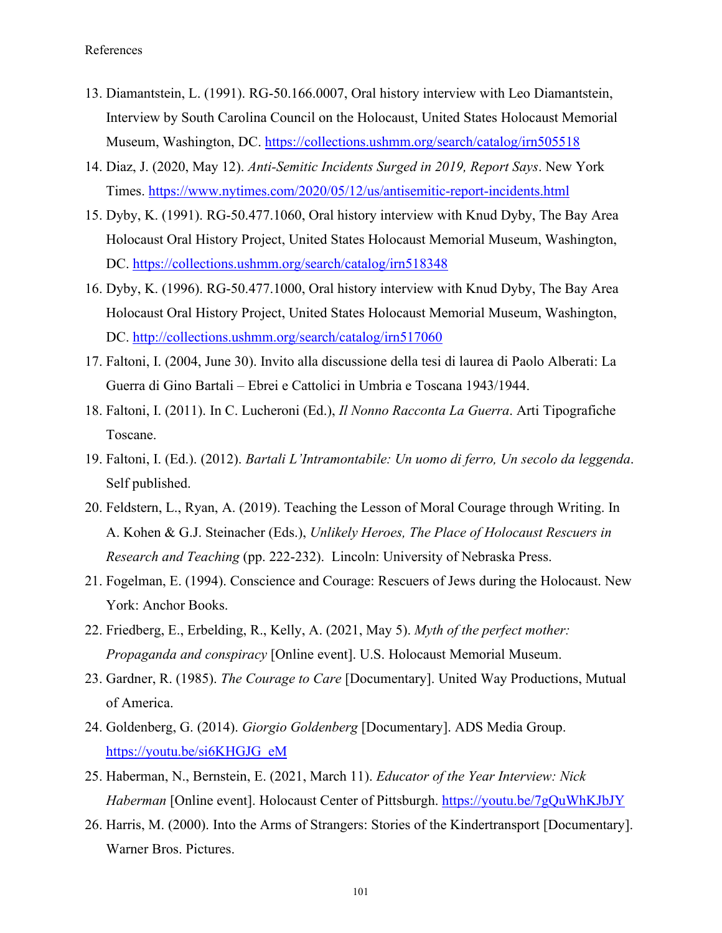- 13. Diamantstein, L. (1991). RG-50.166.0007, Oral history interview with Leo Diamantstein, Interview by South Carolina Council on the Holocaust, United States Holocaust Memorial Museum, Washington, DC.<https://collections.ushmm.org/search/catalog/irn505518>
- 14. Diaz, J. (2020, May 12). *Anti-Semitic Incidents Surged in 2019, Report Says*. New York Times.<https://www.nytimes.com/2020/05/12/us/antisemitic-report-incidents.html>
- 15. Dyby, K. (1991). RG-50.477.1060, Oral history interview with Knud Dyby, The Bay Area Holocaust Oral History Project, United States Holocaust Memorial Museum, Washington, DC.<https://collections.ushmm.org/search/catalog/irn518348>
- 16. Dyby, K. (1996). RG-50.477.1000, Oral history interview with Knud Dyby, The Bay Area Holocaust Oral History Project, United States Holocaust Memorial Museum, Washington, DC.<http://collections.ushmm.org/search/catalog/irn517060>
- 17. Faltoni, I. (2004, June 30). Invito alla discussione della tesi di laurea di Paolo Alberati: La Guerra di Gino Bartali – Ebrei e Cattolici in Umbria e Toscana 1943/1944.
- 18. Faltoni, I. (2011). In C. Lucheroni (Ed.), *Il Nonno Racconta La Guerra*. Arti Tipografiche Toscane.
- 19. Faltoni, I. (Ed.). (2012). *Bartali L'Intramontabile: Un uomo di ferro, Un secolo da leggenda*. Self published.
- 20. Feldstern, L., Ryan, A. (2019). Teaching the Lesson of Moral Courage through Writing. In A. Kohen & G.J. Steinacher (Eds.), *Unlikely Heroes, The Place of Holocaust Rescuers in Research and Teaching* (pp. 222-232). Lincoln: University of Nebraska Press.
- 21. Fogelman, E. (1994). Conscience and Courage: Rescuers of Jews during the Holocaust. New York: Anchor Books.
- 22. Friedberg, E., Erbelding, R., Kelly, A. (2021, May 5). *Myth of the perfect mother: Propaganda and conspiracy* [Online event]. U.S. Holocaust Memorial Museum.
- 23. Gardner, R. (1985). *The Courage to Care* [Documentary]. United Way Productions, Mutual of America.
- 24. Goldenberg, G. (2014). *Giorgio Goldenberg* [Documentary]. ADS Media Group. [https://youtu.be/si6KHGJG\\_eM](https://youtu.be/si6KHGJG_eM)
- 25. Haberman, N., Bernstein, E. (2021, March 11). *Educator of the Year Interview: Nick Haberman* [Online event]. Holocaust Center of Pittsburgh.<https://youtu.be/7gQuWhKJbJY>
- 26. Harris, M. (2000). Into the Arms of Strangers: Stories of the Kindertransport [Documentary]. Warner Bros. Pictures.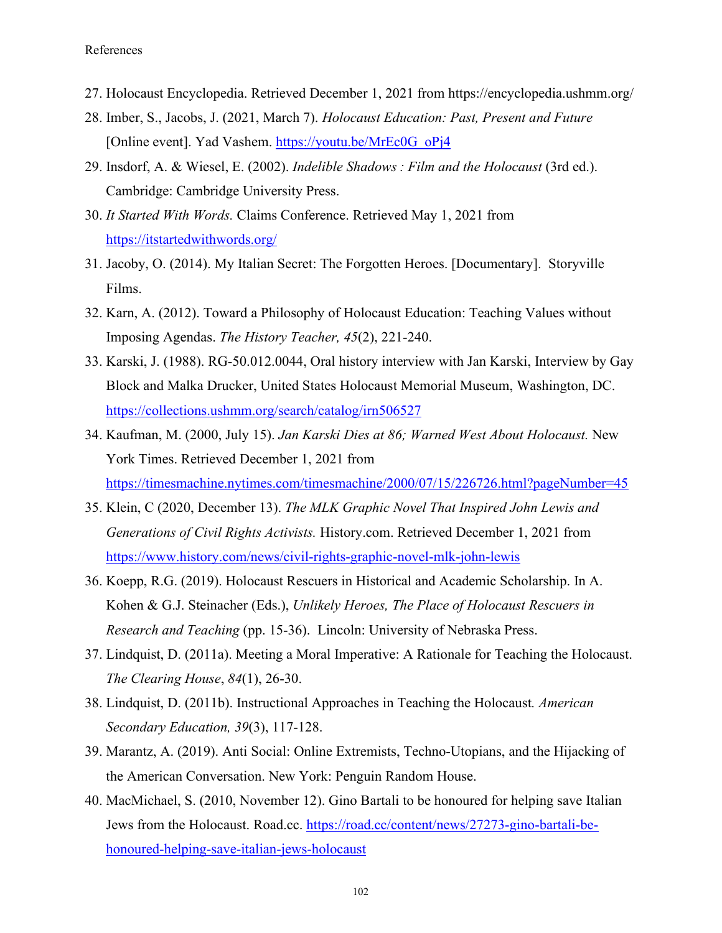- 27. Holocaust Encyclopedia. Retrieved December 1, 2021 from https://encyclopedia.ushmm.org/
- 28. Imber, S., Jacobs, J. (2021, March 7). *Holocaust Education: Past, Present and Future* [Online event]. Yad Vashem. [https://youtu.be/MrEc0G\\_oPj4](https://youtu.be/MrEc0G_oPj4)
- 29. Insdorf, A. & Wiesel, E. (2002). *Indelible Shadows : Film and the Holocaust* (3rd ed.). Cambridge: Cambridge University Press.
- 30. *It Started With Words.* Claims Conference. Retrieved May 1, 2021 from <https://itstartedwithwords.org/>
- 31. Jacoby, O. (2014). My Italian Secret: The Forgotten Heroes. [Documentary]. Storyville Films.
- 32. Karn, A. (2012). Toward a Philosophy of Holocaust Education: Teaching Values without Imposing Agendas. *The History Teacher, 45*(2), 221-240.
- 33. Karski, J. (1988). RG-50.012.0044, Oral history interview with Jan Karski, Interview by Gay Block and Malka Drucker, United States Holocaust Memorial Museum, Washington, DC. <https://collections.ushmm.org/search/catalog/irn506527>
- 34. Kaufman, M. (2000, July 15). *Jan Karski Dies at 86; Warned West About Holocaust.* New York Times. Retrieved December 1, 2021 from <https://timesmachine.nytimes.com/timesmachine/2000/07/15/226726.html?pageNumber=45>
- 35. Klein, C (2020, December 13). *The MLK Graphic Novel That Inspired John Lewis and Generations of Civil Rights Activists.* History.com. Retrieved December 1, 2021 from <https://www.history.com/news/civil-rights-graphic-novel-mlk-john-lewis>
- 36. Koepp, R.G. (2019). Holocaust Rescuers in Historical and Academic Scholarship. In A. Kohen & G.J. Steinacher (Eds.), *Unlikely Heroes, The Place of Holocaust Rescuers in Research and Teaching* (pp. 15-36). Lincoln: University of Nebraska Press.
- 37. Lindquist, D. (2011a). Meeting a Moral Imperative: A Rationale for Teaching the Holocaust. *The Clearing House*, *84*(1), 26-30.
- 38. Lindquist, D. (2011b). Instructional Approaches in Teaching the Holocaust*. American Secondary Education, 39*(3), 117-128.
- 39. Marantz, A. (2019). Anti Social: Online Extremists, Techno-Utopians, and the Hijacking of the American Conversation. New York: Penguin Random House.
- 40. MacMichael, S. (2010, November 12). Gino Bartali to be honoured for helping save Italian Jews from the Holocaust. Road.cc. [https://road.cc/content/news/27273-gino-bartali-be](https://road.cc/content/news/27273-gino-bartali-be-honoured-helping-save-italian-jews-holocaust)[honoured-helping-save-italian-jews-holocaust](https://road.cc/content/news/27273-gino-bartali-be-honoured-helping-save-italian-jews-holocaust)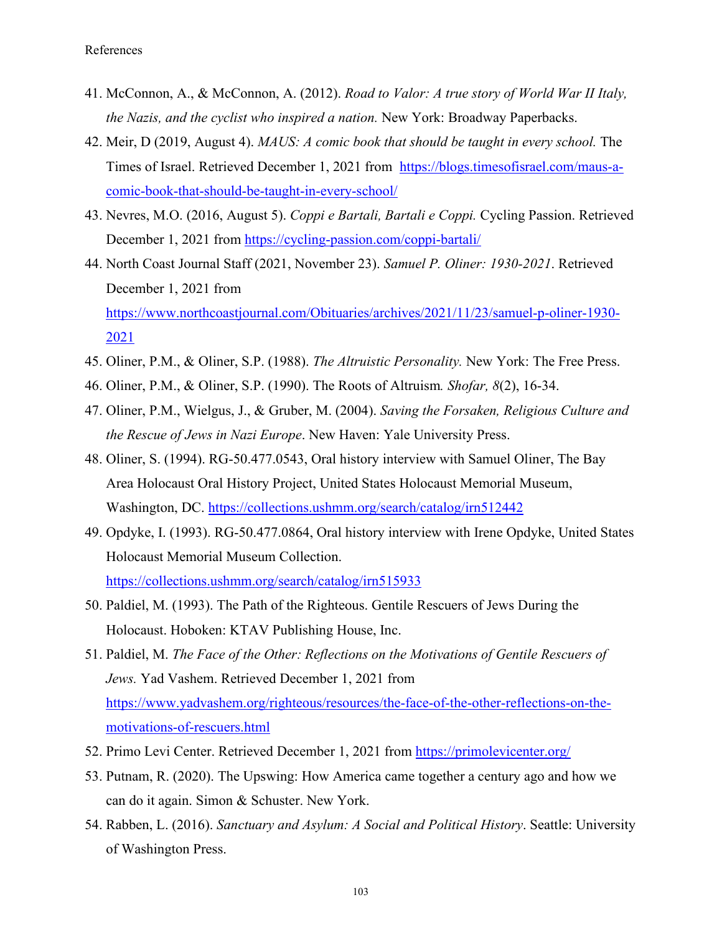- 41. McConnon, A., & McConnon, A. (2012). *Road to Valor: A true story of World War II Italy, the Nazis, and the cyclist who inspired a nation.* New York: Broadway Paperbacks.
- 42. Meir, D (2019, August 4). *MAUS: A comic book that should be taught in every school.* The Times of Israel. Retrieved December 1, 2021 from [https://blogs.timesofisrael.com/maus-a](https://blogs.timesofisrael.com/maus-a-comic-book-that-should-be-taught-in-every-school/)[comic-book-that-should-be-taught-in-every-school/](https://blogs.timesofisrael.com/maus-a-comic-book-that-should-be-taught-in-every-school/)
- 43. Nevres, M.O. (2016, August 5). *Coppi e Bartali, Bartali e Coppi.* Cycling Passion. Retrieved December 1, 2021 from<https://cycling-passion.com/coppi-bartali/>
- 44. North Coast Journal Staff (2021, November 23). *Samuel P. Oliner: 1930-2021*. Retrieved December 1, 2021 from [https://www.northcoastjournal.com/Obituaries/archives/2021/11/23/samuel-p-oliner-1930-](https://www.northcoastjournal.com/Obituaries/archives/2021/11/23/samuel-p-oliner-1930-2021) [2021](https://www.northcoastjournal.com/Obituaries/archives/2021/11/23/samuel-p-oliner-1930-2021)
- 45. Oliner, P.M., & Oliner, S.P. (1988). *The Altruistic Personality.* New York: The Free Press.
- 46. Oliner, P.M., & Oliner, S.P. (1990). The Roots of Altruism*. Shofar, 8*(2), 16-34.
- 47. Oliner, P.M., Wielgus, J., & Gruber, M. (2004). *Saving the Forsaken, Religious Culture and the Rescue of Jews in Nazi Europe*. New Haven: Yale University Press.
- 48. Oliner, S. (1994). RG-50.477.0543, Oral history interview with Samuel Oliner, The Bay Area Holocaust Oral History Project, United States Holocaust Memorial Museum, Washington, DC.<https://collections.ushmm.org/search/catalog/irn512442>
- 49. Opdyke, I. (1993). RG-50.477.0864, Oral history interview with Irene Opdyke, United States Holocaust Memorial Museum Collection. <https://collections.ushmm.org/search/catalog/irn515933>
- 50. Paldiel, M. (1993). The Path of the Righteous. Gentile Rescuers of Jews During the Holocaust. Hoboken: KTAV Publishing House, Inc.
- 51. Paldiel, M. *The Face of the Other: Reflections on the Motivations of Gentile Rescuers of Jews.* Yad Vashem. Retrieved December 1, 2021 from [https://www.yadvashem.org/righteous/resources/the-face-of-the-other-reflections-on-the](https://www.yadvashem.org/righteous/resources/the-face-of-the-other-reflections-on-the-motivations-of-rescuers.html)[motivations-of-rescuers.html](https://www.yadvashem.org/righteous/resources/the-face-of-the-other-reflections-on-the-motivations-of-rescuers.html)
- 52. Primo Levi Center. Retrieved December 1, 2021 from<https://primolevicenter.org/>
- 53. Putnam, R. (2020). The Upswing: How America came together a century ago and how we can do it again. Simon & Schuster. New York.
- 54. Rabben, L. (2016). *Sanctuary and Asylum: A Social and Political History*. Seattle: University of Washington Press.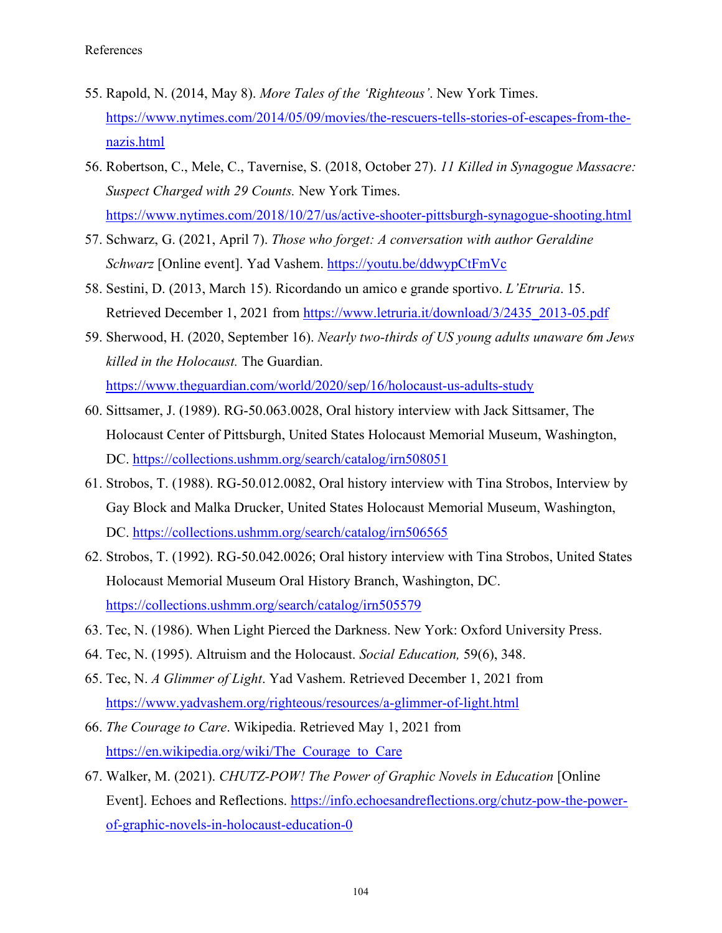- 55. Rapold, N. (2014, May 8). *More Tales of the 'Righteous'*. New York Times. [https://www.nytimes.com/2014/05/09/movies/the-rescuers-tells-stories-of-escapes-from-the](https://www.nytimes.com/2014/05/09/movies/the-rescuers-tells-stories-of-escapes-from-the-nazis.html)[nazis.html](https://www.nytimes.com/2014/05/09/movies/the-rescuers-tells-stories-of-escapes-from-the-nazis.html)
- 56. Robertson, C., Mele, C., Tavernise, S. (2018, October 27). *11 Killed in Synagogue Massacre: Suspect Charged with 29 Counts.* New York Times. <https://www.nytimes.com/2018/10/27/us/active-shooter-pittsburgh-synagogue-shooting.html>
- 57. Schwarz, G. (2021, April 7). *Those who forget: A conversation with author Geraldine Schwarz* [Online event]. Yad Vashem. https://youtu.be/ddwypCtFmVc
- 58. Sestini, D. (2013, March 15). Ricordando un amico e grande sportivo. *L'Etruria*. 15. Retrieved December 1, 2021 from [https://www.letruria.it/download/3/2435\\_2013-05.pdf](https://www.letruria.it/download/3/2435_2013-05.pdf)
- 59. Sherwood, H. (2020, September 16). *Nearly two-thirds of US young adults unaware 6m Jews killed in the Holocaust.* The Guardian. <https://www.theguardian.com/world/2020/sep/16/holocaust-us-adults-study>
- 60. Sittsamer, J. (1989). RG-50.063.0028, Oral history interview with Jack Sittsamer, The Holocaust Center of Pittsburgh, United States Holocaust Memorial Museum, Washington, DC.<https://collections.ushmm.org/search/catalog/irn508051>
- 61. Strobos, T. (1988). RG-50.012.0082, Oral history interview with Tina Strobos, Interview by Gay Block and Malka Drucker, United States Holocaust Memorial Museum, Washington, DC. <https://collections.ushmm.org/search/catalog/irn506565>
- 62. Strobos, T. (1992). RG-50.042.0026; Oral history interview with Tina Strobos, United States Holocaust Memorial Museum Oral History Branch, Washington, DC. <https://collections.ushmm.org/search/catalog/irn505579>
- 63. Tec, N. (1986). When Light Pierced the Darkness. New York: Oxford University Press.
- 64. Tec, N. (1995). Altruism and the Holocaust. *Social Education,* 59(6), 348.
- 65. Tec, N. *A Glimmer of Light*. Yad Vashem. Retrieved December 1, 2021 from <https://www.yadvashem.org/righteous/resources/a-glimmer-of-light.html>
- 66. *The Courage to Care*. Wikipedia. Retrieved May 1, 2021 from [https://en.wikipedia.org/wiki/The\\_Courage\\_to\\_Care](https://en.wikipedia.org/wiki/The_Courage_to_Care)
- 67. Walker, M. (2021). *CHUTZ-POW! The Power of Graphic Novels in Education* [Online Event]. Echoes and Reflections. [https://info.echoesandreflections.org/chutz-pow-the-power](https://info.echoesandreflections.org/chutz-pow-the-power-of-graphic-novels-in-holocaust-education-0)[of-graphic-novels-in-holocaust-education-0](https://info.echoesandreflections.org/chutz-pow-the-power-of-graphic-novels-in-holocaust-education-0)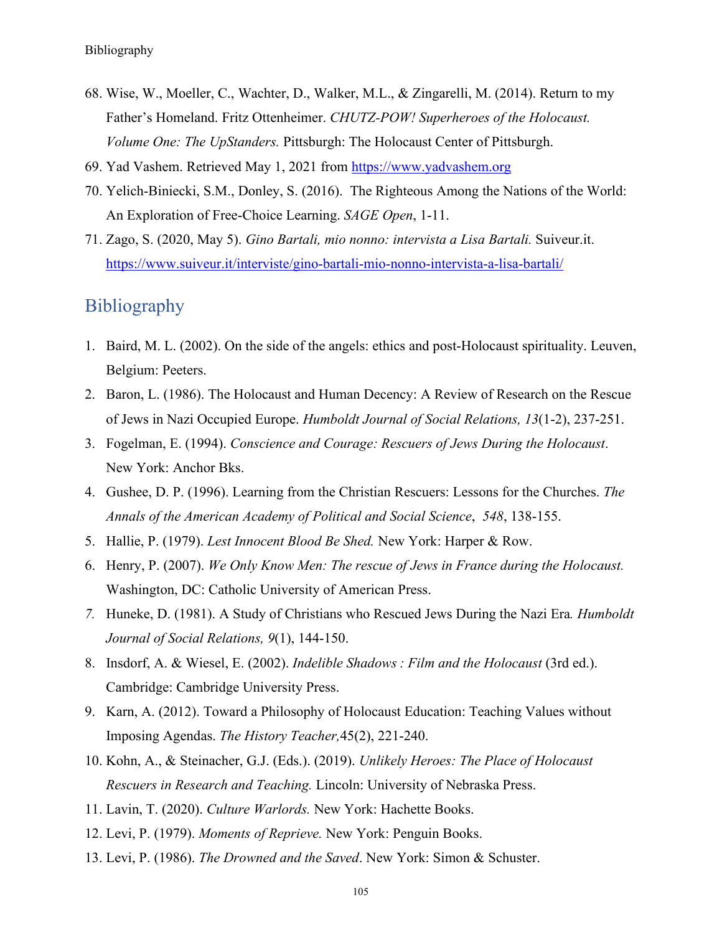- 68. Wise, W., Moeller, C., Wachter, D., Walker, M.L., & Zingarelli, M. (2014). Return to my Father's Homeland. Fritz Ottenheimer. *CHUTZ-POW! Superheroes of the Holocaust. Volume One: The UpStanders.* Pittsburgh: The Holocaust Center of Pittsburgh.
- 69. Yad Vashem. Retrieved May 1, 2021 from [https://www.yadvashem.org](https://www.yadvashem.org/)
- 70. Yelich-Biniecki, S.M., Donley, S. (2016). The Righteous Among the Nations of the World: An Exploration of Free-Choice Learning. *SAGE Open*, 1-11.
- 71. Zago, S. (2020, May 5). *Gino Bartali, mio nonno: intervista a Lisa Bartali.* Suiveur.it. <https://www.suiveur.it/interviste/gino-bartali-mio-nonno-intervista-a-lisa-bartali/>

## Bibliography

- 1. Baird, M. L. (2002). On the side of the angels: ethics and post-Holocaust spirituality. Leuven, Belgium: Peeters.
- 2. Baron, L. (1986). The Holocaust and Human Decency: A Review of Research on the Rescue of Jews in Nazi Occupied Europe. *Humboldt Journal of Social Relations, 13*(1-2), 237-251.
- 3. Fogelman, E. (1994). *Conscience and Courage: Rescuers of Jews During the Holocaust*. New York: Anchor Bks.
- 4. Gushee, D. P. (1996). Learning from the Christian Rescuers: Lessons for the Churches. *The Annals of the American Academy of Political and Social Science*, *548*, 138-155.
- 5. Hallie, P. (1979). *Lest Innocent Blood Be Shed.* New York: Harper & Row.
- 6. Henry, P. (2007). *We Only Know Men: The rescue of Jews in France during the Holocaust.*  Washington, DC: Catholic University of American Press.
- *7.* Huneke, D. (1981). A Study of Christians who Rescued Jews During the Nazi Era*. Humboldt Journal of Social Relations, 9*(1), 144-150.
- 8. Insdorf, A. & Wiesel, E. (2002). *Indelible Shadows : Film and the Holocaust* (3rd ed.). Cambridge: Cambridge University Press.
- 9. Karn, A. (2012). Toward a Philosophy of Holocaust Education: Teaching Values without Imposing Agendas. *The History Teacher,*45(2), 221-240.
- 10. Kohn, A., & Steinacher, G.J. (Eds.). (2019). *Unlikely Heroes: The Place of Holocaust Rescuers in Research and Teaching.* Lincoln: University of Nebraska Press.
- 11. Lavin, T. (2020). *Culture Warlords.* New York: Hachette Books.
- 12. Levi, P. (1979). *Moments of Reprieve.* New York: Penguin Books.
- 13. Levi, P. (1986). *The Drowned and the Saved*. New York: Simon & Schuster.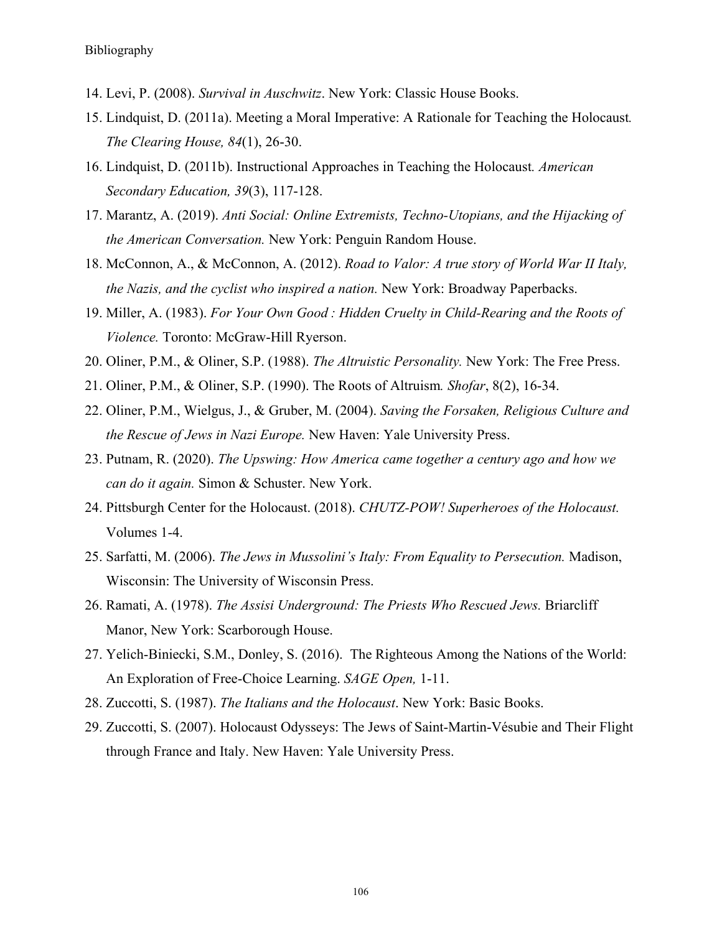- 14. Levi, P. (2008). *Survival in Auschwitz*. New York: Classic House Books.
- 15. Lindquist, D. (2011a). Meeting a Moral Imperative: A Rationale for Teaching the Holocaust*. The Clearing House, 84*(1), 26-30.
- 16. Lindquist, D. (2011b). Instructional Approaches in Teaching the Holocaust*. American Secondary Education, 39*(3), 117-128.
- 17. Marantz, A. (2019). *Anti Social: Online Extremists, Techno-Utopians, and the Hijacking of the American Conversation.* New York: Penguin Random House.
- 18. McConnon, A., & McConnon, A. (2012). *Road to Valor: A true story of World War II Italy, the Nazis, and the cyclist who inspired a nation.* New York: Broadway Paperbacks.
- 19. Miller, A. (1983). *For Your Own Good : Hidden Cruelty in Child-Rearing and the Roots of Violence.* Toronto: McGraw-Hill Ryerson.
- 20. Oliner, P.M., & Oliner, S.P. (1988). *The Altruistic Personality.* New York: The Free Press.
- 21. Oliner, P.M., & Oliner, S.P. (1990). The Roots of Altruism*. Shofar*, 8(2), 16-34.
- 22. Oliner, P.M., Wielgus, J., & Gruber, M. (2004). *Saving the Forsaken, Religious Culture and the Rescue of Jews in Nazi Europe.* New Haven: Yale University Press.
- 23. Putnam, R. (2020). *The Upswing: How America came together a century ago and how we can do it again.* Simon & Schuster. New York.
- 24. Pittsburgh Center for the Holocaust. (2018). *CHUTZ-POW! Superheroes of the Holocaust.*  Volumes 1-4.
- 25. Sarfatti, M. (2006). *The Jews in Mussolini's Italy: From Equality to Persecution.* Madison, Wisconsin: The University of Wisconsin Press.
- 26. Ramati, A. (1978). *The Assisi Underground: The Priests Who Rescued Jews.* Briarcliff Manor, New York: Scarborough House.
- 27. Yelich-Biniecki, S.M., Donley, S. (2016). The Righteous Among the Nations of the World: An Exploration of Free-Choice Learning. *SAGE Open,* 1-11.
- 28. Zuccotti, S. (1987). *The Italians and the Holocaust*. New York: Basic Books.
- 29. Zuccotti, S. (2007). Holocaust Odysseys: The Jews of Saint-Martin-Vésubie and Their Flight through France and Italy. New Haven: Yale University Press.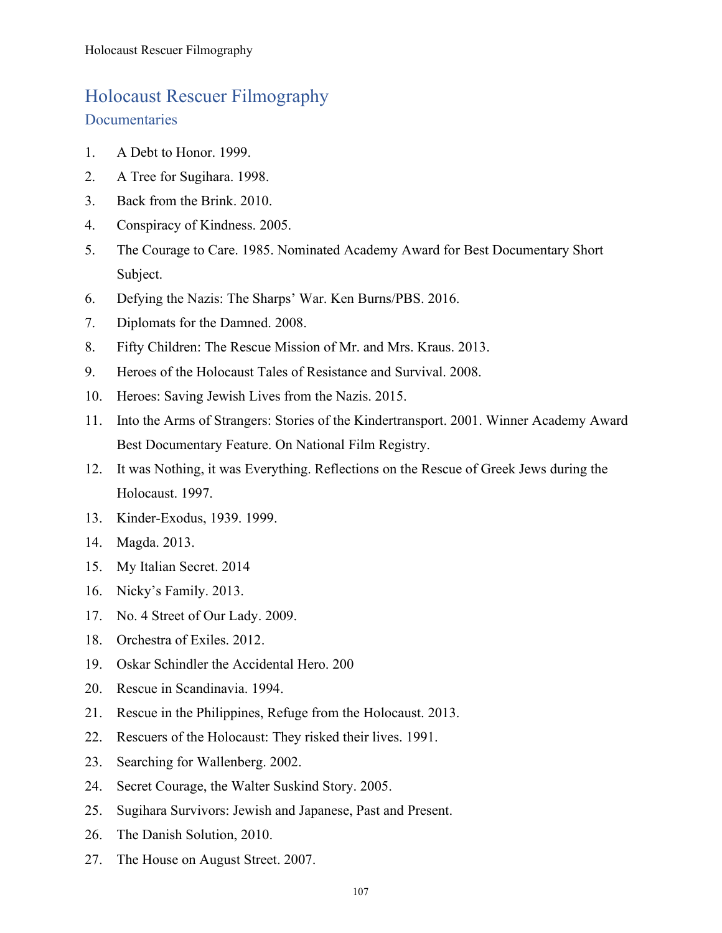## Holocaust Rescuer Filmography **Documentaries**

- 1. A Debt to Honor. 1999.
- 2. A Tree for Sugihara. 1998.
- 3. Back from the Brink. 2010.
- 4. Conspiracy of Kindness. 2005.
- 5. The Courage to Care. 1985. Nominated Academy Award for Best Documentary Short Subject.
- 6. Defying the Nazis: The Sharps' War. Ken Burns/PBS. 2016.
- 7. Diplomats for the Damned. 2008.
- 8. Fifty Children: The Rescue Mission of Mr. and Mrs. Kraus. 2013.
- 9. Heroes of the Holocaust Tales of Resistance and Survival. 2008.
- 10. Heroes: Saving Jewish Lives from the Nazis. 2015.
- 11. Into the Arms of Strangers: Stories of the Kindertransport. 2001. Winner Academy Award Best Documentary Feature. On National Film Registry.
- 12. It was Nothing, it was Everything. Reflections on the Rescue of Greek Jews during the Holocaust. 1997.
- 13. Kinder-Exodus, 1939. 1999.
- 14. Magda. 2013.
- 15. My Italian Secret. 2014
- 16. Nicky's Family. 2013.
- 17. No. 4 Street of Our Lady. 2009.
- 18. Orchestra of Exiles. 2012.
- 19. Oskar Schindler the Accidental Hero. 200
- 20. Rescue in Scandinavia. 1994.
- 21. Rescue in the Philippines, Refuge from the Holocaust. 2013.
- 22. Rescuers of the Holocaust: They risked their lives. 1991.
- 23. Searching for Wallenberg. 2002.
- 24. Secret Courage, the Walter Suskind Story. 2005.
- 25. Sugihara Survivors: Jewish and Japanese, Past and Present.
- 26. The Danish Solution, 2010.
- 27. The House on August Street. 2007.